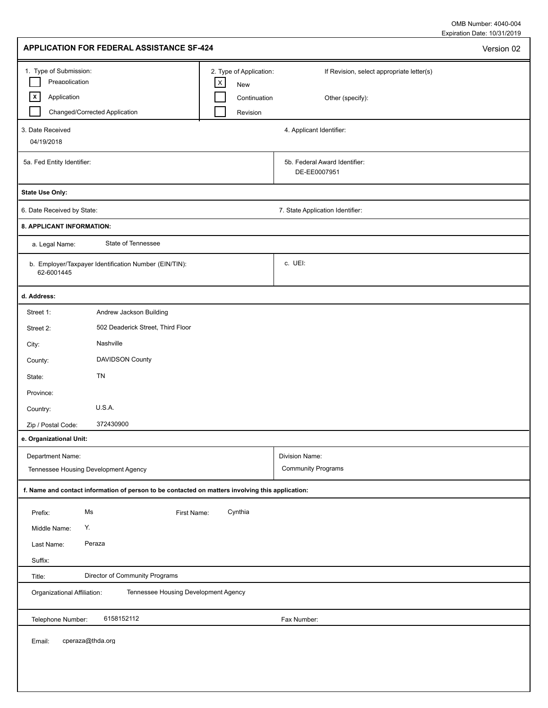Expiration Date: 10/31/2019 OMB Number: 4040-004

| 1. Type of Submission:<br>2. Type of Application:<br>If Revision, select appropriate letter(s)<br>Preapplication<br>$\mathsf{X}$<br>New<br>$\vert x \vert$<br>Application<br>Continuation<br>Other (specify):<br>Changed/Corrected Application<br>Revision<br>4. Applicant Identifier:<br>04/19/2018<br>5b. Federal Award Identifier:<br>DE-EE0007951<br>7. State Application Identifier:<br>State of Tennessee<br>a. Legal Name:<br>c. UEI:<br>b. Employer/Taxpayer Identification Number (EIN/TIN):<br>62-6001445<br>Andrew Jackson Building<br>Street 1:<br>502 Deaderick Street, Third Floor<br>Street 2:<br>Nashville<br>City:<br>DAVIDSON County<br>County:<br>TN<br>State:<br>Province:<br>U.S.A.<br>Country:<br>372430900<br>Zip / Postal Code:<br>Department Name:<br>Division Name:<br><b>Community Programs</b><br>Tennessee Housing Development Agency<br>f. Name and contact information of person to be contacted on matters involving this application:<br>Ms<br>Cynthia<br>Prefix:<br>First Name:<br>Υ.<br>Middle Name:<br>Peraza<br>Last Name:<br>Suffix:<br>Director of Community Programs<br>Title:<br>Tennessee Housing Development Agency<br>Organizational Affiliation:<br>6158152112<br>Telephone Number:<br>Fax Number:<br>cperaza@thda.org<br>Email: | APPLICATION FOR FEDERAL ASSISTANCE SF-424 |  | Version 02 |
|-------------------------------------------------------------------------------------------------------------------------------------------------------------------------------------------------------------------------------------------------------------------------------------------------------------------------------------------------------------------------------------------------------------------------------------------------------------------------------------------------------------------------------------------------------------------------------------------------------------------------------------------------------------------------------------------------------------------------------------------------------------------------------------------------------------------------------------------------------------------------------------------------------------------------------------------------------------------------------------------------------------------------------------------------------------------------------------------------------------------------------------------------------------------------------------------------------------------------------------------------------------------------------|-------------------------------------------|--|------------|
|                                                                                                                                                                                                                                                                                                                                                                                                                                                                                                                                                                                                                                                                                                                                                                                                                                                                                                                                                                                                                                                                                                                                                                                                                                                                               |                                           |  |            |
|                                                                                                                                                                                                                                                                                                                                                                                                                                                                                                                                                                                                                                                                                                                                                                                                                                                                                                                                                                                                                                                                                                                                                                                                                                                                               | 3. Date Received                          |  |            |
|                                                                                                                                                                                                                                                                                                                                                                                                                                                                                                                                                                                                                                                                                                                                                                                                                                                                                                                                                                                                                                                                                                                                                                                                                                                                               | 5a. Fed Entity Identifier:                |  |            |
|                                                                                                                                                                                                                                                                                                                                                                                                                                                                                                                                                                                                                                                                                                                                                                                                                                                                                                                                                                                                                                                                                                                                                                                                                                                                               | State Use Only:                           |  |            |
|                                                                                                                                                                                                                                                                                                                                                                                                                                                                                                                                                                                                                                                                                                                                                                                                                                                                                                                                                                                                                                                                                                                                                                                                                                                                               | 6. Date Received by State:                |  |            |
|                                                                                                                                                                                                                                                                                                                                                                                                                                                                                                                                                                                                                                                                                                                                                                                                                                                                                                                                                                                                                                                                                                                                                                                                                                                                               | 8. APPLICANT INFORMATION:                 |  |            |
|                                                                                                                                                                                                                                                                                                                                                                                                                                                                                                                                                                                                                                                                                                                                                                                                                                                                                                                                                                                                                                                                                                                                                                                                                                                                               |                                           |  |            |
|                                                                                                                                                                                                                                                                                                                                                                                                                                                                                                                                                                                                                                                                                                                                                                                                                                                                                                                                                                                                                                                                                                                                                                                                                                                                               |                                           |  |            |
|                                                                                                                                                                                                                                                                                                                                                                                                                                                                                                                                                                                                                                                                                                                                                                                                                                                                                                                                                                                                                                                                                                                                                                                                                                                                               | d. Address:                               |  |            |
|                                                                                                                                                                                                                                                                                                                                                                                                                                                                                                                                                                                                                                                                                                                                                                                                                                                                                                                                                                                                                                                                                                                                                                                                                                                                               |                                           |  |            |
|                                                                                                                                                                                                                                                                                                                                                                                                                                                                                                                                                                                                                                                                                                                                                                                                                                                                                                                                                                                                                                                                                                                                                                                                                                                                               |                                           |  |            |
|                                                                                                                                                                                                                                                                                                                                                                                                                                                                                                                                                                                                                                                                                                                                                                                                                                                                                                                                                                                                                                                                                                                                                                                                                                                                               |                                           |  |            |
|                                                                                                                                                                                                                                                                                                                                                                                                                                                                                                                                                                                                                                                                                                                                                                                                                                                                                                                                                                                                                                                                                                                                                                                                                                                                               |                                           |  |            |
|                                                                                                                                                                                                                                                                                                                                                                                                                                                                                                                                                                                                                                                                                                                                                                                                                                                                                                                                                                                                                                                                                                                                                                                                                                                                               |                                           |  |            |
|                                                                                                                                                                                                                                                                                                                                                                                                                                                                                                                                                                                                                                                                                                                                                                                                                                                                                                                                                                                                                                                                                                                                                                                                                                                                               |                                           |  |            |
|                                                                                                                                                                                                                                                                                                                                                                                                                                                                                                                                                                                                                                                                                                                                                                                                                                                                                                                                                                                                                                                                                                                                                                                                                                                                               |                                           |  |            |
|                                                                                                                                                                                                                                                                                                                                                                                                                                                                                                                                                                                                                                                                                                                                                                                                                                                                                                                                                                                                                                                                                                                                                                                                                                                                               |                                           |  |            |
|                                                                                                                                                                                                                                                                                                                                                                                                                                                                                                                                                                                                                                                                                                                                                                                                                                                                                                                                                                                                                                                                                                                                                                                                                                                                               | e. Organizational Unit:                   |  |            |
|                                                                                                                                                                                                                                                                                                                                                                                                                                                                                                                                                                                                                                                                                                                                                                                                                                                                                                                                                                                                                                                                                                                                                                                                                                                                               |                                           |  |            |
|                                                                                                                                                                                                                                                                                                                                                                                                                                                                                                                                                                                                                                                                                                                                                                                                                                                                                                                                                                                                                                                                                                                                                                                                                                                                               |                                           |  |            |
|                                                                                                                                                                                                                                                                                                                                                                                                                                                                                                                                                                                                                                                                                                                                                                                                                                                                                                                                                                                                                                                                                                                                                                                                                                                                               |                                           |  |            |
|                                                                                                                                                                                                                                                                                                                                                                                                                                                                                                                                                                                                                                                                                                                                                                                                                                                                                                                                                                                                                                                                                                                                                                                                                                                                               |                                           |  |            |
|                                                                                                                                                                                                                                                                                                                                                                                                                                                                                                                                                                                                                                                                                                                                                                                                                                                                                                                                                                                                                                                                                                                                                                                                                                                                               |                                           |  |            |
|                                                                                                                                                                                                                                                                                                                                                                                                                                                                                                                                                                                                                                                                                                                                                                                                                                                                                                                                                                                                                                                                                                                                                                                                                                                                               |                                           |  |            |
|                                                                                                                                                                                                                                                                                                                                                                                                                                                                                                                                                                                                                                                                                                                                                                                                                                                                                                                                                                                                                                                                                                                                                                                                                                                                               |                                           |  |            |
|                                                                                                                                                                                                                                                                                                                                                                                                                                                                                                                                                                                                                                                                                                                                                                                                                                                                                                                                                                                                                                                                                                                                                                                                                                                                               |                                           |  |            |
|                                                                                                                                                                                                                                                                                                                                                                                                                                                                                                                                                                                                                                                                                                                                                                                                                                                                                                                                                                                                                                                                                                                                                                                                                                                                               |                                           |  |            |
|                                                                                                                                                                                                                                                                                                                                                                                                                                                                                                                                                                                                                                                                                                                                                                                                                                                                                                                                                                                                                                                                                                                                                                                                                                                                               |                                           |  |            |
|                                                                                                                                                                                                                                                                                                                                                                                                                                                                                                                                                                                                                                                                                                                                                                                                                                                                                                                                                                                                                                                                                                                                                                                                                                                                               |                                           |  |            |
|                                                                                                                                                                                                                                                                                                                                                                                                                                                                                                                                                                                                                                                                                                                                                                                                                                                                                                                                                                                                                                                                                                                                                                                                                                                                               |                                           |  |            |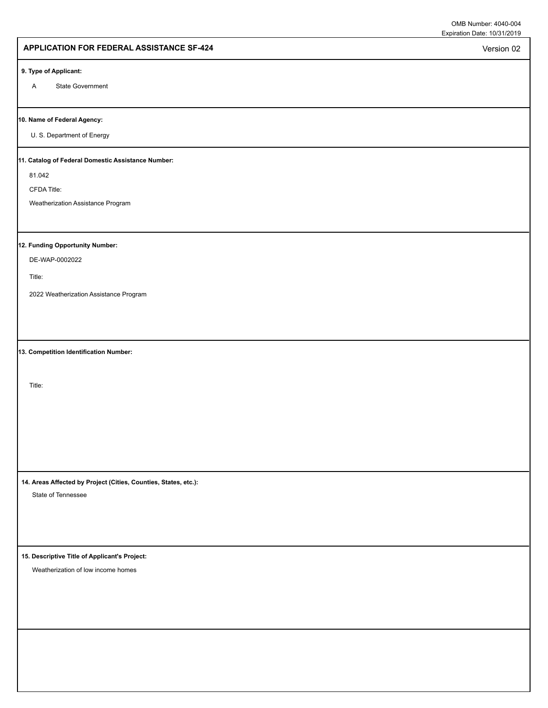Version 02

### **APPLICATION FOR FEDERAL ASSISTANCE SF-424**

#### **9. Type of Applicant:**

A State Government

#### **10. Name of Federal Agency:**

U. S. Department of Energy

#### **11. Catalog of Federal Domestic Assistance Number:**

81.042

CFDA Title:

Weatherization Assistance Program

# **12. Funding Opportunity Number:**

DE-WAP-0002022

Title:

2022 Weatherization Assistance Program

**13. Competition Identification Number:**

Title:

**14. Areas Affected by Project (Cities, Counties, States, etc.):**

State of Tennessee

**15. Descriptive Title of Applicant's Project:**

Weatherization of low income homes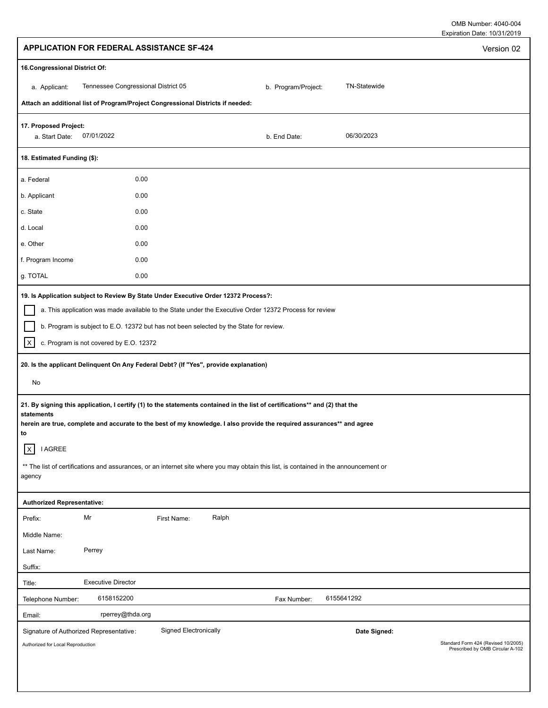| <b>APPLICATION FOR FEDERAL ASSISTANCE SF-424</b>                                                                                                                                                                                                                                                                                                                                                                                                                                                                                                                                                                                                                                                                        | Version 02                                                              |
|-------------------------------------------------------------------------------------------------------------------------------------------------------------------------------------------------------------------------------------------------------------------------------------------------------------------------------------------------------------------------------------------------------------------------------------------------------------------------------------------------------------------------------------------------------------------------------------------------------------------------------------------------------------------------------------------------------------------------|-------------------------------------------------------------------------|
| 16. Congressional District Of:                                                                                                                                                                                                                                                                                                                                                                                                                                                                                                                                                                                                                                                                                          |                                                                         |
| Tennessee Congressional District 05<br>TN-Statewide<br>b. Program/Project:<br>a. Applicant:                                                                                                                                                                                                                                                                                                                                                                                                                                                                                                                                                                                                                             |                                                                         |
| Attach an additional list of Program/Project Congressional Districts if needed:                                                                                                                                                                                                                                                                                                                                                                                                                                                                                                                                                                                                                                         |                                                                         |
| 17. Proposed Project:<br>07/01/2022<br>06/30/2023<br>a. Start Date:<br>b. End Date:                                                                                                                                                                                                                                                                                                                                                                                                                                                                                                                                                                                                                                     |                                                                         |
| 18. Estimated Funding (\$):                                                                                                                                                                                                                                                                                                                                                                                                                                                                                                                                                                                                                                                                                             |                                                                         |
| 0.00<br>a. Federal                                                                                                                                                                                                                                                                                                                                                                                                                                                                                                                                                                                                                                                                                                      |                                                                         |
| b. Applicant<br>0.00                                                                                                                                                                                                                                                                                                                                                                                                                                                                                                                                                                                                                                                                                                    |                                                                         |
| 0.00<br>c. State                                                                                                                                                                                                                                                                                                                                                                                                                                                                                                                                                                                                                                                                                                        |                                                                         |
| 0.00<br>d. Local                                                                                                                                                                                                                                                                                                                                                                                                                                                                                                                                                                                                                                                                                                        |                                                                         |
| 0.00<br>e. Other                                                                                                                                                                                                                                                                                                                                                                                                                                                                                                                                                                                                                                                                                                        |                                                                         |
| f. Program Income<br>0.00                                                                                                                                                                                                                                                                                                                                                                                                                                                                                                                                                                                                                                                                                               |                                                                         |
| g. TOTAL<br>0.00                                                                                                                                                                                                                                                                                                                                                                                                                                                                                                                                                                                                                                                                                                        |                                                                         |
| b. Program is subject to E.O. 12372 but has not been selected by the State for review.<br>c. Program is not covered by E.O. 12372<br>$\vert x \vert$<br>20. Is the applicant Delinquent On Any Federal Debt? (If "Yes", provide explanation)<br>No<br>21. By signing this application, I certify (1) to the statements contained in the list of certifications** and (2) that the<br>statements<br>herein are true, complete and accurate to the best of my knowledge. I also provide the required assurances** and agree<br>to<br>$\vert x \vert$<br><b>I AGREE</b><br>** The list of certifications and assurances, or an internet site where you may obtain this list, is contained in the announcement or<br>agency |                                                                         |
| <b>Authorized Representative:</b>                                                                                                                                                                                                                                                                                                                                                                                                                                                                                                                                                                                                                                                                                       |                                                                         |
| Mr<br>Ralph<br>First Name:<br>Prefix:                                                                                                                                                                                                                                                                                                                                                                                                                                                                                                                                                                                                                                                                                   |                                                                         |
| Middle Name:                                                                                                                                                                                                                                                                                                                                                                                                                                                                                                                                                                                                                                                                                                            |                                                                         |
| Perrey<br>Last Name:                                                                                                                                                                                                                                                                                                                                                                                                                                                                                                                                                                                                                                                                                                    |                                                                         |
| Suffix:                                                                                                                                                                                                                                                                                                                                                                                                                                                                                                                                                                                                                                                                                                                 |                                                                         |
| <b>Executive Director</b><br>Title:                                                                                                                                                                                                                                                                                                                                                                                                                                                                                                                                                                                                                                                                                     |                                                                         |
| 6155641292<br>6158152200<br>Telephone Number:<br>Fax Number:                                                                                                                                                                                                                                                                                                                                                                                                                                                                                                                                                                                                                                                            |                                                                         |
| rperrey@thda.org<br>Email:                                                                                                                                                                                                                                                                                                                                                                                                                                                                                                                                                                                                                                                                                              |                                                                         |
| Signed Electronically<br>Signature of Authorized Representative:<br>Date Signed:<br>Authorized for Local Reproduction                                                                                                                                                                                                                                                                                                                                                                                                                                                                                                                                                                                                   | Standard Form 424 (Revised 10/2005)<br>Prescribed by OMB Circular A-102 |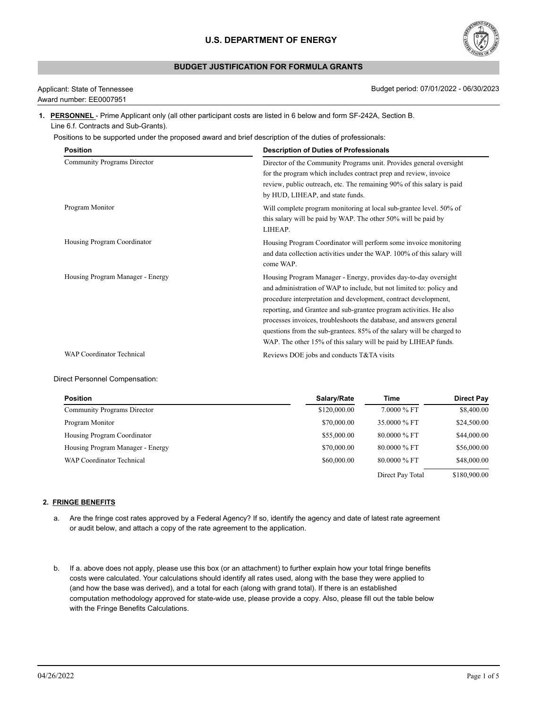# **BUDGET JUSTIFICATION FOR FORMULA GRANTS**



Award number: EE0007951

Applicant: State of Tennessee Budget period: 07/01/2022 - 06/30/2023

### **1. PERSONNEL** - Prime Applicant only (all other participant costs are listed in 6 below and form SF-242A, Section B. Line 6.f. Contracts and Sub-Grants).

Positions to be supported under the proposed award and brief description of the duties of professionals:

| <b>Position</b>                  | <b>Description of Duties of Professionals</b>                                                                                                                                                                                                                                                                                                                                                                                                                                                       |
|----------------------------------|-----------------------------------------------------------------------------------------------------------------------------------------------------------------------------------------------------------------------------------------------------------------------------------------------------------------------------------------------------------------------------------------------------------------------------------------------------------------------------------------------------|
| Community Programs Director      | Director of the Community Programs unit. Provides general oversight<br>for the program which includes contract prep and review, invoice<br>review, public outreach, etc. The remaining 90% of this salary is paid<br>by HUD, LIHEAP, and state funds.                                                                                                                                                                                                                                               |
| Program Monitor                  | Will complete program monitoring at local sub-grantee level. 50% of<br>this salary will be paid by WAP. The other 50% will be paid by<br>LIHEAP.                                                                                                                                                                                                                                                                                                                                                    |
| Housing Program Coordinator      | Housing Program Coordinator will perform some invoice monitoring<br>and data collection activities under the WAP. 100% of this salary will<br>come WAP.                                                                                                                                                                                                                                                                                                                                             |
| Housing Program Manager - Energy | Housing Program Manager - Energy, provides day-to-day oversight<br>and administration of WAP to include, but not limited to: policy and<br>procedure interpretation and development, contract development,<br>reporting, and Grantee and sub-grantee program activities. He also<br>processes invoices, troubleshoots the database, and answers general<br>questions from the sub-grantees. 85% of the salary will be charged to<br>WAP. The other 15% of this salary will be paid by LIHEAP funds. |
| <b>WAP Coordinator Technical</b> | Reviews DOE jobs and conducts T&TA visits                                                                                                                                                                                                                                                                                                                                                                                                                                                           |

### Direct Personnel Compensation:

| <b>Position</b>                    | Salary/Rate  | Time             | <b>Direct Pay</b> |
|------------------------------------|--------------|------------------|-------------------|
| <b>Community Programs Director</b> | \$120,000.00 | 7.0000 % FT      | \$8,400.00        |
| Program Monitor                    | \$70,000.00  | 35,0000 % FT     | \$24,500.00       |
| Housing Program Coordinator        | \$55,000.00  | $80.0000\%$ FT   | \$44,000.00       |
| Housing Program Manager - Energy   | \$70,000.00  | 80,0000 % FT     | \$56,000.00       |
| <b>WAP Coordinator Technical</b>   | \$60,000.00  | 80,0000 % FT     | \$48,000.00       |
|                                    |              | Direct Pay Total | \$180,900.00      |

### **2. FRINGE BENEFITS**

- a. Are the fringe cost rates approved by a Federal Agency? If so, identify the agency and date of latest rate agreement or audit below, and attach a copy of the rate agreement to the application.
- b. If a. above does not apply, please use this box (or an attachment) to further explain how your total fringe benefits costs were calculated. Your calculations should identify all rates used, along with the base they were applied to (and how the base was derived), and a total for each (along with grand total). If there is an established computation methodology approved for state-wide use, please provide a copy. Also, please fill out the table below with the Fringe Benefits Calculations.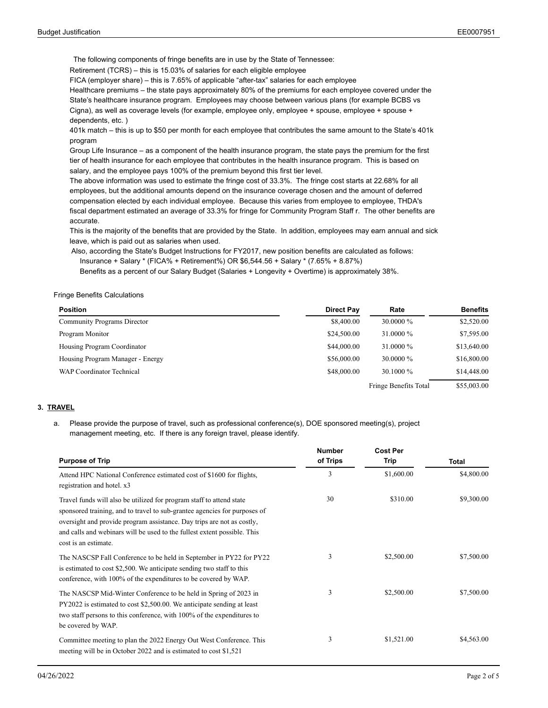The following components of fringe benefits are in use by the State of Tennessee:

Retirement (TCRS) – this is 15.03% of salaries for each eligible employee

FICA (employer share) – this is 7.65% of applicable "after-tax" salaries for each employee

Healthcare premiums – the state pays approximately 80% of the premiums for each employee covered under the State's healthcare insurance program. Employees may choose between various plans (for example BCBS vs Cigna), as well as coverage levels (for example, employee only, employee + spouse, employee + spouse +

dependents, etc. )

401k match – this is up to \$50 per month for each employee that contributes the same amount to the State's 401k program

Group Life Insurance – as a component of the health insurance program, the state pays the premium for the first tier of health insurance for each employee that contributes in the health insurance program. This is based on salary, and the employee pays 100% of the premium beyond this first tier level.

The above information was used to estimate the fringe cost of 33.3%. The fringe cost starts at 22.68% for all employees, but the additional amounts depend on the insurance coverage chosen and the amount of deferred compensation elected by each individual employee. Because this varies from employee to employee, THDA's fiscal department estimated an average of 33.3% for fringe for Community Program Staff r. The other benefits are accurate.

This is the majority of the benefits that are provided by the State. In addition, employees may earn annual and sick leave, which is paid out as salaries when used.

 Also, according the State's Budget Instructions for FY2017, new position benefits are calculated as follows: Insurance + Salary \* (FICA% + Retirement%) OR \$6,544.56 + Salary \* (7.65% + 8.87%)

Benefits as a percent of our Salary Budget (Salaries + Longevity + Overtime) is approximately 38%.

### Fringe Benefits Calculations

| <b>Position</b>                  | <b>Direct Pay</b> | Rate                  | <b>Benefits</b> |
|----------------------------------|-------------------|-----------------------|-----------------|
| Community Programs Director      | \$8,400.00        | $30,0000\%$           | \$2,520.00      |
| Program Monitor                  | \$24,500.00       | 31,0000 %             | \$7,595.00      |
| Housing Program Coordinator      | \$44,000.00       | 31,0000 %             | \$13,640.00     |
| Housing Program Manager - Energy | \$56,000.00       | $30,0000\%$           | \$16,800.00     |
| <b>WAP Coordinator Technical</b> | \$48,000.00       | $30.1000\%$           | \$14,448.00     |
|                                  |                   | Fringe Benefits Total | \$55,003.00     |

### **3. TRAVEL**

a. Please provide the purpose of travel, such as professional conference(s), DOE sponsored meeting(s), project<br>management meeting, etc. If there is any foreign travel, please identify.

| <b>Purpose of Trip</b>                                                                                                                                                                                                                                                                                                          | <b>Number</b><br>of Trips | <b>Cost Per</b><br>Trip |                     |
|---------------------------------------------------------------------------------------------------------------------------------------------------------------------------------------------------------------------------------------------------------------------------------------------------------------------------------|---------------------------|-------------------------|---------------------|
| Attend HPC National Conference estimated cost of \$1600 for flights,<br>registration and hotel. x3                                                                                                                                                                                                                              | 3                         | \$1,600.00              | Total<br>\$4,800.00 |
| Travel funds will also be utilized for program staff to attend state<br>sponsored training, and to travel to sub-grantee agencies for purposes of<br>oversight and provide program assistance. Day trips are not as costly,<br>and calls and webinars will be used to the fullest extent possible. This<br>cost is an estimate. | 30                        | \$310.00                | \$9,300.00          |
| The NASCSP Fall Conference to be held in September in PY22 for PY22<br>is estimated to cost \$2,500. We anticipate sending two staff to this<br>conference, with 100% of the expenditures to be covered by WAP.                                                                                                                 | 3                         | \$2,500.00              | \$7,500.00          |
| The NASCSP Mid-Winter Conference to be held in Spring of 2023 in<br>PY2022 is estimated to cost \$2,500.00. We anticipate sending at least<br>two staff persons to this conference, with 100% of the expenditures to<br>be covered by WAP.                                                                                      | 3                         | \$2,500.00              | \$7,500.00          |
| Committee meeting to plan the 2022 Energy Out West Conference. This<br>meeting will be in October 2022 and is estimated to cost \$1,521                                                                                                                                                                                         | 3                         | \$1,521.00              | \$4,563.00          |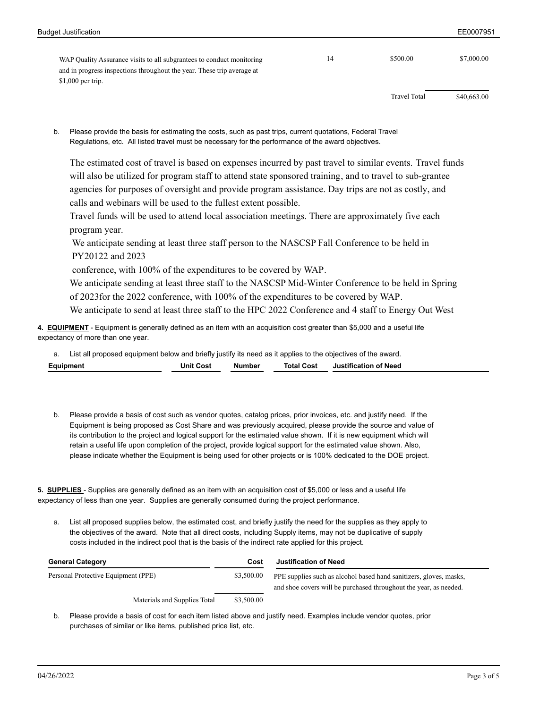| WAP Quality Assurance visits to all subgrantees to conduct monitoring  | 14 | \$500.00            | \$7,000.00  |  |
|------------------------------------------------------------------------|----|---------------------|-------------|--|
| and in progress inspections throughout the year. These trip average at |    |                     |             |  |
| $$1,000$ per trip.                                                     |    |                     |             |  |
|                                                                        |    |                     |             |  |
|                                                                        |    | <b>Travel Total</b> | \$40,663.00 |  |

Please provide the basis for estimating the costs, such as past trips, current quotations, Federal Travel b.

Regulations, etc. All listed travel must be necessary for the performance of the award objectives.

The estimated cost of travel is based on expenses incurred by past travel to similar events. Travel funds will also be utilized for program staff to attend state sponsored training, and to travel to sub-grantee agencies for purposes of oversight and provide program assistance. Day trips are not as costly, and calls and webinars will be used to the fullest extent possible.

Travel funds will be used to attend local association meetings. There are approximately five each program year.

We anticipate sending at least three staff person to the NASCSP Fall Conference to be held in PY20122 and 2023

 conference, with 100% of the expenditures to be covered by WAP. We anticipate sending at least three staff to the NASCSP Mid-Winter Conference to be held in Spring of 2023for the 2022 conference, with 100% of the expenditures to be covered by WAP. We anticipate to send at least three staff to the HPC 2022 Conference and 4 staff to Energy Out West

**4. EQUIPMENT** - Equipment is generally defined as an item with an acquisition cost greater than \$5,000 and a useful life expectancy of more than one year.

| List all proposed equipment below and briefly justify its need as it applies to the objectives of the award. |                  |        |                   |                       |  |
|--------------------------------------------------------------------------------------------------------------|------------------|--------|-------------------|-----------------------|--|
| Equipment                                                                                                    | <b>Unit Cost</b> | Number | <b>Total Cost</b> | Justification of Need |  |

b. Please provide a basis of cost such as vendor quotes, catalog prices, prior invoices, etc. and justify need. If the Equipment is being proposed as Cost Share and was previously acquired, please provide the source and value of its contribution to the project and logical support for the estimated value shown. If it is new equipment which will retain a useful life upon completion of the project, provide logical support for the estimated value shown. Also, please indicate whether the Equipment is being used for other projects or is 100% dedicated to the DOE project.

**5. SUPPLIES** - Supplies are generally defined as an item with an acquisition cost of \$5,000 or less and a useful life expectancy of less than one year. Supplies are generally consumed during the project performance.

List all proposed supplies below, the estimated cost, and briefly justify the need for the supplies as they apply to the objectives of the award. Note that all direct costs, including Supply items, may not be duplicative of supply a. List all proposed supplies below, the estimated cost, and briefly justify the need for the supplies as they<br>the objectives of the award. Note that all direct costs, including Supply items, may not be duplicative of<br>cost

| <b>General Category</b>             | Cost       | <b>Justification of Need</b>                                                                                                            |
|-------------------------------------|------------|-----------------------------------------------------------------------------------------------------------------------------------------|
| Personal Protective Equipment (PPE) | \$3,500.00 | PPE supplies such as alcohol based hand sanitizers, gloves, masks,<br>and shoe covers will be purchased throughout the year, as needed. |
| Materials and Supplies Total        | \$3,500.00 |                                                                                                                                         |

Please provide a basis of cost for each item listed above and justify need. Examples include vendor quotes, prior b. purchases of similar or like items, published price list, etc.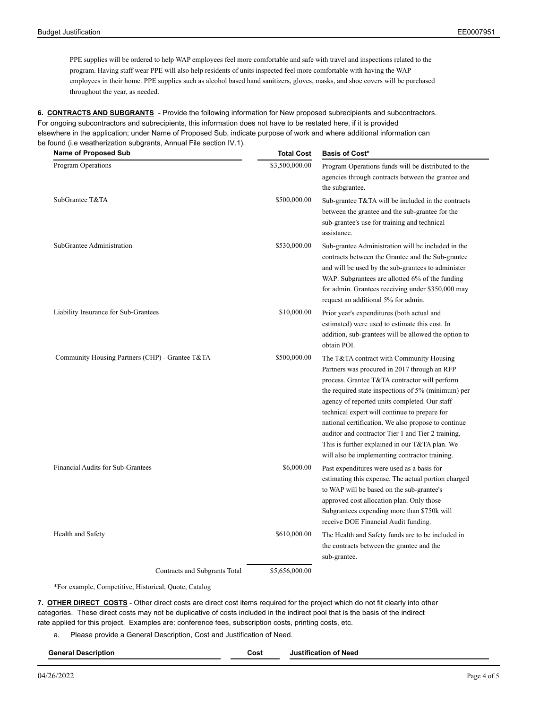PPE supplies will be ordered to help WAP employees feel more comfortable and safe with travel and inspections related to the program. Having staff wear PPE will also help residents of units inspected feel more comfortable with having the WAP employees in their home. PPE supplies such as alcohol based hand sanitizers, gloves, masks, and shoe covers will be purchased throughout the year, as needed.

**6. CONTRACTS AND SUBGRANTS** - Provide the following information for New proposed subrecipients and subcontractors. For ongoing subcontractors and subrecipients, this information does not have to be restated here, if it is provided elsewhere in the application; under Name of Proposed Sub, indicate purpose of work and where additional information can be found (i.e weatherization subgrants, Annual File section IV.1).

| <b>Name of Proposed Sub</b>                     | <b>Total Cost</b> | <b>Basis of Cost*</b>                                                                                                                                                                                                                                                                                                                                                                                                                                                                                              |
|-------------------------------------------------|-------------------|--------------------------------------------------------------------------------------------------------------------------------------------------------------------------------------------------------------------------------------------------------------------------------------------------------------------------------------------------------------------------------------------------------------------------------------------------------------------------------------------------------------------|
| Program Operations                              | \$3,500,000.00    | Program Operations funds will be distributed to the<br>agencies through contracts between the grantee and<br>the subgrantee.                                                                                                                                                                                                                                                                                                                                                                                       |
| SubGrantee T&TA                                 | \$500,000.00      | Sub-grantee T&TA will be included in the contracts<br>between the grantee and the sub-grantee for the<br>sub-grantee's use for training and technical<br>assistance.                                                                                                                                                                                                                                                                                                                                               |
| SubGrantee Administration                       | \$530,000.00      | Sub-grantee Administration will be included in the<br>contracts between the Grantee and the Sub-grantee<br>and will be used by the sub-grantees to administer<br>WAP. Subgrantees are allotted 6% of the funding<br>for admin. Grantees receiving under \$350,000 may<br>request an additional 5% for admin.                                                                                                                                                                                                       |
| Liability Insurance for Sub-Grantees            | \$10,000.00       | Prior year's expenditures (both actual and<br>estimated) were used to estimate this cost. In<br>addition, sub-grantees will be allowed the option to<br>obtain POI.                                                                                                                                                                                                                                                                                                                                                |
| Community Housing Partners (CHP) - Grantee T&TA | \$500,000.00      | The T&TA contract with Community Housing<br>Partners was procured in 2017 through an RFP<br>process. Grantee T&TA contractor will perform<br>the required state inspections of 5% (minimum) per<br>agency of reported units completed. Our staff<br>technical expert will continue to prepare for<br>national certification. We also propose to continue<br>auditor and contractor Tier 1 and Tier 2 training.<br>This is further explained in our T&TA plan. We<br>will also be implementing contractor training. |
| Financial Audits for Sub-Grantees               | \$6,000.00        | Past expenditures were used as a basis for<br>estimating this expense. The actual portion charged<br>to WAP will be based on the sub-grantee's<br>approved cost allocation plan. Only those<br>Subgrantees expending more than \$750k will<br>receive DOE Financial Audit funding.                                                                                                                                                                                                                                 |
| Health and Safety                               | \$610,000.00      | The Health and Safety funds are to be included in<br>the contracts between the grantee and the<br>sub-grantee.                                                                                                                                                                                                                                                                                                                                                                                                     |
| Contracts and Subgrants Total                   | \$5,656,000.00    |                                                                                                                                                                                                                                                                                                                                                                                                                                                                                                                    |

\*For example, Competitive, Historical, Quote, Catalog

**7. OTHER DIRECT COSTS** - Other direct costs are direct cost items required for the project which do not fit clearly into other categories. These direct costs may not be duplicative of costs included in the indirect pool that is the basis of the indirect rate applied for this project. Examples are: conference fees, subscription costs, printing costs, etc.

a. Please provide a General Description, Cost and Justification of Need.

| <b>General Description</b> | Cost | Justification of Need |
|----------------------------|------|-----------------------|
| $ -$                       | .    |                       |
|                            |      |                       |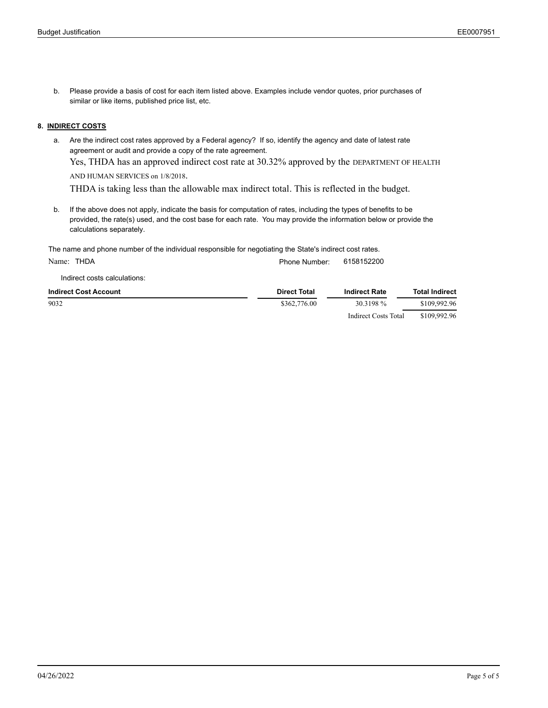b. Please provide a basis of cost for each item listed above. Examples include vendor quotes, prior purchases of similar or like items, published price list, etc.

### **8. INDIRECT COSTS**

a. Are the indirect cost rates approved by a Federal agency? If so, identify the agency and date of latest rate agreement or audit and provide a copy of the rate agreement.

Yes, THDA has an approved indirect cost rate at 30.32% approved by the DEPARTMENT OF HEALTH

AND HUMAN SERVICES on 1/8/2018.<br>THDA is taking less than the allowable max indirect total. This is reflected in the budget.

b. If the above does not apply, indicate the basis for computation of rates, including the types of benefits to be provided, the rate(s) used, and the cost base for each rate. You may provide the information below or provide the calculations separately.

The name and phone number of the individual responsible for negotiating the State's indirect cost rates.

Name: THDA **Phone Number: 6158152200** 

Indirect costs calculations:

| <b>Indirect Cost Account</b> | <b>Direct Total</b> | <b>Indirect Rate</b> | <b>Total Indirect</b> |
|------------------------------|---------------------|----------------------|-----------------------|
| 9032                         | \$362,776.00        | 30.3198 %            | \$109,992.96          |
|                              |                     | Indirect Costs Total | \$109,992.96          |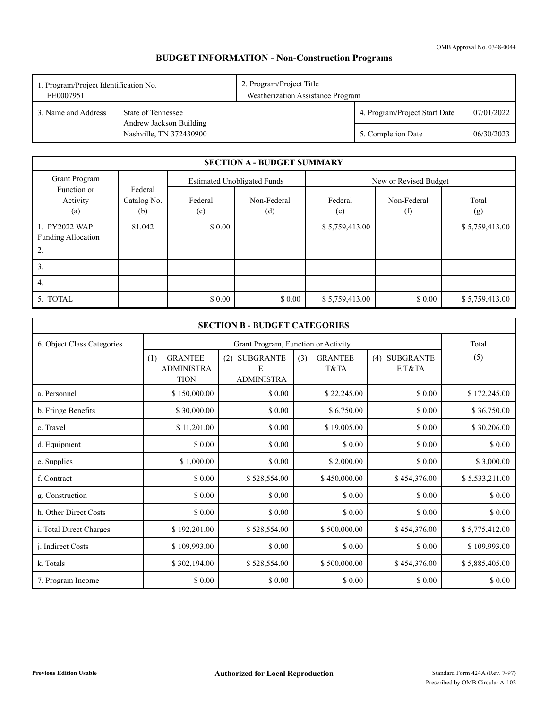OMB Approval No. 0348-0044

# **BUDGET INFORMATION - Non-Construction Programs**

| EE0007951           | 2. Program/Project Title<br>1. Program/Project Identification No.<br>Weatherization Assistance Program |  |                               |            |
|---------------------|--------------------------------------------------------------------------------------------------------|--|-------------------------------|------------|
| 3. Name and Address | State of Tennessee                                                                                     |  | 4. Program/Project Start Date | 07/01/2022 |
|                     | Andrew Jackson Building<br>Nashville, TN 372430900                                                     |  | 5. Completion Date            | 06/30/2023 |

|                                            |                               |                | <b>SECTION A - BUDGET SUMMARY</b>  |                |                       |                |
|--------------------------------------------|-------------------------------|----------------|------------------------------------|----------------|-----------------------|----------------|
| Grant Program                              |                               |                | <b>Estimated Unobligated Funds</b> |                | New or Revised Budget |                |
| Function or<br>Activity<br>(a)             | Federal<br>Catalog No.<br>(b) | Federal<br>(c) | Non-Federal<br>(d)                 | Federal<br>(e) | Non-Federal<br>(f)    | Total<br>(g)   |
| 1. PY2022 WAP<br><b>Funding Allocation</b> | 81.042                        | \$0.00         |                                    | \$5,759,413.00 |                       | \$5,759,413.00 |
| 2.                                         |                               |                |                                    |                |                       |                |
| 3.                                         |                               |                |                                    |                |                       |                |
| 4.                                         |                               |                |                                    |                |                       |                |
| 5. TOTAL                                   |                               | \$0.00         | \$0.00                             | \$5,759,413.00 | \$0.00                | \$5,759,413.00 |

|                            |                                                           | <b>SECTION B - BUDGET CATEGORIES</b>    |                               |                         |                |
|----------------------------|-----------------------------------------------------------|-----------------------------------------|-------------------------------|-------------------------|----------------|
| 6. Object Class Categories |                                                           | Total                                   |                               |                         |                |
|                            | <b>GRANTEE</b><br>(1)<br><b>ADMINISTRA</b><br><b>TION</b> | (2) SUBGRANTE<br>E<br><b>ADMINISTRA</b> | <b>GRANTEE</b><br>(3)<br>T&TA | (4) SUBGRANTE<br>E T&TA | (5)            |
| a. Personnel               | \$150,000.00                                              | \$0.00                                  | \$22,245.00                   | \$0.00                  | \$172,245.00   |
| b. Fringe Benefits         | \$30,000.00                                               | \$0.00                                  | \$6,750.00                    | \$ 0.00                 | \$36,750.00    |
| c. Travel                  | \$11,201.00                                               | \$0.00                                  | \$19,005.00                   | \$ 0.00                 | \$30,206.00    |
| d. Equipment               | \$0.00                                                    | \$0.00                                  | \$0.00                        | \$0.00                  | \$0.00         |
| e. Supplies                | \$1,000.00                                                | \$0.00                                  | \$2,000.00                    | \$ 0.00                 | \$3,000.00     |
| f. Contract                | \$0.00                                                    | \$528,554.00                            | \$450,000.00                  | \$454,376.00            | \$5,533,211.00 |
| g. Construction            | \$ 0.00                                                   | \$0.00                                  | \$ 0.00                       | \$ 0.00                 | \$0.00         |
| h. Other Direct Costs      | \$ 0.00                                                   | \$0.00                                  | \$ 0.00                       | \$ 0.00                 | \$ 0.00        |
| i. Total Direct Charges    | \$192,201.00                                              | \$528,554.00                            | \$500,000.00                  | \$454,376.00            | \$5,775,412.00 |
| <i>i.</i> Indirect Costs   | \$109,993.00                                              | \$0.00                                  | \$0.00                        | \$ 0.00                 | \$109,993.00   |
| k. Totals                  | \$302,194.00                                              | \$528,554.00                            | \$500,000.00                  | \$454,376.00            | \$5,885,405.00 |
| 7. Program Income          | \$ 0.00                                                   | \$ 0.00                                 | \$ 0.00                       | \$ 0.00                 | \$ 0.00        |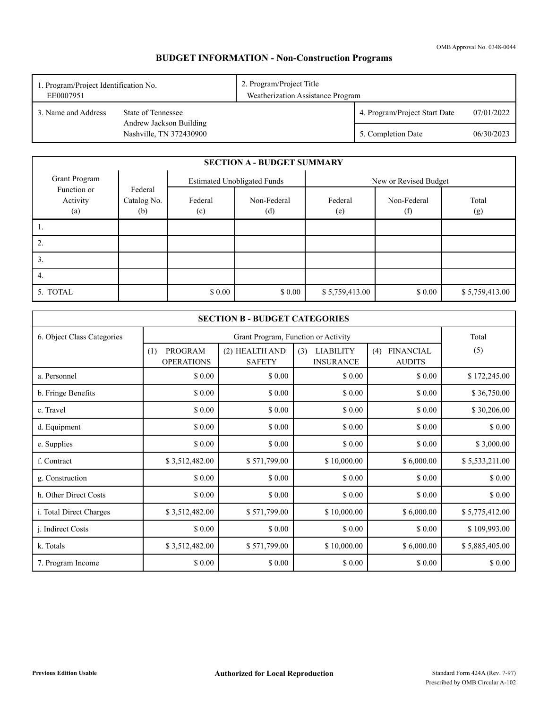# **BUDGET INFORMATION - Non-Construction Programs**

| EE0007951             | 2. Program/Project Title<br>1. Program/Project Identification No.<br>Weatherization Assistance Program |  |                               |            |
|-----------------------|--------------------------------------------------------------------------------------------------------|--|-------------------------------|------------|
| 1.3. Name and Address | State of Tennessee                                                                                     |  | 4. Program/Project Start Date | 07/01/2022 |
|                       | Andrew Jackson Building<br>Nashville, TN 372430900                                                     |  | 5. Completion Date            | 06/30/2023 |

|                                | <b>SECTION A - BUDGET SUMMARY</b> |                |                                    |                |                       |                |  |  |  |
|--------------------------------|-----------------------------------|----------------|------------------------------------|----------------|-----------------------|----------------|--|--|--|
| Grant Program                  |                                   |                | <b>Estimated Unobligated Funds</b> |                | New or Revised Budget |                |  |  |  |
| Function or<br>Activity<br>(a) | Federal<br>Catalog No.<br>(b)     | Federal<br>(c) | Non-Federal<br>(d)                 | Federal<br>(e) | Non-Federal<br>(f)    | Total<br>(g)   |  |  |  |
| .,                             |                                   |                |                                    |                |                       |                |  |  |  |
| 2.                             |                                   |                |                                    |                |                       |                |  |  |  |
| 3.                             |                                   |                |                                    |                |                       |                |  |  |  |
| 4.                             |                                   |                |                                    |                |                       |                |  |  |  |
| 5. TOTAL                       |                                   | \$0.00         | \$0.00                             | \$5,759,413.00 | \$0.00                | \$5,759,413.00 |  |  |  |

|                            |                                     | <b>SECTION B - BUDGET CATEGORIES</b> |                                             |                                          |                |  |  |  |  |
|----------------------------|-------------------------------------|--------------------------------------|---------------------------------------------|------------------------------------------|----------------|--|--|--|--|
| 6. Object Class Categories |                                     | Grant Program, Function or Activity  |                                             |                                          |                |  |  |  |  |
|                            | PROGRAM<br>(1)<br><b>OPERATIONS</b> | (2) HEALTH AND<br><b>SAFETY</b>      | (3)<br><b>LIABILITY</b><br><b>INSURANCE</b> | <b>FINANCIAL</b><br>(4)<br><b>AUDITS</b> | (5)            |  |  |  |  |
| a. Personnel               | \$0.00                              | \$0.00                               | \$0.00                                      | \$ 0.00                                  | \$172,245.00   |  |  |  |  |
| b. Fringe Benefits         | \$0.00                              | \$0.00                               | \$ 0.00                                     | \$ 0.00                                  | \$36,750.00    |  |  |  |  |
| c. Travel                  | \$0.00                              | \$0.00                               | \$ 0.00                                     | \$ 0.00                                  | \$30,206.00    |  |  |  |  |
| d. Equipment               | \$0.00                              | \$0.00                               | \$0.00                                      | \$ 0.00                                  | \$0.00         |  |  |  |  |
| e. Supplies                | \$0.00                              | \$0.00                               | \$0.00                                      | \$ 0.00                                  | \$3,000.00     |  |  |  |  |
| f. Contract                | \$3,512,482.00                      | \$571,799.00                         | \$10,000.00                                 | \$6,000.00                               | \$5,533,211.00 |  |  |  |  |
| g. Construction            | \$0.00                              | \$0.00                               | \$0.00                                      | \$ 0.00                                  | \$0.00         |  |  |  |  |
| h. Other Direct Costs      | \$0.00                              | \$0.00                               | \$0.00                                      | \$0.00                                   | \$0.00         |  |  |  |  |
| i. Total Direct Charges    | \$3,512,482.00                      | \$571,799.00                         | \$10,000.00                                 | \$6,000.00                               | \$5,775,412.00 |  |  |  |  |
| <i>i.</i> Indirect Costs   | \$0.00                              | \$0.00                               | \$ 0.00                                     | \$0.00                                   | \$109,993.00   |  |  |  |  |
| k. Totals                  | \$3,512,482.00                      | \$571,799.00                         | \$10,000.00                                 | \$6,000.00                               | \$5,885,405.00 |  |  |  |  |
| 7. Program Income          | \$0.00                              | \$0.00                               | \$0.00                                      | \$0.00                                   | \$0.00         |  |  |  |  |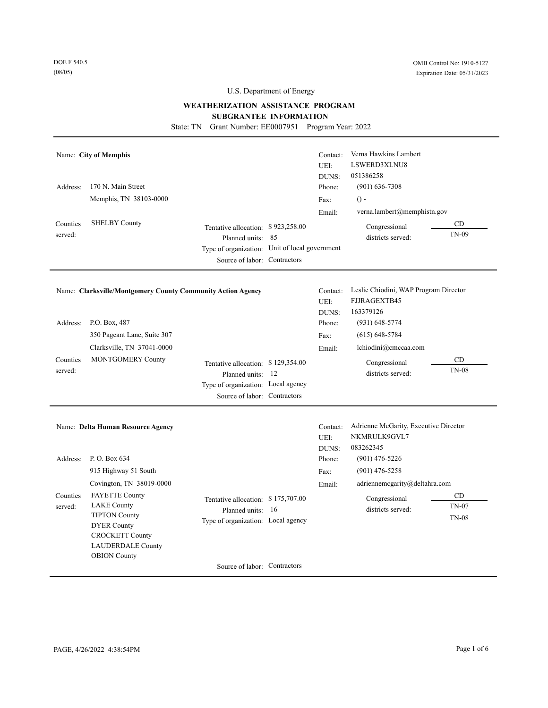DOE F 540.5 (08/05)

# U.S. Department of Energy

### **WEATHERIZATION ASSISTANCE PROGRAM**

**SUBGRANTEE INFORMATION** 

State: TN Grant Number: EE0007951 Program Year: 2022

| Address:<br>Counties<br>served: | Name: City of Memphis<br>170 N. Main Street<br>Memphis, TN 38103-0000<br><b>SHELBY County</b>                                                                          | Tentative allocation: \$923,258.00<br>Planned units: 85<br>Type of organization: Unit of local government<br>Source of labor: Contractors | Contact:<br>UEI:<br>DUNS:<br>Phone:<br>Fax:<br>Email: | Verna Hawkins Lambert<br>LSWERD3XLNU8<br>051386258<br>$(901)$ 636-7308<br>$() -$<br>verna.lambert@memphistn.gov<br>Congressional<br>districts served: | CD<br>TN-09                        |
|---------------------------------|------------------------------------------------------------------------------------------------------------------------------------------------------------------------|-------------------------------------------------------------------------------------------------------------------------------------------|-------------------------------------------------------|-------------------------------------------------------------------------------------------------------------------------------------------------------|------------------------------------|
|                                 | Name: Clarksville/Montgomery County Community Action Agency                                                                                                            |                                                                                                                                           | Contact:<br>UEI:<br>DUNS:                             | Leslie Chiodini, WAP Program Director<br>FJJRAGEXTB45<br>163379126                                                                                    |                                    |
| Address:                        | P.O. Box, 487<br>350 Pageant Lane, Suite 307<br>Clarksville, TN 37041-0000                                                                                             |                                                                                                                                           | Phone:<br>Fax:<br>Email:                              | $(931)$ 648-5774<br>$(615) 648 - 5784$<br>lchiodini@cmccaa.com                                                                                        |                                    |
| Counties<br>served:             | MONTGOMERY County                                                                                                                                                      | Tentative allocation: \$129,354.00<br>Planned units: 12<br>Type of organization: Local agency<br>Source of labor: Contractors             |                                                       | Congressional<br>districts served:                                                                                                                    | CD<br><b>TN-08</b>                 |
|                                 | Name: Delta Human Resource Agency                                                                                                                                      |                                                                                                                                           | Contact:<br>UEI:<br>DUNS:                             | Adrienne McGarity, Executive Director<br>NKMRULK9GVL7<br>083262345                                                                                    |                                    |
| Address:                        | P.O. Box 634                                                                                                                                                           |                                                                                                                                           | Phone:                                                | $(901)$ 476-5226                                                                                                                                      |                                    |
|                                 | 915 Highway 51 South<br>Covington, TN 38019-0000                                                                                                                       |                                                                                                                                           | Fax:<br>Email:                                        | $(901)$ 476-5258<br>adriennemcgarity@deltahra.com                                                                                                     |                                    |
| Counties<br>served:             | <b>FAYETTE County</b><br><b>LAKE County</b><br><b>TIPTON County</b><br><b>DYER County</b><br><b>CROCKETT County</b><br><b>LAUDERDALE County</b><br><b>OBION County</b> | Tentative allocation: \$175,707.00<br>Planned units: 16<br>Type of organization: Local agency                                             |                                                       | Congressional<br>districts served:                                                                                                                    | <b>CD</b><br>TN-07<br><b>TN-08</b> |
|                                 |                                                                                                                                                                        |                                                                                                                                           |                                                       |                                                                                                                                                       |                                    |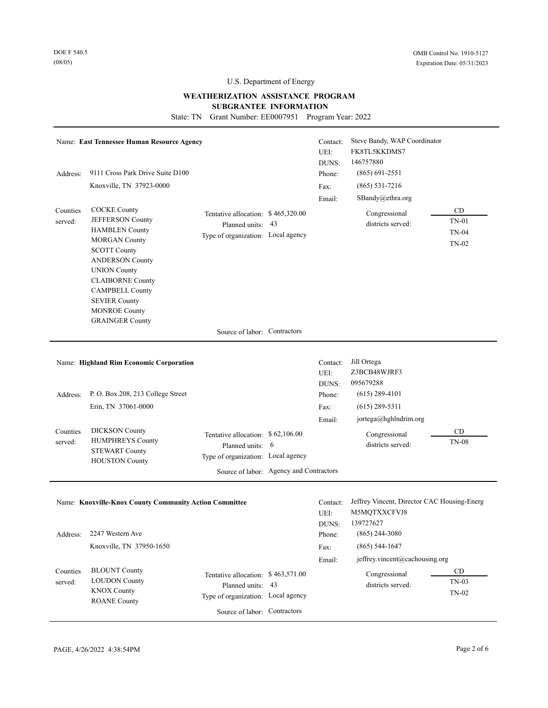# **WEATHERIZATION ASSISTANCE PROGRAM SUBGRANTEE INFORMATION**

State: TN Grant Number: EE0007951 Program Year: 2022

|                     | Name: East Tennessee Human Resource Agency                                                                                                                                                                                                                                                      |                                                                                                                                        | Contact:<br>UEI:<br>DUNS: | Steve Bandy, WAP Coordinator<br>FK8TL5KKDMS7<br>146757880                |                                 |
|---------------------|-------------------------------------------------------------------------------------------------------------------------------------------------------------------------------------------------------------------------------------------------------------------------------------------------|----------------------------------------------------------------------------------------------------------------------------------------|---------------------------|--------------------------------------------------------------------------|---------------------------------|
| Address:            | 9111 Cross Park Drive Suite D100                                                                                                                                                                                                                                                                |                                                                                                                                        | Phone:                    | $(865) 691 - 2551$                                                       |                                 |
|                     | Knoxville, TN 37923-0000                                                                                                                                                                                                                                                                        |                                                                                                                                        | Fax:                      | $(865) 531 - 7216$                                                       |                                 |
|                     |                                                                                                                                                                                                                                                                                                 |                                                                                                                                        | Email:                    | SBandy@ethra.org                                                         |                                 |
| Counties<br>served: | <b>COCKE County</b><br>JEFFERSON County<br><b>HAMBLEN County</b><br><b>MORGAN County</b><br><b>SCOTT County</b><br><b>ANDERSON County</b><br><b>UNION County</b><br><b>CLAIBORNE County</b><br><b>CAMPBELL County</b><br><b>SEVIER County</b><br><b>MONROE County</b><br><b>GRAINGER County</b> | Tentative allocation: \$465,320.00<br>Planned units: 43<br>Type of organization: Local agency                                          |                           | Congressional<br>districts served:                                       | CD<br>$TN-01$<br>TN-04<br>TN-02 |
|                     |                                                                                                                                                                                                                                                                                                 | Source of labor: Contractors                                                                                                           |                           |                                                                          |                                 |
|                     |                                                                                                                                                                                                                                                                                                 |                                                                                                                                        |                           |                                                                          |                                 |
|                     | Name: Highland Rim Economic Corporation                                                                                                                                                                                                                                                         |                                                                                                                                        | Contact:<br>UEI:<br>DUNS: | Jill Ortega<br>Z3BCB48WJRF3<br>095679288                                 |                                 |
| Address:            | P.O. Box 208, 213 College Street                                                                                                                                                                                                                                                                |                                                                                                                                        | Phone:                    | $(615)$ 289-4101                                                         |                                 |
|                     | Erin, TN 37061-0000                                                                                                                                                                                                                                                                             |                                                                                                                                        | Fax:                      | $(615)$ 289-5311                                                         |                                 |
|                     |                                                                                                                                                                                                                                                                                                 |                                                                                                                                        | Email:                    | jortega@hghlndrim.org                                                    |                                 |
| Counties<br>served: | <b>DICKSON</b> County<br><b>HUMPHREYS County</b><br><b>STEWART County</b><br><b>HOUSTON County</b>                                                                                                                                                                                              | Tentative allocation: \$62,106.00<br>Planned units: 6<br>Type of organization: Local agency<br>Source of labor: Agency and Contractors |                           | Congressional<br>districts served:                                       | <b>CD</b><br><b>TN-08</b>       |
|                     | Name: Knoxville-Knox County Community Action Committee                                                                                                                                                                                                                                          |                                                                                                                                        | Contact:<br>UEI:<br>DUNS: | Jeffrey Vincent, Director CAC Housing-Energ<br>M5MQTXXCFVJ8<br>139727627 |                                 |
|                     | Address: 2247 Western Ave                                                                                                                                                                                                                                                                       |                                                                                                                                        | Phone:                    | $(865)$ 244-3080                                                         |                                 |
|                     | Knoxville, TN 37950-1650                                                                                                                                                                                                                                                                        |                                                                                                                                        | Fax:                      | $(865)$ 544-1647                                                         |                                 |
|                     |                                                                                                                                                                                                                                                                                                 |                                                                                                                                        | Email:                    | jeffrey.vincent@cachousing.org                                           |                                 |
| Counties<br>served: | <b>BLOUNT County</b><br><b>LOUDON County</b><br><b>KNOX County</b><br><b>ROANE County</b>                                                                                                                                                                                                       | Tentative allocation: \$463,571.00<br>Planned units: 43<br>Type of organization: Local agency                                          |                           | Congressional<br>districts served:                                       | CD<br>$TN-03$<br>TN-02          |
|                     |                                                                                                                                                                                                                                                                                                 | Source of labor: Contractors                                                                                                           |                           |                                                                          |                                 |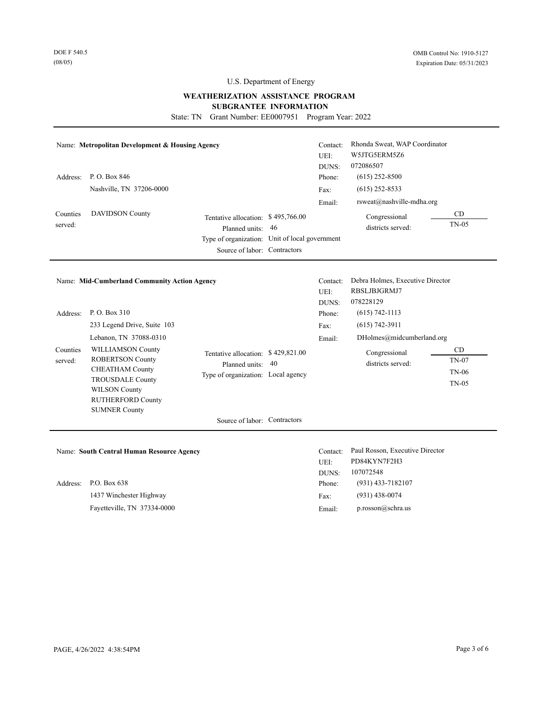# **WEATHERIZATION ASSISTANCE PROGRAM**

#### **SUBGRANTEE INFORMATION**

State: TN Grant Number: EE0007951 Program Year: 2022

|                     | Name: Metropolitan Development & Housing Agency                                                                                                                                      |                                                                                                                                        |     | Contact:<br>UEI:<br>DUNS: | Rhonda Sweat, WAP Coordinator<br>W5JTG5ERM5Z6<br>072086507    |                                               |
|---------------------|--------------------------------------------------------------------------------------------------------------------------------------------------------------------------------------|----------------------------------------------------------------------------------------------------------------------------------------|-----|---------------------------|---------------------------------------------------------------|-----------------------------------------------|
| Address:            | P.O. Box 846                                                                                                                                                                         |                                                                                                                                        |     | Phone:                    | $(615)$ 252-8500                                              |                                               |
|                     | Nashville, TN 37206-0000                                                                                                                                                             |                                                                                                                                        |     | Fax:                      | $(615)$ 252-8533                                              |                                               |
|                     |                                                                                                                                                                                      |                                                                                                                                        |     | Email:                    | rsweat@nashville-mdha.org                                     |                                               |
| Counties<br>served: | <b>DAVIDSON County</b>                                                                                                                                                               | Tentative allocation: \$495,766.00<br>Planned units:<br>Type of organization: Unit of local government<br>Source of labor: Contractors | -46 |                           | Congressional<br>districts served:                            | CD<br>$TN-05$                                 |
|                     |                                                                                                                                                                                      |                                                                                                                                        |     |                           |                                                               |                                               |
|                     | Name: Mid-Cumberland Community Action Agency                                                                                                                                         |                                                                                                                                        |     | Contact:<br>UEI:          | Debra Holmes, Executive Director<br>RBSLJBJGRMJ7<br>078228129 |                                               |
| Address:            | P.O. Box 310                                                                                                                                                                         |                                                                                                                                        |     | DUNS:<br>Phone:           | $(615) 742 - 1113$                                            |                                               |
|                     | 233 Legend Drive, Suite 103                                                                                                                                                          |                                                                                                                                        |     | Fax:                      | $(615) 742 - 3911$                                            |                                               |
|                     | Lebanon, TN 37088-0310                                                                                                                                                               |                                                                                                                                        |     | Email:                    | DHolmes@midcumberland.org                                     |                                               |
| Counties<br>served: | <b>WILLIAMSON County</b><br><b>ROBERTSON County</b><br><b>CHEATHAM County</b><br><b>TROUSDALE County</b><br><b>WILSON County</b><br><b>RUTHERFORD County</b><br><b>SUMNER County</b> | Tentative allocation: \$429,821.00<br>Planned units:<br>Type of organization: Local agency                                             | -40 |                           | Congressional<br>districts served:                            | CD<br><b>TN-07</b><br><b>TN-06</b><br>$TN-05$ |

Name: **South Central Human Resource Agency** Contact: Paul Rosson, Executive Director

Fayetteville, TN 37334-0000 1437 Winchester Highway Address: P.O. Box 638

UEI: PD84KYN7F2H3 DUNS: 107072548 (931) 438-0074 (931) 433-7182107 Phone: Fax: Email: p.rosson@schra.us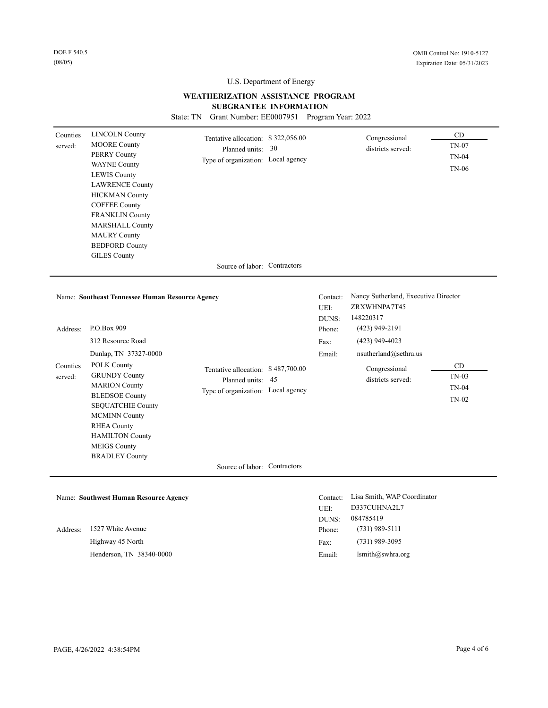# **WEATHERIZATION ASSISTANCE PROGRAM SUBGRANTEE INFORMATION**

State: TN Grant Number: EE0007951 Program Year: 2022

| Counties<br>served:             | <b>LINCOLN County</b><br><b>MOORE County</b><br><b>PERRY County</b><br><b>WAYNE County</b><br><b>LEWIS County</b><br><b>LAWRENCE County</b><br><b>HICKMAN County</b><br><b>COFFEE County</b><br><b>FRANKLIN County</b><br><b>MARSHALL County</b><br><b>MAURY County</b><br><b>BEDFORD County</b> | Tentative allocation: \$322,056.00<br>Planned units: 30<br>Type of organization: Local agency |                                                       | Congressional<br>districts served:                                                                                                                                       | CD<br>TN-07<br><b>TN-04</b><br><b>TN-06</b> |
|---------------------------------|--------------------------------------------------------------------------------------------------------------------------------------------------------------------------------------------------------------------------------------------------------------------------------------------------|-----------------------------------------------------------------------------------------------|-------------------------------------------------------|--------------------------------------------------------------------------------------------------------------------------------------------------------------------------|---------------------------------------------|
|                                 | <b>GILES County</b>                                                                                                                                                                                                                                                                              | Source of labor: Contractors                                                                  |                                                       |                                                                                                                                                                          |                                             |
| Address:<br>Counties<br>served: | Name: Southeast Tennessee Human Resource Agency<br>P.O.Box 909<br>312 Resource Road<br>Dunlap, TN 37327-0000<br>POLK County<br><b>GRUNDY County</b><br><b>MARION County</b><br><b>BLEDSOE County</b><br>SEQUATCHIE County                                                                        | Tentative allocation: \$487,700.00<br>Planned units: 45<br>Type of organization: Local agency | Contact:<br>UEI:<br>DUNS:<br>Phone:<br>Fax:<br>Email: | Nancy Sutherland, Executive Director<br>ZRXWHNPA7T45<br>148220317<br>$(423)$ 949-2191<br>$(423)$ 949-4023<br>nsutherland@sethra.us<br>Congressional<br>districts served: | CD<br>$TN-03$<br><b>TN-04</b><br>TN-02      |
|                                 | <b>MCMINN County</b><br><b>RHEA County</b><br><b>HAMILTON County</b><br><b>MEIGS County</b><br><b>BRADLEY County</b>                                                                                                                                                                             | Source of labor: Contractors                                                                  |                                                       |                                                                                                                                                                          |                                             |
|                                 |                                                                                                                                                                                                                                                                                                  |                                                                                               |                                                       |                                                                                                                                                                          |                                             |
|                                 | Name: Southwest Human Resource Agency                                                                                                                                                                                                                                                            |                                                                                               | Contact:<br>UEI:<br>DUNS:                             | Lisa Smith, WAP Coordinator<br>D337CUHNA2L7<br>084785419                                                                                                                 |                                             |
| Address:                        | 1527 White Avenue                                                                                                                                                                                                                                                                                |                                                                                               | Phone:                                                | $(731)$ 989-5111                                                                                                                                                         |                                             |
|                                 | Highway 45 North                                                                                                                                                                                                                                                                                 |                                                                                               | Fax:                                                  | $(731)$ 989-3095                                                                                                                                                         |                                             |
|                                 | Henderson, TN 38340-0000                                                                                                                                                                                                                                                                         |                                                                                               | Email:                                                | lsmith@swhra.org                                                                                                                                                         |                                             |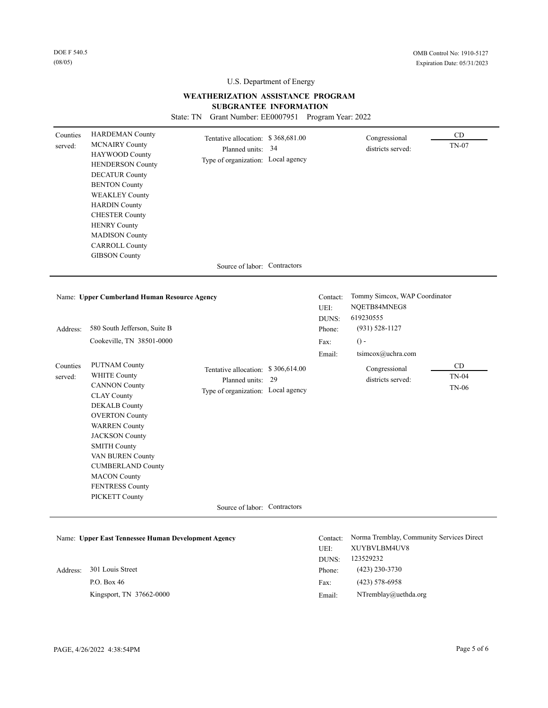# **WEATHERIZATION ASSISTANCE PROGRAM**

**SUBGRANTEE INFORMATION** 

State: TN Grant Number: EE0007951 Program Year: 2022

| Counties<br>served: | <b>HARDEMAN County</b><br><b>MCNAIRY County</b><br>HAYWOOD County<br><b>HENDERSON County</b><br><b>DECATUR County</b><br><b>BENTON County</b><br><b>WEAKLEY County</b><br><b>HARDIN County</b><br><b>CHESTER County</b><br><b>HENRY County</b><br><b>MADISON County</b><br><b>CARROLL County</b>                                      | Tentative allocation: \$368,681.00<br>Planned units: 34<br>Type of organization: Local agency |    |                           | Congressional<br>districts served:                                     | CD<br>TN-07                        |
|---------------------|---------------------------------------------------------------------------------------------------------------------------------------------------------------------------------------------------------------------------------------------------------------------------------------------------------------------------------------|-----------------------------------------------------------------------------------------------|----|---------------------------|------------------------------------------------------------------------|------------------------------------|
|                     | <b>GIBSON County</b>                                                                                                                                                                                                                                                                                                                  | Source of labor: Contractors                                                                  |    |                           |                                                                        |                                    |
|                     |                                                                                                                                                                                                                                                                                                                                       |                                                                                               |    |                           |                                                                        |                                    |
|                     | Name: Upper Cumberland Human Resource Agency                                                                                                                                                                                                                                                                                          |                                                                                               |    | Contact:<br>UEI:<br>DUNS: | Tommy Simcox, WAP Coordinator<br>NQETB84MNEG8<br>619230555             |                                    |
| Address:            | 580 South Jefferson, Suite B                                                                                                                                                                                                                                                                                                          |                                                                                               |    | Phone:                    | $(931) 528 - 1127$                                                     |                                    |
|                     | Cookeville, TN 38501-0000                                                                                                                                                                                                                                                                                                             |                                                                                               |    | Fax:                      | $\theta$ -                                                             |                                    |
|                     |                                                                                                                                                                                                                                                                                                                                       |                                                                                               |    | Email:                    | tsimcox@uchra.com                                                      |                                    |
| Counties<br>served: | <b>PUTNAM County</b><br><b>WHITE County</b><br><b>CANNON County</b><br><b>CLAY County</b><br><b>DEKALB County</b><br><b>OVERTON County</b><br><b>WARREN</b> County<br><b>JACKSON County</b><br><b>SMITH County</b><br>VAN BUREN County<br><b>CUMBERLAND County</b><br><b>MACON County</b><br><b>FENTRESS County</b><br>PICKETT County | Tentative allocation: \$306,614.00<br>Planned units:<br>Type of organization: Local agency    | 29 |                           | Congressional<br>districts served:                                     | CD<br><b>TN-04</b><br><b>TN-06</b> |
|                     |                                                                                                                                                                                                                                                                                                                                       | Source of labor: Contractors                                                                  |    |                           |                                                                        |                                    |
|                     | Name: Upper East Tennessee Human Development Agency                                                                                                                                                                                                                                                                                   |                                                                                               |    | Contact:<br>UEI:<br>DUNS: | Norma Tremblay, Community Services Direct<br>XUYBVLBM4UV8<br>123529232 |                                    |
| Address:            | 301 Louis Street                                                                                                                                                                                                                                                                                                                      |                                                                                               |    | Phone:                    | $(423)$ 230-3730                                                       |                                    |
|                     | P.O. Box 46                                                                                                                                                                                                                                                                                                                           |                                                                                               |    | Fax:                      | $(423) 578 - 6958$                                                     |                                    |
|                     | Kingsport, TN 37662-0000                                                                                                                                                                                                                                                                                                              |                                                                                               |    | Email:                    | NTremblay@uethda.org                                                   |                                    |

Email: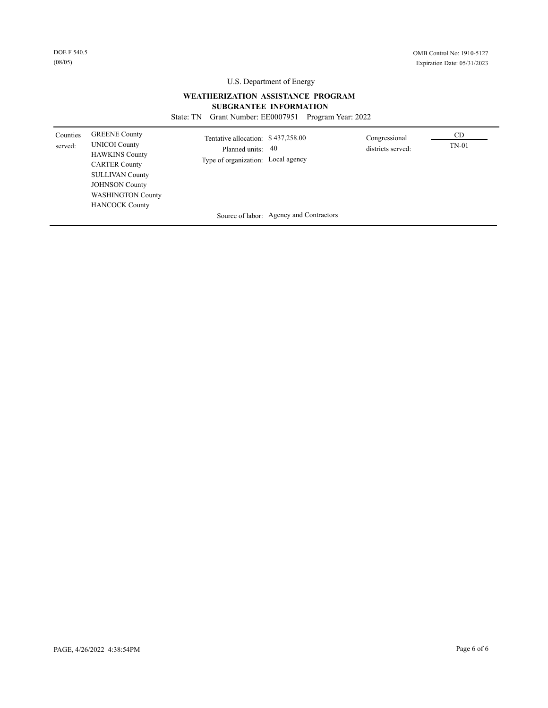# **WEATHERIZATION ASSISTANCE PROGRAM**

# **SUBGRANTEE INFORMATION**

State: TN Grant Number: EE0007951 Program Year: 2022

| Counties<br>served: | <b>GREENE County</b><br><b>UNICOI County</b><br><b>HAWKINS County</b><br><b>CARTER County</b><br><b>SULLIVAN County</b><br><b>JOHNSON County</b><br><b>WASHINGTON County</b><br><b>HANCOCK County</b> | Tentative allocation: \$437,258.00<br>Planned units:<br>Type of organization: Local agency | -40                                     | Congressional<br>districts served: | CD.<br>$TN-01$ |  |
|---------------------|-------------------------------------------------------------------------------------------------------------------------------------------------------------------------------------------------------|--------------------------------------------------------------------------------------------|-----------------------------------------|------------------------------------|----------------|--|
|                     |                                                                                                                                                                                                       |                                                                                            | Source of labor: Agency and Contractors |                                    |                |  |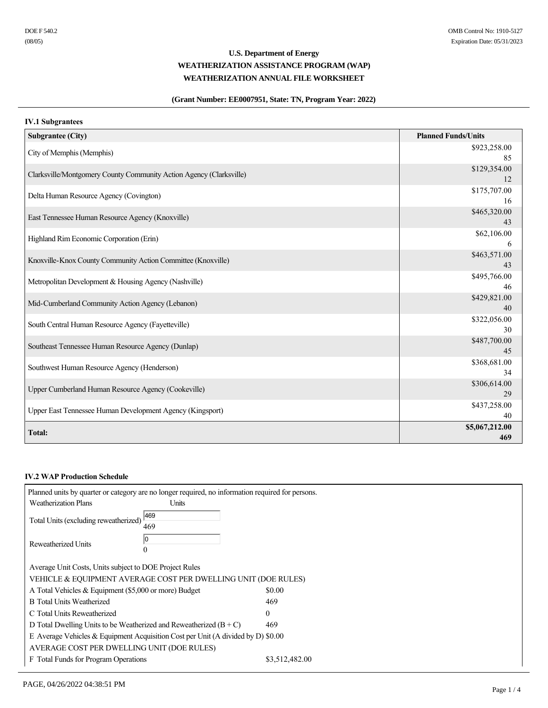# **(Grant Number: EE0007951, State: TN, Program Year: 2022)**

# **IV.1 Subgrantees**

| <b>Subgrantee (City)</b>                                            | <b>Planned Funds/Units</b> |
|---------------------------------------------------------------------|----------------------------|
| City of Memphis (Memphis)                                           | \$923,258.00<br>85         |
| Clarksville/Montgomery County Community Action Agency (Clarksville) | \$129,354.00<br>12         |
| Delta Human Resource Agency (Covington)                             | \$175,707.00<br>16         |
| East Tennessee Human Resource Agency (Knoxville)                    | \$465,320.00<br>43         |
| Highland Rim Economic Corporation (Erin)                            | \$62,106.00<br>6           |
| Knoxville-Knox County Community Action Committee (Knoxville)        | \$463,571.00<br>43         |
| Metropolitan Development & Housing Agency (Nashville)               | \$495,766.00<br>46         |
| Mid-Cumberland Community Action Agency (Lebanon)                    | \$429,821.00<br>40         |
| South Central Human Resource Agency (Fayetteville)                  | \$322,056.00<br>30         |
| Southeast Tennessee Human Resource Agency (Dunlap)                  | \$487,700.00<br>45         |
| Southwest Human Resource Agency (Henderson)                         | \$368,681.00<br>34         |
| Upper Cumberland Human Resource Agency (Cookeville)                 | \$306,614.00<br>29         |
| Upper East Tennessee Human Development Agency (Kingsport)           | \$437,258.00<br>40         |
| <b>Total:</b>                                                       | \$5,067,212.00<br>469      |

#### **IV.2 WAP Production Schedule**

|  | Planned units by quarter or category are no longer required, no information required for persons. |              |                |
|--|---------------------------------------------------------------------------------------------------|--------------|----------------|
|  | <b>Weatherization Plans</b>                                                                       | <b>Units</b> |                |
|  | Total Units (excluding reweatherized)                                                             | 469          |                |
|  | 469                                                                                               |              |                |
|  | Reweatherized Units                                                                               | 10           |                |
|  |                                                                                                   | $\theta$     |                |
|  | Average Unit Costs, Units subject to DOE Project Rules                                            |              |                |
|  | VEHICLE & EQUIPMENT AVERAGE COST PER DWELLING UNIT (DOE RULES)                                    |              |                |
|  | A Total Vehicles & Equipment (\$5,000 or more) Budget                                             |              | \$0.00         |
|  | <b>B</b> Total Units Weatherized                                                                  |              | 469            |
|  | C Total Units Reweatherized                                                                       |              | $\Omega$       |
|  | D Total Dwelling Units to be Weatherized and Reweatherized $(B+C)$                                |              | 469            |
|  | E Average Vehicles $&$ Equipment Acquisition Cost per Unit (A divided by D) \$0.00                |              |                |
|  | AVERAGE COST PER DWELLING UNIT (DOE RULES)                                                        |              |                |
|  | F Total Funds for Program Operations                                                              |              | \$3,512,482.00 |
|  |                                                                                                   |              |                |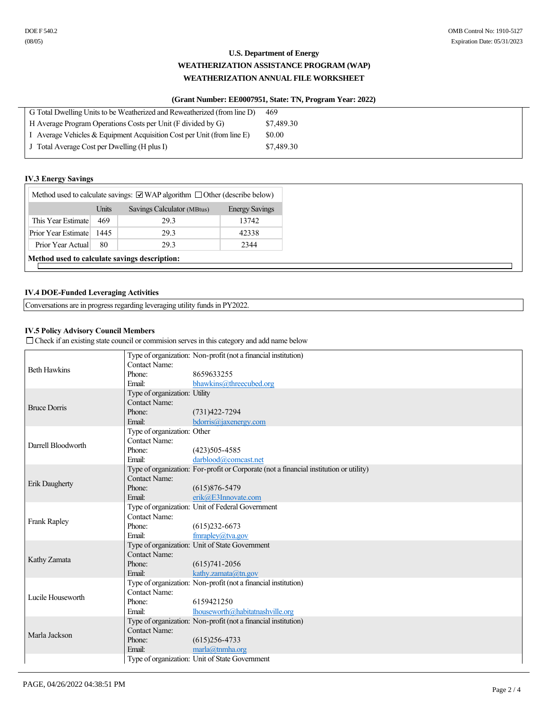# **(Grant Number: EE0007951, State: TN, Program Year: 2022)**

| G Total Dwelling Units to be Weatherized and Reweatherized (from line D)  | 469        |  |
|---------------------------------------------------------------------------|------------|--|
| H Average Program Operations Costs per Unit (F divided by G)              | \$7,489.30 |  |
| I Average Vehicles $\&$ Equipment Acquisition Cost per Unit (from line E) | \$0.00     |  |
| J Total Average Cost per Dwelling (H plus I)                              | \$7,489.30 |  |
|                                                                           |            |  |

### **IV.3 Energy Savings**

| Method used to calculate savings: $\Box$ WAP algorithm $\Box$ Other (describe below) |       |                            |                       |
|--------------------------------------------------------------------------------------|-------|----------------------------|-----------------------|
|                                                                                      | Units | Savings Calculator (MBtus) | <b>Energy Savings</b> |
| This Year Estimate                                                                   | 469   | 29.3                       | 13742                 |
| Prior Year Estimate                                                                  | 1445  | 29.3                       | 42338                 |
| Prior Year Actual                                                                    | 80    | 29.3                       | 2344                  |
| Method used to calculate savings description:                                        |       |                            |                       |
|                                                                                      |       |                            |                       |

# **IV.4 DOE-Funded Leveraging Activities**

Conversations are in progress regarding leveraging utility funds in PY2022.

# **IV.5 Policy Advisory Council Members**

 $\Box$  Check if an existing state council or commision serves in this category and add name below

|                     |                               | Type of organization: Non-profit (not a financial institution)                         |
|---------------------|-------------------------------|----------------------------------------------------------------------------------------|
| <b>Beth Hawkins</b> | Contact Name:                 |                                                                                        |
|                     | Phone:                        | 8659633255                                                                             |
|                     | Email:                        | bhawkins@threecubed.org                                                                |
|                     | Type of organization: Utility |                                                                                        |
| <b>Bruce Dorris</b> | <b>Contact Name:</b>          |                                                                                        |
|                     | Phone:                        | $(731)422 - 7294$                                                                      |
|                     | Email:                        | bdorris@jaxenergy.com                                                                  |
|                     | Type of organization: Other   |                                                                                        |
|                     | Contact Name:                 |                                                                                        |
| Darrell Bloodworth  | Phone:                        | $(423)505 - 4585$                                                                      |
|                     | Email:                        | darblood@comcast.net                                                                   |
|                     |                               | Type of organization: For-profit or Corporate (not a financial institution or utility) |
|                     | Contact Name:                 |                                                                                        |
| Erik Daugherty      | Phone:                        | $(615)876 - 5479$                                                                      |
|                     | Email:                        | erik@E3Innovate.com                                                                    |
|                     |                               | Type of organization: Unit of Federal Government                                       |
|                     | Contact Name:                 |                                                                                        |
| <b>Frank Rapley</b> | Phone:                        | $(615)$ 232-6673                                                                       |
|                     | Email:                        | fmrapley $(a)$ tva.gov                                                                 |
|                     |                               | Type of organization: Unit of State Government                                         |
|                     | <b>Contact Name:</b>          |                                                                                        |
| Kathy Zamata        | Phone:                        | $(615)741 - 2056$                                                                      |
|                     | Email:                        | kathy.zamata@tn.gov                                                                    |
|                     |                               | Type of organization: Non-profit (not a financial institution)                         |
|                     | <b>Contact Name:</b>          |                                                                                        |
| Lucile Houseworth   | Phone:                        | 6159421250                                                                             |
|                     | Email:                        | lhouseworth@habitatnashville.org                                                       |
|                     |                               | Type of organization: Non-profit (not a financial institution)                         |
|                     | <b>Contact Name:</b>          |                                                                                        |
| Marla Jackson       |                               |                                                                                        |
|                     | Phone:<br>Email:              | $(615)256 - 4733$                                                                      |
|                     |                               | marla@tnmha.org                                                                        |
|                     |                               | Type of organization: Unit of State Government                                         |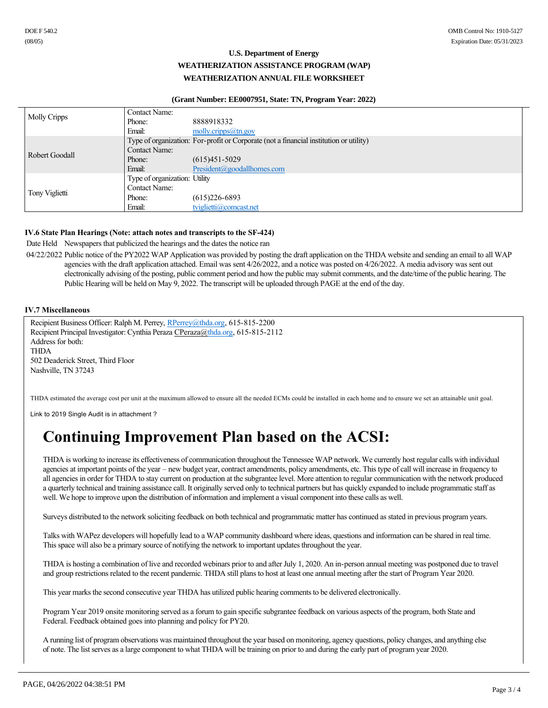#### **(Grant Number: EE0007951, State: TN, Program Year: 2022)**

| <b>Molly Cripps</b> | Contact Name:                 |                                                                                        |
|---------------------|-------------------------------|----------------------------------------------------------------------------------------|
|                     | Phone:                        | 8888918332                                                                             |
|                     | Email:                        | molly.cripps $@$ tn.gov                                                                |
|                     |                               | Type of organization: For-profit or Corporate (not a financial institution or utility) |
| Robert Goodall      | <b>Contact Name:</b>          |                                                                                        |
|                     | Phone:                        | $(615)451 - 5029$                                                                      |
|                     | Email:                        | President(a) good all homes.com                                                        |
|                     | Type of organization: Utility |                                                                                        |
| Tony Viglietti      | Contact Name:                 |                                                                                        |
|                     | Phone:                        | $(615)226 - 6893$                                                                      |
|                     | Email:                        | tviglietti@comcast.net                                                                 |

# **IV.6 State Plan Hearings (Note: attach notes and transcripts to the SF-424)**

Date Held Newspapers that publicized the hearings and the dates the notice ran

04/22/2022 Public notice of the PY2022 WAP Application was provided by posting the draft application on the THDA website and sending an email to all WAP agencies with the draft application attached. Email was sent 4/26/2022, and a notice was posted on 4/26/2022. A media advisory was sent out electronically advising of the posting, public comment period and how the public may submit comments, and the date/time of the public hearing. The Public Hearing will be held on May 9, 2022. The transcript will be uploaded through PAGE at the end of the day.

### **IV.7 Miscellaneous**

Recipient Business Officer: Ralph M. Perrey, RPerrey@thda.org, 615-815-2200 Recipient Principal Investigator: Cynthia Peraza CPeraza $@thda.org$ , 615-815-2112 Address for both: THDA 502 Deaderick Street, Third Floor Nashville, TN 37243

THDA estimated the average cost per unit at the maximum allowed to ensure all the needed ECMs could be installed in each home and to ensure we set an attainable unit goal.

Link to 2019 Single Audit is in attachment ?

# **Continuing Improvement Plan based on the ACSI:**

THDA is working to increase its effectiveness of communication throughout the Tennessee WAP network. We currently host regular calls with individual agencies at important points of the year – new budget year, contract amendments, policy amendments, etc. This type of call will increase in frequency to all agencies in order for THDA to stay current on production at the subgrantee level. More attention to regular communication with the network produced a quarterly technical and training assistance call. It originally served only to technical partners but has quickly expanded to include programmatic staff as well. We hope to improve upon the distribution of information and implement a visual component into these calls as well.

Surveys distributed to the network soliciting feedback on both technical and programmatic matter has continued as stated in previous program years.

Talks with WAPez developers will hopefully lead to a WAP community dashboard where ideas, questions and information can be shared in real time. This space will also be a primary source of notifying the network to important updates throughout the year.

THDA is hosting a combination of live and recorded webinars prior to and after July 1, 2020. An in-person annual meeting was postponed due to travel and group restrictions related to the recent pandemic. THDA still plans to host at least one annual meeting after the start of Program Year 2020.

This year marks the second consecutive year THDA has utilized public hearing comments to be delivered electronically.

Program Year 2019 onsite monitoring served as a forum to gain specific subgrantee feedback on various aspects of the program, both State and Federal. Feedback obtained goes into planning and policy for PY20.

A running list of program observations was maintained throughout the year based on monitoring, agency questions, policy changes, and anything else of note. The list serves as a large component to what THDA will be training on prior to and during the early part of program year 2020.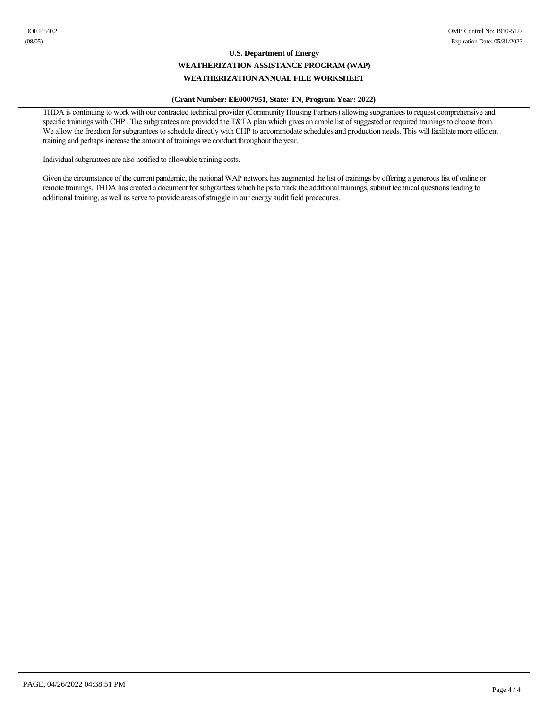#### **(Grant Number: EE0007951, State: TN, Program Year: 2022)**

THDA is continuing to work with our contracted technical provider (Community Housing Partners) allowing subgrantees to request comprehensive and specific trainings with CHP. The subgrantees are provided the T&TA plan which gives an ample list of suggested or required trainings to choose from. We allow the freedom for subgrantees to schedule directly with CHP to accommodate schedules and production needs. This will facilitate more efficient training and perhaps increase the amount of trainings we conduct throughout the year.

Individual subgrantees are also notified to allowable training costs.

Given the circumstance of the current pandemic, the national WAP network has augmented the list of trainings by offering a generous list of online or remote trainings. THDA has created a document for subgrantees which helps to track the additional trainings, submit technical questions leading to additional training, as well as serve to provide areas of struggle in our energy audit field procedures.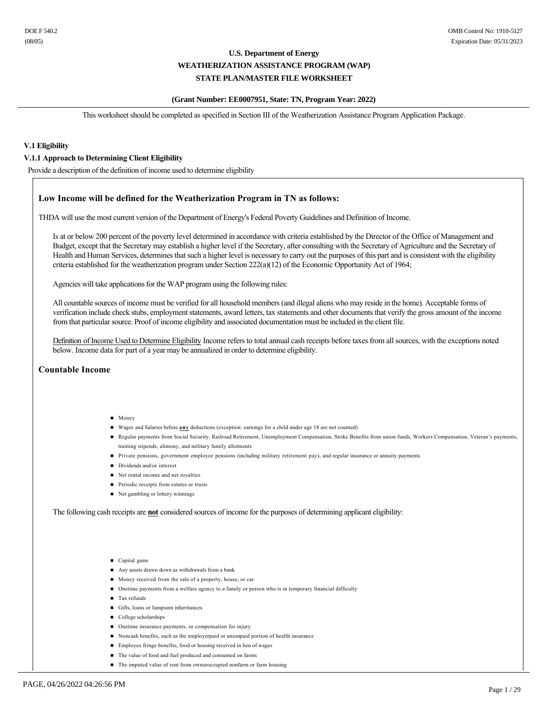# **(Grant Number: EE0007951, State: TN, Program Year: 2022)**

This worksheet should be completed as specified in Section III of the Weatherization Assistance Program Application Package.

#### **V.1 Eligibility**

#### **V.1.1 Approach to Determining Client Eligibility**

Provide a description of the definition of income used to determine eligibility

### **Low Income will be defined for the Weatherization Program in TN as follows:**

THDA will use the most current version of the Department of Energy's Federal Poverty Guidelines and Definition of Income.

Is at or below 200 percent of the poverty level determined in accordance with criteria established by the Director of the Office of Management and Budget, except that the Secretary may establish a higher level if the Secretary, after consulting with the Secretary of Agriculture and the Secretary of Health and Human Services, determines that such a higher level is necessary to carry out the purposes of this part and is consistent with the eligibility criteria established for the weatherization program under Section 222(a)(12) of the Economic Opportunity Act of 1964;

Agencies will take applications for the WAP program using the following rules:

All countable sources of income must be verified for all household members (and illegal aliens who may reside in the home). Acceptable forms of verification include check stubs, employment statements, award letters, tax statements and other documents that verify the gross amount of the income from that particular source. Proof of income eligibility and associated documentation must be included in the client file.

Definition of Income Used to Determine Eligibility Income refers to total annual cash receipts before taxes from all sources, with the exceptions noted below. Income data for part of a year may be annualized in order to determine eligibility.

#### **Countable Income**

- $Monev$
- n Wages and Salaries before **any** deductions (exception: earnings for a child under age 18 are not counted)
- n Regular payments from Social Security, Railroad Retirement, Unemployment Compensation, Strike Benefits from union funds, Workers Compensation, Veteran's payments, training stipends, alimony, and military family allotments
- n Private pensions, government employee pensions (including military retirement pay), and regular insurance or annuity payments
- Dividends and/or interest
- $\blacksquare$  Net rental income and net royalties
- Periodic receipts from estates or trusts
- $\blacksquare$  Net gambling or lottery winnings

The following cash receipts are **not** considered sources of income for the purposes of determining applicant eligibility:

- Capital gains
- Any assets drawn down as withdrawals from a bank
- Money received from the sale of a property, house, or car
- n Onetime payments from a welfare agency to a family or person who is in temporary financial difficulty
- **n** Tax refunds
- n Gifts, loans or lumpsum inheritances
- College scholarships
- Onetime insurance payments, or compensation for injury
- n Noncash benefits, such as the employerpaid or unionpaid portion of health insurance
- n Employee fringe benefits, food or housing received in lieu of wages
- n The value of food and fuel produced and consumed on farms
- n The imputed value of rent from owneroccupied nonfarm or farm housing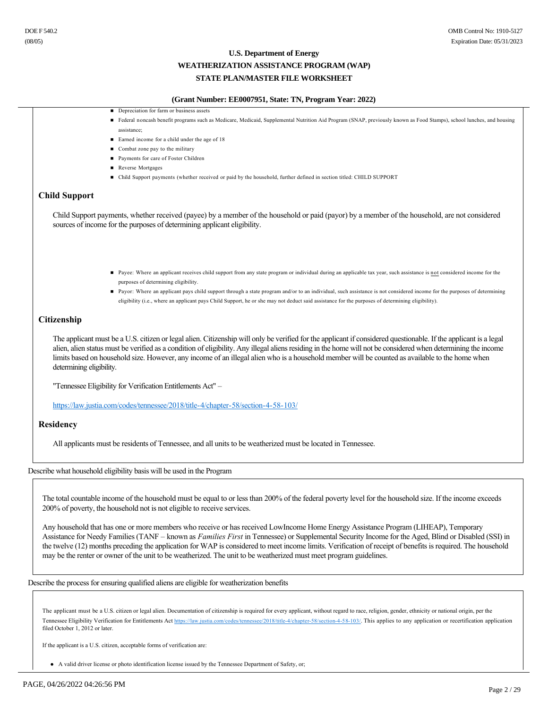# **U.S. Department of Energy WEATHERIZATION ASSISTANCE PROGRAM (WAP)**

# **STATE PLAN/MASTER FILE WORKSHEET**

# **(Grant Number: EE0007951, State: TN, Program Year: 2022)**

- Depreciation for farm or business assets
- Federal noncash benefit programs such as Medicare, Medicaid, Supplemental Nutrition Aid Program (SNAP, previously known as Food Stamps), school lunches, and housing assistance;
- Earned income for a child under the age of 18
- Combat zone pay to the military
- Payments for care of Foster Children
- Reverse Mortgages
- n Child Support payments (whether received or paid by the household, further defined in section titled: CHILD SUPPORT

### **Child Support**

Child Support payments, whether received (payee) by a member of the household or paid (payor) by a member of the household, are not considered sources of income for the purposes of determining applicant eligibility.

- Payee: Where an applicant receives child support from any state program or individual during an applicable tax year, such assistance is not considered income for the purposes of determining eligibility.
- n Payor: Where an applicant pays child support through a state program and/or to an individual, such assistance is not considered income for the purposes of determining eligibility (i.e., where an applicant pays Child Support, he or she may not deduct said assistance for the purposes of determining eligibility).

#### **Citizenship**

The applicant must be a U.S. citizen or legal alien. Citizenship will only be verified for the applicant if considered questionable. If the applicant is a legal alien, alien status must be verified as a condition of eligibility. Any illegal aliens residing in the home will not be considered when determining the income limits based on household size. However, any income of an illegal alien who is a household member will be counted as available to the home when determining eligibility.

"Tennessee Eligibility for Verification Entitlements Act" –

https://law.justia.com/codes/tennessee/2018/title-4/chapter-58/section-4-58-103/

#### **Residency**

All applicants must be residents of Tennessee, and all units to be weatherized must be located in Tennessee.

#### Describe what household eligibility basis will be used in the Program

The total countable income of the household must be equal to or less than 200% of the federal poverty level for the household size. If the income exceeds 200% of poverty, the household not is not eligible to receive services.

Any household that has one or more members who receive or has received LowIncome Home Energy Assistance Program (LIHEAP), Temporary Assistance for Needy Families (TANF – known as *Families First* in Tennessee) or Supplemental Security Income for the Aged, Blind or Disabled (SSI) in the twelve (12) months preceding the application for WAP is considered to meet income limits. Verification of receipt of benefits is required. The household may be the renter or owner of the unit to be weatherized. The unit to be weatherized must meet program guidelines.

Describe the process for ensuring qualified aliens are eligible for weatherization benefits

The applicant must be a U.S. citizen or legal alien. Documentation of citizenship is required for every applicant, without regard to race, religion, gender, ethnicity or national origin, per the Tennessee Eligibility Verification for Entitlements Act https://law.justia.com/codes/tennessee/2018/title-4/chapter-58/section-4-58-103/. This applies to any application or recertification application filed October 1, 2012 or later.

If the applicant is a U.S. citizen, acceptable forms of verification are:

• A valid driver license or photo identification license issued by the Tennessee Department of Safety, or;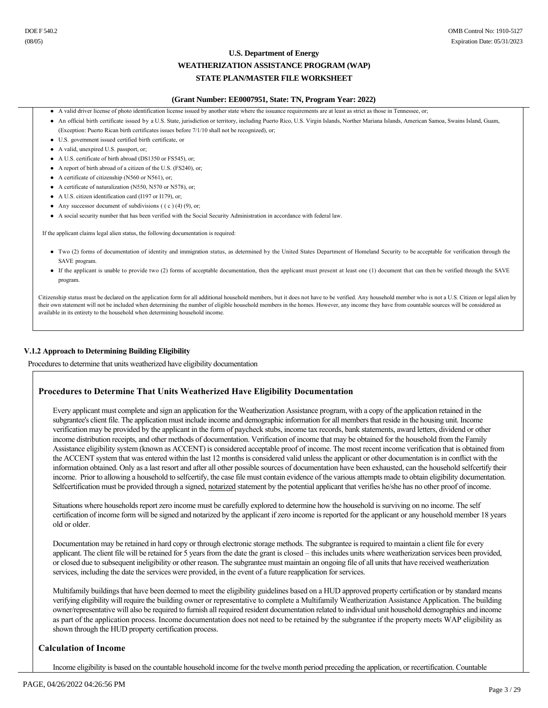# **U.S. Department of Energy WEATHERIZATION ASSISTANCE PROGRAM (WAP)**

# **STATE PLAN/MASTER FILE WORKSHEET**

#### **(Grant Number: EE0007951, State: TN, Program Year: 2022)**

- l A valid driver license of photo identification license issued by another state where the issuance requirements are at least as strict as those in Tennessee, or;
- l An official birth certificate issued by a U.S. State, jurisdiction or territory, including Puerto Rico, U.S. Virgin Islands, Norther Mariana Islands, American Samoa, Swains Island, Guam, (Exception: Puerto Rican birth certificates issues before 7/1/10 shall not be recognized), or;
- l U.S. government issued certified birth certificate, or
- A valid, unexpired U.S. passport, or;
- A U.S. certificate of birth abroad (DS1350 or FS545), or;
- A report of birth abroad of a citizen of the U.S. (FS240), or:
- $\bullet$  A certificate of citizenship (N560 or N561), or:
- A certificate of naturalization (N550, N570 or N578), or;
- A U.S. citizen identification card (I197 or I179), or;
- Any successor document of subdivisions  $((c) (4) (9)$ , or;
- l A social security number that has been verified with the Social Security Administration in accordance with federal law.

If the applicant claims legal alien status, the following documentation is required:

- l Two (2) forms of documentation of identity and immigration status, as determined by the United States Department of Homeland Security to be acceptable for verification through the SAVE program.
- l If the applicant is unable to provide two (2) forms of acceptable documentation, then the applicant must present at least one (1) document that can then be verified through the SAVE program.

Citizenship status must be declared on the application form for all additional household members, but it does not have to be verified. Any household member who is not a U.S. Citizen or legal alien by their own statement will not be included when determining the number of eligible household members in the homes. However, any income they have from countable sources will be considered as available in its entirety to the household when determining household income.

#### **V.1.2 Approach to Determining Building Eligibility**

Procedures to determine that units weatherized have eligibility documentation

### **Procedures to Determine That Units Weatherized Have Eligibility Documentation**

Every applicant must complete and sign an application for the Weatherization Assistance program, with a copy of the application retained in the subgrantee's client file. The application must include income and demographic information for all members that reside in the housing unit. Income verification may be provided by the applicant in the form of paycheck stubs, income tax records, bank statements, award letters, dividend or other income distribution receipts, and other methods of documentation. Verification of income that may be obtained for the household from the Family Assistance eligibility system (known as ACCENT) is considered acceptable proof of income. The most recent income verification that is obtained from the ACCENT system that was entered within the last 12 months is considered valid unless the applicant or other documentation is in conflict with the information obtained. Only as a last resort and after all other possible sources of documentation have been exhausted, can the household selfcertify their income. Prior to allowing a household to selfcertify, the case file must contain evidence of the various attempts made to obtain eligibility documentation. Selfcertification must be provided through a signed, notarized statement by the potential applicant that verifies he/she has no other proof of income.

Situations where households report zero income must be carefully explored to determine how the household is surviving on no income. The self certification of income form will be signed and notarized by the applicant if zero income is reported for the applicant or any household member 18 years old or older.

Documentation may be retained in hard copy or through electronic storage methods. The subgrantee is required to maintain a client file for every applicant. The client file will be retained for 5 years from the date the grant is closed – this includes units where weatherization services been provided, or closed due to subsequent ineligibility or other reason. The subgrantee must maintain an ongoing file of all units that have received weatherization services, including the date the services were provided, in the event of a future reapplication for services.

Multifamily buildings that have been deemed to meet the eligibility guidelines based on a HUD approved property certification or by standard means verifying eligibility will require the building owner or representative to complete a Multifamily Weatherization Assistance Application. The building owner/representative will also be required to furnish all required resident documentation related to individual unit household demographics and income as part of the application process. Income documentation does not need to be retained by the subgrantee if the property meets WAP eligibility as shown through the HUD property certification process.

#### **Calculation of Income**

Income eligibility is based on the countable household income for the twelve month period preceding the application, or recertification. Countable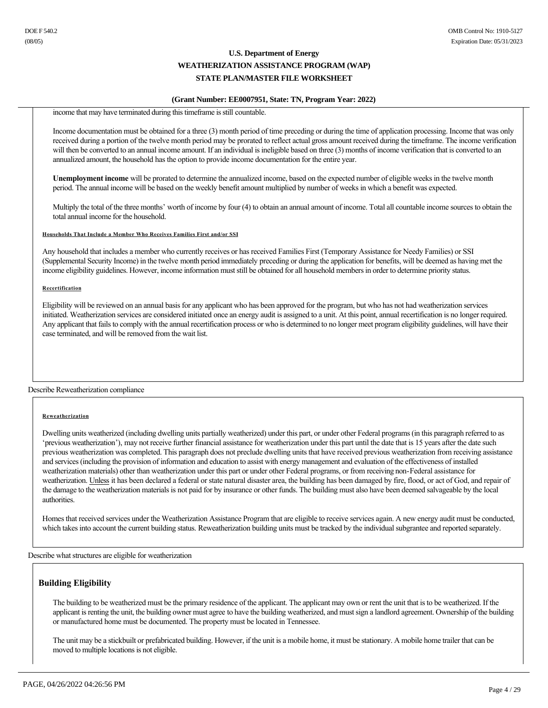#### **(Grant Number: EE0007951, State: TN, Program Year: 2022)**

income that may have terminated during this timeframe is still countable.

Income documentation must be obtained for a three (3) month period of time preceding or during the time of application processing. Income that was only received during a portion of the twelve month period may be prorated to reflect actual gross amount received during the timeframe. The income verification will then be converted to an annual income amount. If an individual is ineligible based on three (3) months of income verification that is converted to an annualized amount, the household has the option to provide income documentation for the entire year.

**Unemployment income** will be prorated to determine the annualized income, based on the expected number of eligible weeks in the twelve month period. The annual income will be based on the weekly benefit amount multiplied by number of weeks in which a benefit was expected.

Multiply the total of the three months' worth of income by four (4) to obtain an annual amount of income. Total all countable income sources to obtain the total annual income for the household.

**Households That Include a Member Who Receives Families First and/or SSI**

Any household that includes a member who currently receives or has received Families First (Temporary Assistance for Needy Families) or SSI (Supplemental Security Income) in the twelve month period immediately preceding or during the application for benefits, will be deemed as having met the income eligibility guidelines. However, income information must still be obtained for all household members in order to determine priority status.

#### **Recertification**

Eligibility will be reviewed on an annual basis for any applicant who has been approved for the program, but who has not had weatherization services initiated. Weatherization services are considered initiated once an energy audit is assigned to a unit. At this point, annual recertification is no longer required. Any applicant that fails to comply with the annual recertification process or who is determined to no longer meet program eligibility guidelines, will have their case terminated, and will be removed from the wait list.

Describe Reweatherization compliance

#### **Reweatherization**

Dwelling units weatherized (including dwelling units partially weatherized) under this part, or under other Federal programs (in this paragraph referred to as 'previous weatherization'), may not receive further financial assistance for weatherization under this part until the date that is 15 years after the date such previous weatherization was completed. This paragraph does not preclude dwelling units that have received previous weatherization from receiving assistance and services (including the provision of information and education to assist with energy management and evaluation of the effectiveness of installed weatherization materials) other than weatherization under this part or under other Federal programs, or from receiving non-Federal assistance for weatherization. Unless it has been declared a federal or state natural disaster area, the building has been damaged by fire, flood, or act of God, and repair of the damage to the weatherization materials is not paid for by insurance or other funds. The building must also have been deemed salvageable by the local authorities.

Homes that received services under the Weatherization Assistance Program that are eligible to receive services again. A new energy audit must be conducted, which takes into account the current building status. Reweatherization building units must be tracked by the individual subgrantee and reported separately.

Describe what structures are eligible for weatherization

# **Building Eligibility**

The building to be weatherized must be the primary residence of the applicant. The applicant may own or rent the unit that is to be weatherized. If the applicant is renting the unit, the building owner must agree to have the building weatherized, and must sign a landlord agreement. Ownership of the building or manufactured home must be documented. The property must be located in Tennessee.

The unit may be a stickbuilt or prefabricated building. However, if the unit is a mobile home, it must be stationary. A mobile home trailer that can be moved to multiple locations is not eligible.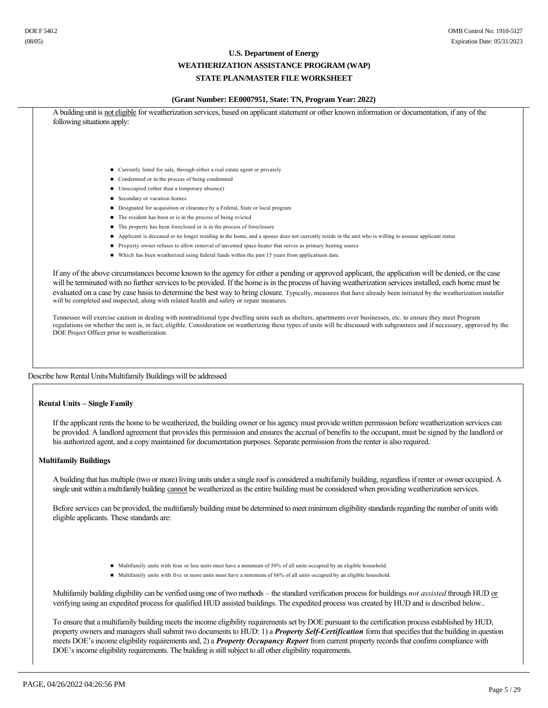# **U.S. Department of Energy WEATHERIZATION ASSISTANCE PROGRAM (WAP)**

# **STATE PLAN/MASTER FILE WORKSHEET**

#### **(Grant Number: EE0007951, State: TN, Program Year: 2022)**

| ■ Currently listed for sale, through either a real estate agent or privately                                                                                                                                                                                                                                                                                                                                                |
|-----------------------------------------------------------------------------------------------------------------------------------------------------------------------------------------------------------------------------------------------------------------------------------------------------------------------------------------------------------------------------------------------------------------------------|
| Condemned or in the process of being condemned                                                                                                                                                                                                                                                                                                                                                                              |
| ■ Unoccupied (other than a temporary absence)                                                                                                                                                                                                                                                                                                                                                                               |
| ■ Secondary or vacation homes                                                                                                                                                                                                                                                                                                                                                                                               |
| Designated for acquisition or clearance by a Federal, State or local program                                                                                                                                                                                                                                                                                                                                                |
| The resident has been or is in the process of being evicted                                                                                                                                                                                                                                                                                                                                                                 |
| • The property has been foreclosed or is in the process of foreclosure                                                                                                                                                                                                                                                                                                                                                      |
| Applicant is deceased or no longer residing in the home, and a spouse does not currently reside in the unit who is willing to assume applicant status                                                                                                                                                                                                                                                                       |
| Property owner refuses to allow removal of unvented space heater that serves as primary heating source                                                                                                                                                                                                                                                                                                                      |
| • Which has been weatherized using federal funds within the past 15 years from applicatiuon date.                                                                                                                                                                                                                                                                                                                           |
| will be terminated with no further services to be provided. If the home is in the process of having weatherization services installed, each home must be<br>evaluated on a case by case basis to determine the best way to bring closure. Typically, measures that have already been initiated by the weatherization installer<br>will be completed and inspected, along with related health and safety or repair measures. |
| Tennessee will exercise caution in dealing with nontraditional type dwelling units such as shelters, apartments over businesses, etc. to ensure they meet Program<br>regulations on whether the unit is, in fact, eligible. Consideration on weatherizing these types of units will be discussed with subgrantees and if necessary, approved by the<br>DOE Project Officer prior to weatherization.                         |
|                                                                                                                                                                                                                                                                                                                                                                                                                             |
| Describe how Rental Units/Multifamily Buildings will be addressed                                                                                                                                                                                                                                                                                                                                                           |
|                                                                                                                                                                                                                                                                                                                                                                                                                             |
|                                                                                                                                                                                                                                                                                                                                                                                                                             |

int rents the home to be weatherized, the building owner or his agency must provide written permission before weatherization services can be provided. A landlord agreement that provides this permission and ensures the accrual of benefits to the occupant, must be signed by the landlord or his authorized agent, and a copy maintained for documentation purposes. Separate permission from the renter is also required.

#### **Multifamily Buildings**

A building that has multiple (two or more) living units under a single roof is considered a multifamily building, regardless if renter or owner occupied. A single unit within a multifamily building cannot be weatherized as the entire building must be considered when providing weatherization services.

Before services can be provided, the multifamily building must be determined to meet minimum eligibility standards regarding the number of units with eligible applicants. These standards are:

- n Multifamily units with four or less units must have a minimum of 50% of all units occupied by an eligible household.
- n Multifamily units with five or more units must have a minimum of 66% of all units occupied by an eligible household.

Multifamily building eligibility can be verified using one of two methods – the standard verification process for buildings *not assisted* through HUD or verifying using an expedited process for qualified HUD assisted buildings. The expedited process was created by HUD and is described below..

To ensure that a multifamily building meets the income eligibility requirements set by DOE pursuant to the certification process established by HUD, property owners and managers shall submit two documents to HUD: 1) a *Property Self-Certification* form that specifies that the building in question meets DOE's income eligibility requirements and, 2) a *Property Occupancy Report* from current property records that confirm compliance with DOE's income eligibility requirements. The building is still subject to all other eligibility requirements.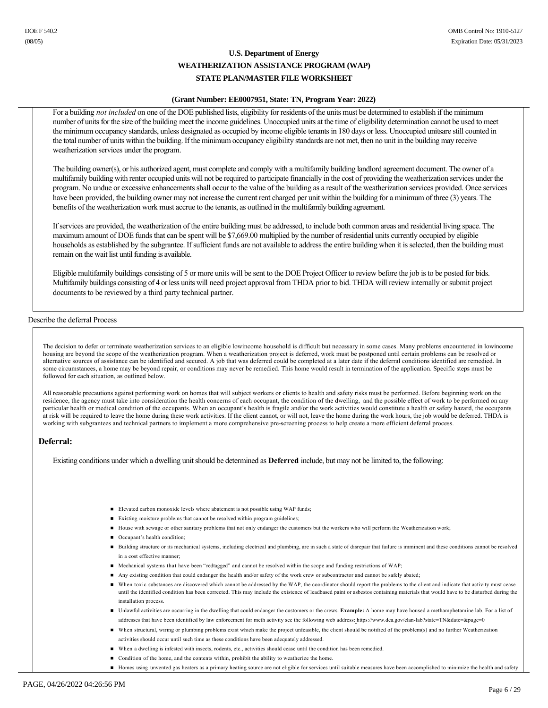# **(Grant Number: EE0007951, State: TN, Program Year: 2022)**

For a building *not included* on one of the DOE published lists, eligibility for residents of the units must be determined to establish if the minimum number of units for the size of the building meet the income guidelines. Unoccupied units at the time of eligibility determination cannot be used to meet the minimum occupancy standards, unless designated as occupied by income eligible tenants in 180 days or less. Unoccupied unitsare still counted in the total number of units within the building. If the minimum occupancy eligibility standards are not met, then no unit in the building may receive weatherization services under the program.

The building owner(s), or his authorized agent, must complete and comply with a multifamily building landlord agreement document. The owner of a multifamily building with renter occupied units will not be required to participate financially in the cost of providing the weatherization services under the program. No undue or excessive enhancements shall occur to the value of the building as a result of the weatherization services provided. Once services have been provided, the building owner may not increase the current rent charged per unit within the building for a minimum of three (3) years. The benefits of the weatherization work must accrue to the tenants, as outlined in the multifamily building agreement.

If services are provided, the weatherization of the entire building must be addressed, to include both common areas and residential living space. The maximum amount of DOE funds that can be spent will be \$7,669.00 multiplied by the number of residential units currently occupied by eligible households as established by the subgrantee. If sufficient funds are not available to address the entire building when it is selected, then the building must remain on the wait list until funding is available.

Eligible multifamily buildings consisting of 5 or more units will be sent to the DOE Project Officer to review before the job is to be posted for bids. Multifamily buildings consisting of 4 or less units will need project approval from THDA prior to bid. THDA will review internally or submit project documents to be reviewed by a third party technical partner.

#### Describe the deferral Process

The decision to defer or terminate weatherization services to an eligible lowincome household is difficult but necessary in some cases. Many problems encountered in lowincome housing are beyond the scope of the weatherization program. When a weatherization project is deferred, work must be postponed until certain problems can be resolved or alternative sources of assistance can be identified and secured. A job that was deferred could be completed at a later date if the deferral conditions identified are remedied. In some circumstances, a home may be beyond repair, or conditions may never be remedied. This home would result in termination of the application. Specific steps must be followed for each situation, as outlined below.

All reasonable precautions against performing work on homes that will subject workers or clients to health and safety risks must be performed. Before beginning work on the residence, the agency must take into consideration the health concerns of each occupant, the condition of the dwelling, and the possible effect of work to be performed on any particular health or medical condition of the occupants. When an occupant's health is fragile and/or the work activities would constitute a health or safety hazard, the occupants at risk will be required to leave the home during these work activities. If the client cannot, or will not, leave the home during the work hours, the job would be deferred. THDA is working with subgrantees and technical partners to implement a more comprehensive prescreening process to help create a more efficient deferral process.

#### **Deferral:**

Existing conditions under which a dwelling unit should be determined as **Deferred** include, but may not be limited to, the following:

- n Elevated carbon monoxide levels where abatement is not possible using WAP funds;
- Existing moisture problems that cannot be resolved within program guidelines;
- n House with sewage or other sanitary problems that not only endanger the customers but the workers who will perform the Weatherization work;
- Occupant's health condition;
- n Building structure or its mechanical systems, including electrical and plumbing, are in such a state of disrepair that failure is imminent and these conditions cannot be resolved in a cost effective manner;
- n Mechanical systems that have been "redtagged" and cannot be resolved within the scope and funding restrictions of WAP;
- Any existing condition that could endanger the health and/or safety of the work crew or subcontractor and cannot be safely abated;
- n When toxic substances are discovered which cannot be addressed by the WAP, the coordinator should report the problems to the client and indicate that activity must cease until the identified condition has been corrected. This may include the existence of leadbased paint or asbestos containing materials that would have to be disturbed during the installation process.
- n Unlawful activities are occurring in the dwelling that could endanger the customers or the crews. **Example:** A home may have housed a methamphetamine lab. For a list of addresses that have been identified by law enforcement for meth activity see the following web address: https://www.dea.gov/clan-lab?state=TN&date=&page=0
- n When structural, wiring or plumbing problems exist which make the project unfeasible, the client should be notified of the problem(s) and no further Weatherization activities should occur until such time as these conditions have been adequately addressed.
- n When a dwelling is infested with insects, rodents, etc., activities should cease until the condition has been remedied.
- Condition of the home, and the contents within, prohibit the ability to weatherize the home.
- Homes using unvented gas heaters as a primary heating source are not eligible for services until suitable measures have been accomplished to minimize the health and safety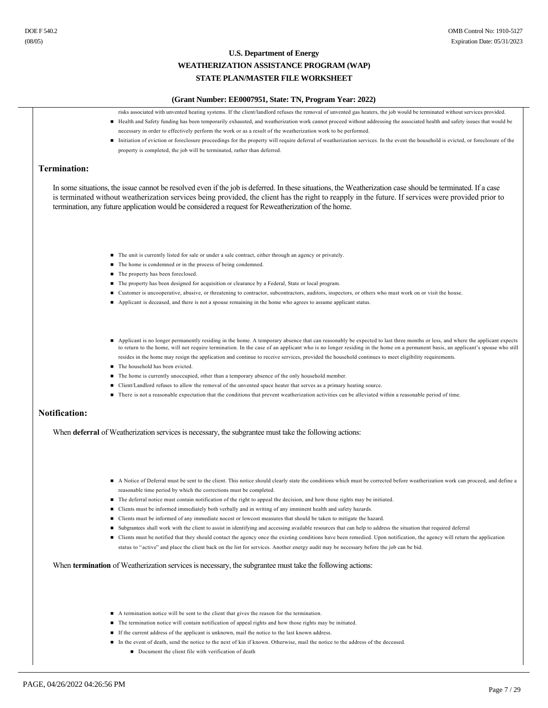

■ Document the client file with verification of death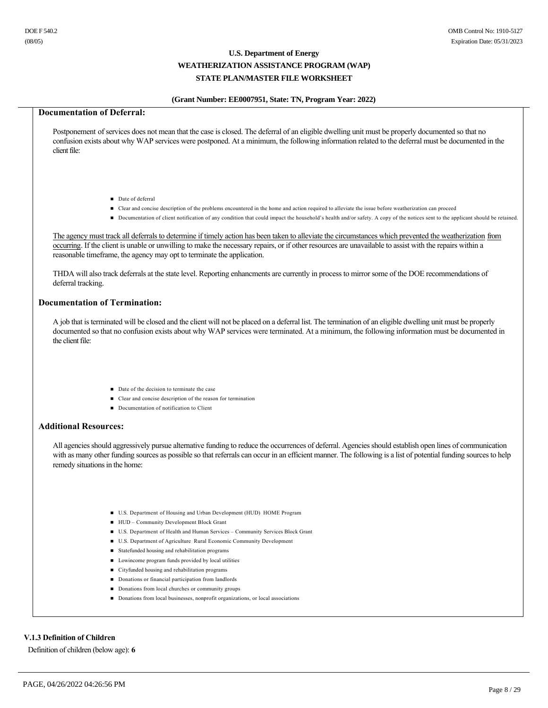# **(Grant Number: EE0007951, State: TN, Program Year: 2022)**

# **Documentation of Deferral:**

Postponement of services does not mean that the case is closed. The deferral of an eligible dwelling unit must be properly documented so that no confusion exists about why WAP services were postponed. At a minimum, the following information related to the deferral must be documented in the client file:

- Date of deferral
- Clear and concise description of the problems encountered in the home and action required to alleviate the issue before weatherization can proceed
- Documentation of client notification of any condition that could impact the household's health and/or safety. A copy of the notices sent to the applicant should be retained.

The agency must track all deferrals to determine if timely action has been taken to alleviate the circumstances which prevented the weatherization from occurring. If the client is unable or unwilling to make the necessary repairs, or if other resources are unavailable to assist with the repairs within a reasonable timeframe, the agency may opt to terminate the application.

THDA will also track deferrals at the state level. Reporting enhancments are currently in process to mirror some of the DOE recommendations of deferral tracking.

#### **Documentation of Termination:**

A job that is terminated will be closed and the client will not be placed on a deferral list. The termination of an eligible dwelling unit must be properly documented so that no confusion exists about why WAP services were terminated. At a minimum, the following information must be documented in the client file:

- Date of the decision to terminate the case
- n Clear and concise description of the reason for termination
- Documentation of notification to Client

#### **Additional Resources:**

All agencies should aggressively pursue alternative funding to reduce the occurrences of deferral. Agencies should establish open lines of communication with as many other funding sources as possible so that referrals can occur in an efficient manner. The following is a list of potential funding sources to help remedy situations in the home:

- n U.S. Department of Housing and Urban Development (HUD) HOME Program
- HUD Community Development Block Grant
- n U.S. Department of Health and Human Services Community Services Block Grant
- n U.S. Department of Agriculture Rural Economic Community Development
- $\blacksquare$  Statefunded housing and rehabilitation programs
- $\blacksquare$  Lowincome program funds provided by local utilities
- n Cityfunded housing and rehabilitation programs
- Donations or financial participation from landlords
- Donations from local churches or community groups
- n Donations from local businesses, nonprofit organizations, or local associations

# **V.1.3 Definition of Children**

Definition of children (below age): **6**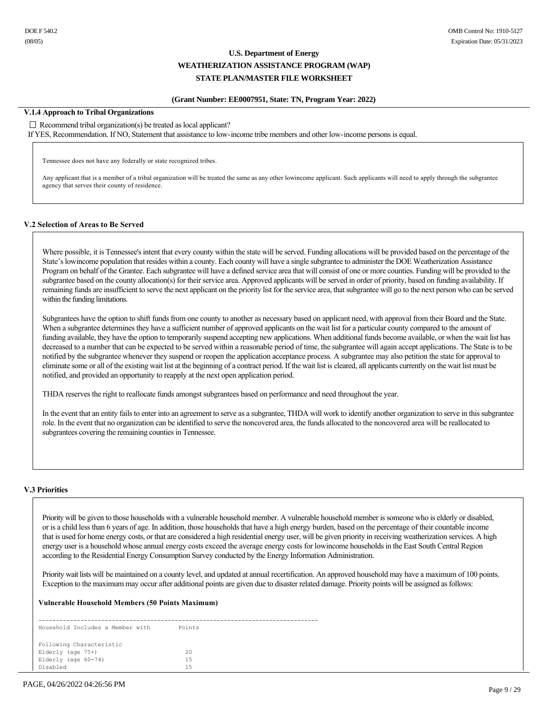#### **(Grant Number: EE0007951, State: TN, Program Year: 2022)**

### **V.1.4 Approach to Tribal Organizations**

#### $\Box$  Recommend tribal organization(s) be treated as local applicant?

If YES, Recommendation. If NO, Statement that assistance to low-income tribe members and other low-income persons is equal.

Tennessee does not have any federally or state recognized tribes.

Any applicant that is a member of a tribal organization will be treated the same as any other lowincome applicant. Such applicants will need to apply through the subgrantee agency that serves their county of residence.

#### **V.2 Selection of Areas to Be Served**

Where possible, it is Tennessee's intent that every county within the state will be served. Funding allocations will be provided based on the percentage of the State's lowincome population that resides within a county. Each county will have a single subgrantee to administer the DOE Weatherization Assistance Program on behalf of the Grantee. Each subgrantee will have a defined service area that will consist of one or more counties. Funding will be provided to the subgrantee based on the county allocation(s) for their service area. Approved applicants will be served in order of priority, based on funding availability. If remaining funds are insufficient to serve the next applicant on the priority list for the service area, that subgrantee will go to the next person who can be served within the funding limitations.

Subgrantees have the option to shift funds from one county to another as necessary based on applicant need, with approval from their Board and the State. When a subgrantee determines they have a sufficient number of approved applicants on the wait list for a particular county compared to the amount of funding available, they have the option to temporarily suspend accepting new applications. When additional funds become available, or when the wait list has decreased to a number that can be expected to be served within a reasonable period of time, the subgrantee will again accept applications. The State is to be notified by the subgrantee whenever they suspend or reopen the application acceptance process. A subgrantee may also petition the state for approval to eliminate some or all of the existing wait list at the beginning of a contract period. If the wait list is cleared, all applicants currently on the wait list must be notified, and provided an opportunity to reapply at the next open application period.

THDA reserves the right to reallocate funds amongst subgrantees based on performance and need throughout the year.

In the event that an entity fails to enter into an agreement to serve as a subgrantee. THDA will work to identify another organization to serve in this subgrantee role. In the event that no organization can be identified to serve the noncovered area, the funds allocated to the noncovered area will be reallocated to subgrantees covering the remaining counties in Tennessee.

#### **V.3 Priorities**

Priority will be given to those households with a vulnerable household member. A vulnerable household member is someone who is elderly or disabled, or is a child less than 6 years of age. In addition, those households that have a high energy burden, based on the percentage of their countable income that is used for home energy costs, or that are considered a high residential energy user, will be given priority in receiving weatherization services. A high energy user is a household whose annual energy costs exceed the average energy costs for lowincome households in the East South Central Region according to the Residential Energy Consumption Survey conducted by the Energy Information Administration.

Priority wait lists will be maintained on a county level, and updated at annual recertification. An approved household may have a maximum of 100 points. Exception to the maximum may occur after additional points are given due to disaster related damage. Priority points will be assigned as follows:

#### **Vulnerable Household Members (50 Points Maximum)**

 Household Includes a Member with Points Following Characteristic Elderly (age 75+) 20 Elderly (age 6074) 15 Disabled 15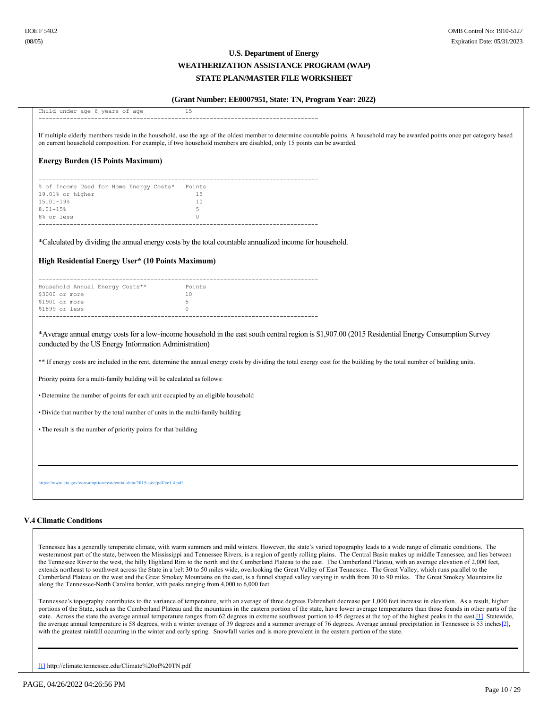#### **(Grant Number: EE0007951, State: TN, Program Year: 2022)**

| Child under age 6 years of age                                                   | 15                                                                                                                                                                                                                                                                                                     |
|----------------------------------------------------------------------------------|--------------------------------------------------------------------------------------------------------------------------------------------------------------------------------------------------------------------------------------------------------------------------------------------------------|
|                                                                                  |                                                                                                                                                                                                                                                                                                        |
|                                                                                  | If multiple elderly members reside in the household, use the age of the oldest member to determine countable points. A household may be awarded points once per category based<br>on current household composition. For example, if two household members are disabled, only 15 points can be awarded. |
| <b>Energy Burden (15 Points Maximum)</b>                                         |                                                                                                                                                                                                                                                                                                        |
| % of Income Used for Home Energy Costs* Points                                   |                                                                                                                                                                                                                                                                                                        |
| 19.01% or higher                                                                 | 15                                                                                                                                                                                                                                                                                                     |
| 15.01-19%                                                                        | 10                                                                                                                                                                                                                                                                                                     |
| $8.01 - 15%$<br>8% or less                                                       | 5<br>$\circ$                                                                                                                                                                                                                                                                                           |
|                                                                                  |                                                                                                                                                                                                                                                                                                        |
|                                                                                  | *Calculated by dividing the annual energy costs by the total countable annualized income for household.                                                                                                                                                                                                |
| High Residential Energy User* (10 Points Maximum)                                |                                                                                                                                                                                                                                                                                                        |
|                                                                                  |                                                                                                                                                                                                                                                                                                        |
| Household Annual Energy Costs**                                                  | Points                                                                                                                                                                                                                                                                                                 |
| \$3000 or more                                                                   | 10                                                                                                                                                                                                                                                                                                     |
| \$1900 or more<br>\$1899 or less                                                 | 5<br>$\Omega$                                                                                                                                                                                                                                                                                          |
|                                                                                  |                                                                                                                                                                                                                                                                                                        |
| conducted by the US Energy Information Administration)                           | *Average annual energy costs for a low-income household in the east south central region is \$1,907.00 (2015 Residential Energy Consumption Survey                                                                                                                                                     |
|                                                                                  | ** If energy costs are included in the rent, determine the annual energy costs by dividing the total energy cost for the building by the total number of building units.                                                                                                                               |
| Priority points for a multi-family building will be calculated as follows:       |                                                                                                                                                                                                                                                                                                        |
| • Determine the number of points for each unit occupied by an eligible household |                                                                                                                                                                                                                                                                                                        |
| • Divide that number by the total number of units in the multi-family building   |                                                                                                                                                                                                                                                                                                        |
| • The result is the number of priority points for that building                  |                                                                                                                                                                                                                                                                                                        |
|                                                                                  |                                                                                                                                                                                                                                                                                                        |
|                                                                                  |                                                                                                                                                                                                                                                                                                        |
|                                                                                  |                                                                                                                                                                                                                                                                                                        |
| https://www.eia.gov/consumption/residential/data/2015/c&e/pdf/ce1.4.pdf          |                                                                                                                                                                                                                                                                                                        |
|                                                                                  |                                                                                                                                                                                                                                                                                                        |

#### **V.4 Climatic Conditions**

Tennessee has a generally temperate climate, with warm summers and mild winters. However, the state's varied topography leads to a wide range of climatic conditions. The westernmost part of the state, between the Mississippi and Tennessee Rivers, is a region of gently rolling plains. The Central Basin makes up middle Tennessee, and lies between the Tennessee River to the west, the hilly Highland Rim to the north and the Cumberland Plateau to the east. The Cumberland Plateau, with an average elevation of 2,000 feet, extends northeast to southwest across the State in a belt 30 to 50 miles wide, overlooking the Great Valley of East Tennessee. The Great Valley, which runs parallel to the Cumberland Plateau on the west and the Great Smokey Mountains on the east, is a funnel shaped valley varying in width from 30 to 90 miles. The Great Smokey Mountains lie along the Tennessee-North Carolina border, with peaks ranging from 4,000 to 6,000 feet.

<span id="page-29-1"></span>Tennessee's topography contributes to the variance of temperature, with an average of three degrees Fahrenheit decrease per 1,000 feet increase in elevation. As a result, higher portions of the State, such as the Cumberland Plateau and the mountains in the eastern portion of the state, have lower average temperatures than those founds in other parts of the state. Across the state the average annual temperature ranges from 62 degrees in extreme southwest portion to 45 degrees at the top of the highest peaks in the east[.\[1\]](#page-29-0) Statewide, the average annual temperature is 58 degrees, with a winter average of 39 degrees and a summer average of 76 degrees. Average annual precipitation in Tennessee is 53 inches[2], with the greatest rainfall occurring in the winter and early spring. Snowfall varies and is more prevalent in the eastern portion of the state.

<span id="page-29-0"></span>[\[1\]](#page-29-1) http://climate.tennessee.edu/Climate%20of%20TN.pdf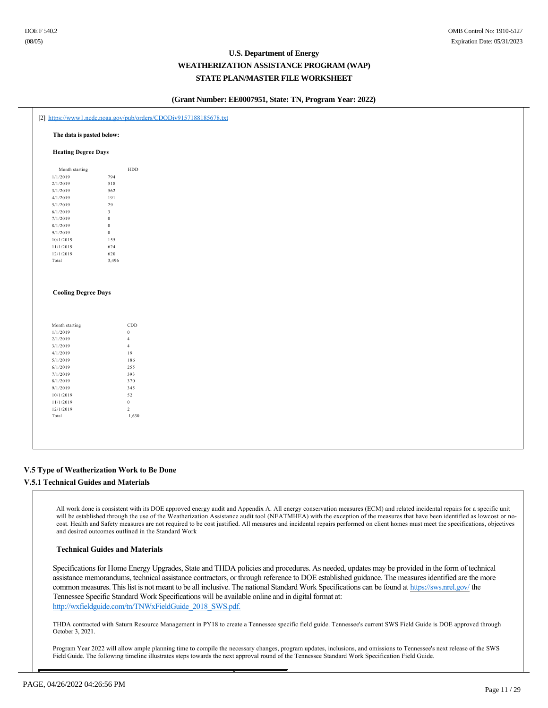#### **(Grant Number: EE0007951, State: TN, Program Year: 2022)**

|                            | The data is pasted below: |              |  |  |  |
|----------------------------|---------------------------|--------------|--|--|--|
| <b>Heating Degree Days</b> |                           |              |  |  |  |
| Month starting             |                           | ${\tt HDD}$  |  |  |  |
| 1/1/2019                   | 794                       |              |  |  |  |
| 2/1/2019                   | 518                       |              |  |  |  |
| 3/1/2019                   | 562                       |              |  |  |  |
| 4/1/2019                   | 191                       |              |  |  |  |
| 5/1/2019                   | $2\,9$                    |              |  |  |  |
| 6/1/2019                   | $\mathfrak z$             |              |  |  |  |
| 7/1/2019                   | $\boldsymbol{0}$          |              |  |  |  |
| 8/1/2019                   | $\boldsymbol{0}$          |              |  |  |  |
| 9/1/2019                   | $\boldsymbol{0}$          |              |  |  |  |
| 10/1/2019                  | 155                       |              |  |  |  |
| 11/1/2019                  | 624                       |              |  |  |  |
| 12/1/2019                  | $620\,$                   |              |  |  |  |
|                            | 3,496                     |              |  |  |  |
| Total                      |                           |              |  |  |  |
| <b>Cooling Degree Days</b> |                           |              |  |  |  |
| Month starting             |                           | $_{\rm CDD}$ |  |  |  |
| 1/1/2019                   | $\,$ 0 $\,$               |              |  |  |  |
| 2/1/2019                   | $\overline{4}$            |              |  |  |  |
| 3/1/2019                   | $\overline{4}$            |              |  |  |  |
| 4/1/2019                   | 19                        |              |  |  |  |
| 5/1/2019                   |                           | 186          |  |  |  |
| 6/1/2019                   | 255                       |              |  |  |  |
| 7/1/2019                   |                           | 393          |  |  |  |
| 8/1/2019                   |                           | 370          |  |  |  |
| 9/1/2019                   | 345                       |              |  |  |  |
| 10/1/2019                  | 52                        |              |  |  |  |
| 11/1/2019                  | $\,$ 0 $\,$               |              |  |  |  |
| 12/1/2019<br>Total         | $\overline{2}$            | 1,630        |  |  |  |

### **V.5 Type of Weatherization Work to Be Done**

# **V.5.1 Technical Guides and Materials**

All work done is consistent with its DOE approved energy audit and Appendix A. All energy conservation measures (ECM) and related incidental repairs for a specific unit will be established through the use of the Weatherization Assistance audit tool (NEATMHEA) with the exception of the measures that have been identified as lowcost or nocost. Health and Safety measures are not required to be cost justified. All measures and incidental repairs performed on client homes must meet the specifications, objectives and desired outcomes outlined in the Standard Work

#### **Technical Guides and Materials**

Specifications for Home Energy Upgrades, State and THDA policies and procedures. As needed, updates may be provided in the form of technical assistance memorandums, technical assistance contractors, or through reference to DOE established guidance. The measures identified are the more common measures. This list is not meant to be all inclusive. The national Standard Work Specifications can be found at https://sws.nrel.gov/ the Tennessee Specific Standard Work Specifications will be available online and in digital format at: http://wxfieldguide.com/tn/TNWxFieldGuide\_2018\_SWS.pdf.

THDA contracted with Saturn Resource Management in PY18 to create a Tennessee specific field guide. Tennessee's current SWS Field Guide is DOE approved through October 3, 2021.

Program Year 2022 will allow ample planning time to compile the necessary changes, program updates, inclusions, and omissions to Tennessee's next release of the SWS Field Guide. The following timeline illustrates steps towards the next approval round of the Tennessee Standard Work Specification Field Guide.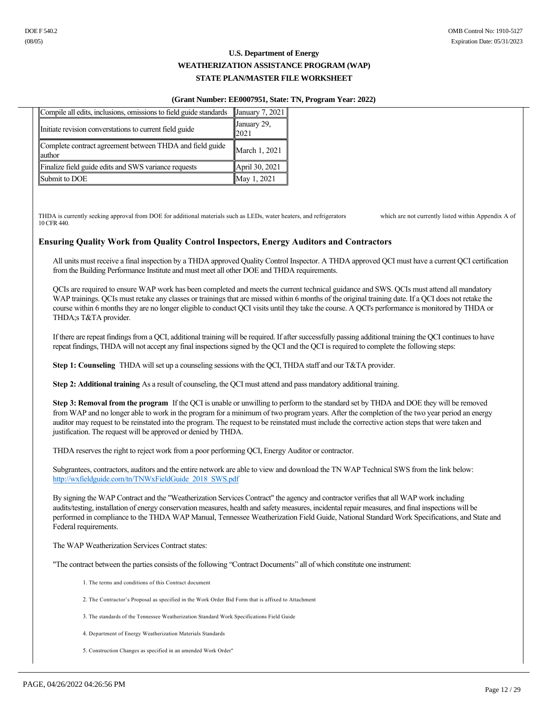#### **(Grant Number: EE0007951, State: TN, Program Year: 2022)**

| Compile all edits, inclusions, omissions to field guide standards   | $\vert$ January 7, 2021 $\vert$ |
|---------------------------------------------------------------------|---------------------------------|
| Initiate revision converstations to current field guide             | January 29,<br>12021            |
| Complete contract agreement between THDA and field guide<br>lauthor | March 1, 2021                   |
| Finalize field guide edits and SWS variance requests                | April 30, 2021                  |
| Submit to DOE                                                       | May 1, 2021                     |

THDA is currently seeking approval from DOE for additional materials such as LEDs, water heaters, and refrigerators which are not currently listed within Appendix A of 10 CFR 440.

# **Ensuring Quality Work from Quality Control Inspectors, Energy Auditors and Contractors**

All units must receive a final inspection by a THDA approved Quality Control Inspector. A THDA approved QCI must have a current QCI certification from the Building Performance Institute and must meet all other DOE and THDA requirements.

QCIs are required to ensure WAP work has been completed and meets the current technical guidance and SWS. QCIs must attend all mandatory WAP trainings. QCIs must retake any classes or trainings that are missed within 6 months of the original training date. If a QCI does not retake the course within 6 months they are no longer eligible to conduct QCI visits until they take the course. A QCI's performance is monitored by THDA or THDA;s T&TA provider.

If there are repeat findings from a QCI, additional training will be required. If after successfully passing additional training the QCI continues to have repeat findings, THDA will not accept any final inspections signed by the QCI and the QCI is required to complete the following steps:

**Step 1: Counseling** THDA will set up a counseling sessions with the QCI, THDA staff and our T&TA provider.

**Step 2: Additional training** As a result of counseling, the QCI must attend and pass mandatory additional training.

**Step 3: Removal from the program** If the QCI is unable or unwilling to perform to the standard set by THDA and DOE they will be removed from WAP and no longer able to work in the program for a minimum of two program years. After the completion of the two year period an energy auditor may request to be reinstated into the program. The request to be reinstated must include the corrective action steps that were taken and justification. The request will be approved or denied by THDA.

THDA reserves the right to reject work from a poor performing QCI, Energy Auditor or contractor.

Subgrantees, contractors, auditors and the entire network are able to view and download the TN WAP Technical SWS from the link below: http://wxfieldguide.com/tn/TNWxFieldGuide\_2018\_SWS.pdf

By signing the WAP Contract and the "Weatherization Services Contract" the agency and contractor verifies that all WAP work including audits/testing, installation of energy conservation measures, health and safety measures, incidental repair measures, and final inspections will be performed in compliance to the THDA WAP Manual, Tennessee Weatherization Field Guide, National Standard Work Specifications, and State and Federal requirements.

The WAP Weatherization Services Contract states:

"The contract between the parties consists of the following "Contract Documents" all of which constitute one instrument:

- 1. The terms and conditions of this Contract document
- 2. The Contractor's Proposal as specified in the Work Order Bid Form that is affixed to Attachment
- 3. The standards of the Tennessee Weatherization Standard Work Specifications Field Guide
- 4. Department of Energy Weatherization Materials Standards
- 5. Construction Changes as specified in an amended Work Order"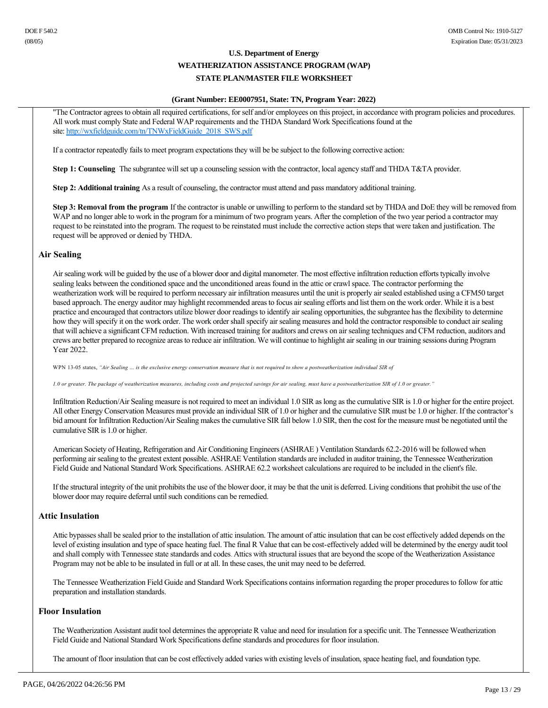#### **(Grant Number: EE0007951, State: TN, Program Year: 2022)**

"The Contractor agrees to obtain all required certifications, for self and/or employees on this project, in accordance with program policies and procedures. All work must comply State and Federal WAP requirements and the THDA Standard Work Specifications found at the site: http://wxfieldguide.com/tn/TNWxFieldGuide\_2018\_SWS.pdf

If a contractor repeatedly fails to meet program expectations they will be be subject to the following corrective action:

**Step 1: Counseling** The subgrantee will set up a counseling session with the contractor, local agency staff and THDA T&TA provider.

**Step 2: Additional training** As a result of counseling, the contractor must attend and pass mandatory additional training.

**Step 3: Removal from the program** If the contractor is unable or unwilling to perform to the standard set by THDA and DoE they will be removed from WAP and no longer able to work in the program for a minimum of two program years. After the completion of the two year period a contractor may request to be reinstated into the program. The request to be reinstated must include the corrective action steps that were taken and justification. The request will be approved or denied by THDA.

### **Air Sealing**

Air sealing work will be guided by the use of a blower door and digital manometer. The most effective infiltration reduction efforts typically involve sealing leaks between the conditioned space and the unconditioned areas found in the attic or crawl space. The contractor performing the weatherization work will be required to perform necessary air infiltration measures until the unit is properly air sealed established using a CFM50 target based approach. The energy auditor may highlight recommended areas to focus air sealing efforts and list them on the work order. While it is a best practice and encouraged that contractors utilize blower door readings to identify air sealing opportunities, the subgrantee has the flexibility to determine how they will specify it on the work order. The work order shall specify air sealing measures and hold the contractor responsible to conduct air sealing that will achieve a significant CFM reduction. With increased training for auditors and crews on air sealing techniques and CFM reduction, auditors and crews are better prepared to recognize areas to reduce air infiltration. We will continue to highlight air sealing in our training sessions during Program Year 2022.

WPN 13-05 states, "Air Sealing ... is the exclusive energy conservation measure that is not required to show a postweatherization individual SIR of

*1.0 or greater. The package of weatherization measures, including costs and projected savings for air sealing, must have a postweatherization SIR of 1.0 or greater."*

Infiltration Reduction/Air Sealing measure is not required to meet an individual 1.0 SIR as long as the cumulative SIR is 1.0 or higher for the entire project. All other Energy Conservation Measures must provide an individual SIR of 1.0 or higher and the cumulative SIR must be 1.0 or higher. If the contractor's bid amount for Infiltration Reduction/Air Sealing makes the cumulative SIR fall below 1.0 SIR, then the cost for the measure must be negotiated until the cumulative SIR is 1.0 or higher.

American Society of Heating, Refrigeration and Air Conditioning Engineers (ASHRAE ) Ventilation Standards 62.22016 will be followed when performing air sealing to the greatest extent possible. ASHRAE Ventilation standards are included in auditor training, the Tennessee Weatherization Field Guide and National Standard Work Specifications. ASHRAE 62.2 worksheet calculations are required to be included in the client's file.

If the structural integrity of the unit prohibits the use of the blower door, it may be that the unit is deferred. Living conditions that prohibit the use of the blower door may require deferral until such conditions can be remedied.

# **Attic Insulation**

Attic bypasses shall be sealed prior to the installation of attic insulation. The amount of attic insulation that can be cost effectively added depends on the level of existing insulation and type of space heating fuel. The final R Value that can be cost-effectively added will be determined by the energy audit tool and shall comply with Tennessee state standards and codes. Attics with structural issues that are beyond the scope of the Weatherization Assistance Program may not be able to be insulated in full or at all. In these cases, the unit may need to be deferred.

The Tennessee Weatherization Field Guide and Standard Work Specifications contains information regarding the proper procedures to follow for attic preparation and installation standards.

### **Floor Insulation**

The Weatherization Assistant audit tool determines the appropriate R value and need for insulation for a specific unit. The Tennessee Weatherization Field Guide and National Standard Work Specifications define standards and procedures for floor insulation.

The amount of floor insulation that can be cost effectively added varies with existing levels of insulation, space heating fuel, and foundation type.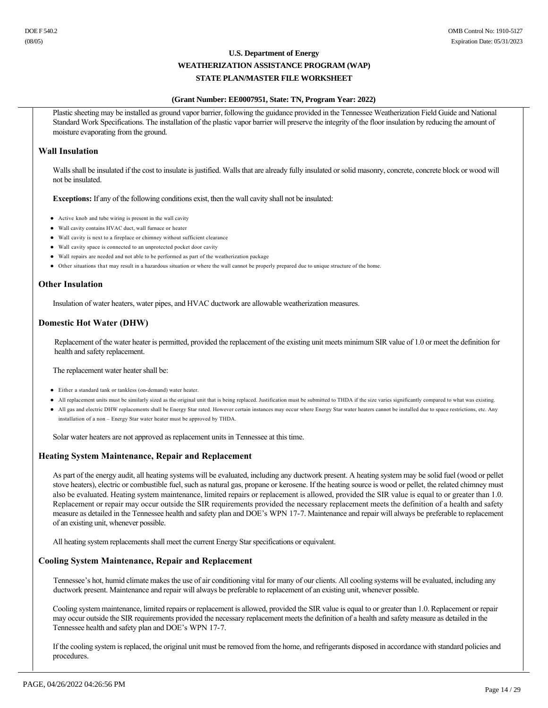#### **(Grant Number: EE0007951, State: TN, Program Year: 2022)**

Plastic sheeting may be installed as ground vapor barrier, following the guidance provided in the Tennessee Weatherization Field Guide and National Standard Work Specifications. The installation of the plastic vapor barrier will preserve the integrity of the floor insulation by reducing the amount of moisture evaporating from the ground.

### **Wall Insulation**

Walls shall be insulated if the cost to insulate is justified. Walls that are already fully insulated or solid masonry, concrete, concrete block or wood will not be insulated.

**Exceptions:** If any of the following conditions exist, then the wall cavity shall not be insulated:

- Active knob and tube wiring is present in the wall cavity
- Wall cavity contains HVAC duct, wall furnace or heater
- $\bullet$  Wall cavity is next to a fireplace or chimney without sufficient clearance
- l Wall cavity space is connected to an unprotected pocket door cavity
- l Wall repairs are needed and not able to be performed as part of the weatherization package
- l Other situations that may result in a hazardous situation or where the wall cannot be properly prepared due to unique structure of the home.

# **Other Insulation**

Insulation of water heaters, water pipes, and HVAC ductwork are allowable weatherization measures.

# **Domestic Hot Water (DHW)**

Replacement of the water heater is permitted, provided the replacement of the existing unit meets minimum SIR value of 1.0 or meet the definition for health and safety replacement.

The replacement water heater shall be:

- Either a standard tank or tankless (on-demand) water heater.
- l All replacement units must be similarly sized as the original unit that is being replaced. Justification must be submitted to THDA if the size varies significantly compared to what was existing.
- l All gas and electric DHW replacements shall be Energy Star rated. However certain instances may occur where Energy Star water heaters cannot be installed due to space restrictions, etc. Any installation of a non – Energy Star water heater must be approved by THDA.

Solar water heaters are not approved as replacement units in Tennessee at this time.

### **Heating System Maintenance, Repair and Replacement**

As part of the energy audit, all heating systems will be evaluated, including any ductwork present. A heating system may be solid fuel (wood or pellet stove heaters), electric or combustible fuel, such as natural gas, propane or kerosene. If the heating source is wood or pellet, the related chimney must also be evaluated. Heating system maintenance, limited repairs or replacement is allowed, provided the SIR value is equal to or greater than 1.0. Replacement or repair may occur outside the SIR requirements provided the necessary replacement meets the definition of a health and safety measure as detailed in the Tennessee health and safety plan and DOE's WPN 177. Maintenance and repair will always be preferable to replacement of an existing unit, whenever possible.

All heating system replacements shall meet the current Energy Star specifications or equivalent.

### **Cooling System Maintenance, Repair and Replacement**

Tennessee's hot, humid climate makes the use of air conditioning vital for many of our clients. All cooling systems will be evaluated, including any ductwork present. Maintenance and repair will always be preferable to replacement of an existing unit, whenever possible.

Cooling system maintenance, limited repairs or replacement is allowed, provided the SIR value is equal to or greater than 1.0. Replacement or repair may occur outside the SIR requirements provided the necessary replacement meets the definition of a health and safety measure as detailed in the Tennessee health and safety plan and DOE's WPN 17-7.

If the cooling system is replaced, the original unit must be removed from the home, and refrigerants disposed in accordance with standard policies and procedures.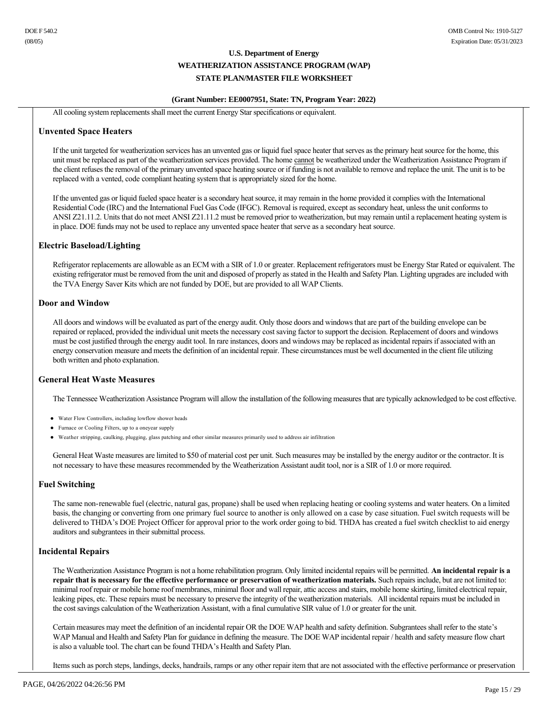# **(Grant Number: EE0007951, State: TN, Program Year: 2022)**

All cooling system replacements shall meet the current Energy Star specifications or equivalent.

#### **Unvented Space Heaters**

If the unit targeted for weatherization services has an unvented gas or liquid fuel space heater that serves as the primary heat source for the home, this unit must be replaced as part of the weatherization services provided. The home cannot be weatherized under the Weatherization Assistance Program if the client refuses the removal of the primary unvented space heating source or if funding is not available to remove and replace the unit. The unit is to be replaced with a vented, code compliant heating system that is appropriately sized for the home.

If the unvented gas or liquid fueled space heater is a secondary heat source, it may remain in the home provided it complies with the International Residential Code (IRC) and the International Fuel Gas Code (IFGC). Removal is required, except as secondary heat, unless the unit conforms to ANSI Z21.11.2. Units that do not meet ANSI Z21.11.2 must be removed prior to weatherization, but may remain until a replacement heating system is in place. DOE funds may not be used to replace any unvented space heater that serve as a secondary heat source.

### **Electric Baseload/Lighting**

Refrigerator replacements are allowable as an ECM with a SIR of 1.0 or greater. Replacement refrigerators must be Energy Star Rated or equivalent. The existing refrigerator must be removed from the unit and disposed of properly as stated in the Health and Safety Plan. Lighting upgrades are included with the TVA Energy Saver Kits which are not funded by DOE, but are provided to all WAP Clients.

### **Door and Window**

All doors and windows will be evaluated as part of the energy audit. Only those doors and windows that are part of the building envelope can be repaired or replaced, provided the individual unit meets the necessary cost saving factor to support the decision. Replacement of doors and windows must be cost justified through the energy audit tool. In rare instances, doors and windows may be replaced as incidental repairs if associated with an energy conservation measure and meets the definition of an incidental repair. These circumstances must be well documented in the client file utilizing both written and photo explanation.

### **General Heat Waste Measures**

The Tennessee Weatherization Assistance Program will allow the installation of the following measures that are typically acknowledged to be cost effective.

- Water Flow Controllers, including lowflow shower heads
- Furnace or Cooling Filters, up to a oneyear supply
- l Weather stripping, caulking, plugging, glass patching and other similar measures primarily used to address air infiltration

General Heat Waste measures are limited to \$50 of material cost per unit. Such measures may be installed by the energy auditor or the contractor. It is not necessary to have these measures recommended by the Weatherization Assistant audit tool, nor is a SIR of 1.0 or more required.

### **Fuel Switching**

The same non-renewable fuel (electric, natural gas, propane) shall be used when replacing heating or cooling systems and water heaters. On a limited basis, the changing or converting from one primary fuel source to another is only allowed on a case by case situation. Fuel switch requests will be delivered to THDA's DOE Project Officer for approval prior to the work order going to bid. THDA has created a fuel switch checklist to aid energy auditors and subgrantees in their submittal process.

### **Incidental Repairs**

The Weatherization Assistance Program is not a home rehabilitation program. Only limited incidental repairs will be permitted. **An incidental repair is a repair that is necessary for the effective performance or preservation of weatherization materials.** Such repairs include, but are not limited to: minimal roof repair or mobile home roof membranes, minimal floor and wall repair, attic access and stairs, mobile home skirting, limited electrical repair, leaking pipes, etc. These repairs must be necessary to preserve the integrity of the weatherization materials. All incidental repairs must be included in the cost savings calculation of the Weatherization Assistant, with a final cumulative SIR value of 1.0 or greater for the unit.

Certain measures may meet the definition of an incidental repair OR the DOE WAP health and safety definition. Subgrantees shall refer to the state's WAP Manual and Health and Safety Plan for guidance in defining the measure. The DOE WAP incidental repair / health and safety measure flow chart is also a valuable tool. The chart can be found THDA's Health and Safety Plan.

Items such as porch steps, landings, decks, handrails, ramps or any other repair item that are not associated with the effective performance or preservation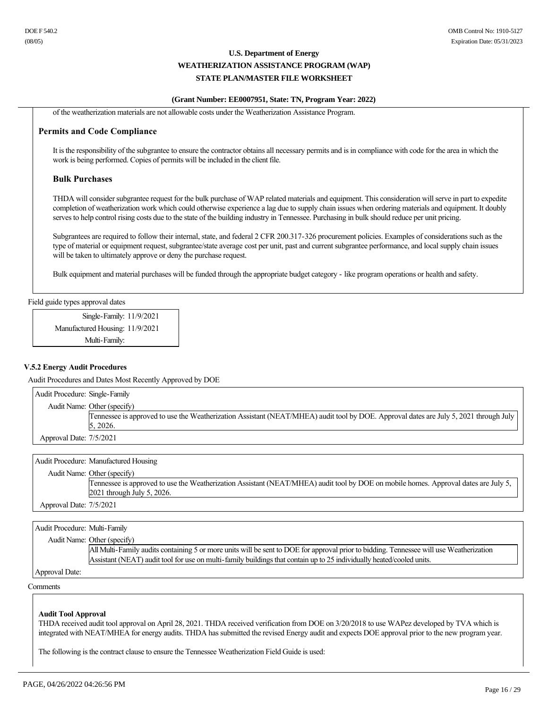#### **(Grant Number: EE0007951, State: TN, Program Year: 2022)**

of the weatherization materials are not allowable costs under the Weatherization Assistance Program.

#### **Permits and Code Compliance**

It is the responsibility of the subgrantee to ensure the contractor obtains all necessary permits and is in compliance with code for the area in which the work is being performed. Copies of permits will be included in the client file.

#### **Bulk Purchases**

THDA will consider subgrantee request for the bulk purchase of WAP related materials and equipment. This consideration will serve in part to expedite completion of weatherization work which could otherwise experience a lag due to supply chain issues when ordering materials and equipment. It doubly serves to help control rising costs due to the state of the building industry in Tennessee. Purchasing in bulk should reduce per unit pricing.

Subgrantees are required to follow their internal, state, and federal 2 CFR 200.317326 procurement policies. Examples of considerations such as the type of material or equipment request, subgrantee/state average cost per unit, past and current subgrantee performance, and local supply chain issues will be taken to ultimately approve or deny the purchase request.

Bulk equipment and material purchases will be funded through the appropriate budget category - like program operations or health and safety.

Field guide types approval dates

Single-Family: 11/9/2021 Manufactured Housing: 11/9/2021 Multi-Family:

#### **V.5.2 Energy Audit Procedures**

Audit Procedures and Dates Most Recently Approved by DOE

| Audit Procedure: Single-Family |                                                                                                                                       |
|--------------------------------|---------------------------------------------------------------------------------------------------------------------------------------|
|                                | Audit Name: Other (specify)                                                                                                           |
|                                | Tennessee is approved to use the Weatherization Assistant (NEAT/MHEA) audit tool by DOE. Approval dates are July 5, 2021 through July |
|                                | 5, 2026.                                                                                                                              |
| Approval Date: 7/5/2021        |                                                                                                                                       |

|                         | Audit Procedure: Manufactured Housing                                                                                               |
|-------------------------|-------------------------------------------------------------------------------------------------------------------------------------|
|                         | Audit Name: Other (specify)                                                                                                         |
|                         | Tennessee is approved to use the Weatherization Assistant (NEAT/MHEA) audit tool by DOE on mobile homes. Approval dates are July 5, |
|                         | $2021$ through July 5, 2026.                                                                                                        |
| Approval Date: 7/5/2021 |                                                                                                                                     |

Audit Procedure: Multi-Family

| Audit Name: Other (specify) |  |
|-----------------------------|--|
|-----------------------------|--|

All Multi-Family audits containing 5 or more units will be sent to DOE for approval prior to bidding. Tennessee will use Weatherization Assistant (NEAT) audit tool for use on multi-family buildings that contain up to 25 individually heated/cooled units.

Approval Date:

Comments

#### **Audit Tool Approval**

THDA received audit tool approval on April 28, 2021. THDA received verification from DOE on 3/20/2018 to use WAPez developed by TVA which is integrated with NEAT/MHEA for energy audits. THDA has submitted the revised Energy audit and expects DOE approval prior to the new program year.

The following is the contract clause to ensure the Tennessee Weatherization Field Guide is used: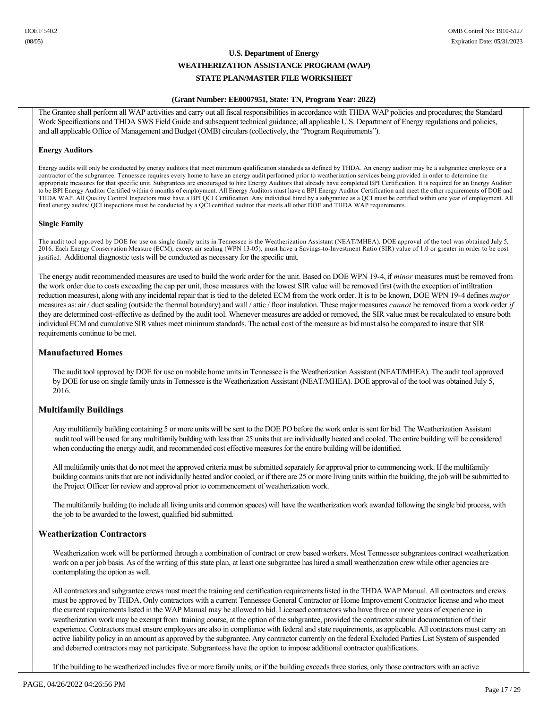#### **(Grant Number: EE0007951, State: TN, Program Year: 2022)**

The Grantee shall perform all WAP activities and carry out all fiscal responsibilities in accordance with THDA WAP policies and procedures; the Standard Work Specifications and THDA SWS Field Guide and subsequent technical guidance; all applicable U.S. Department of Energy regulations and policies, and all applicable Office of Management and Budget (OMB) circulars (collectively, the "Program Requirements").

#### **Energy Auditors**

Energy audits will only be conducted by energy auditors that meet minimum qualification standards as defined by THDA. An energy auditor may be a subgrantee employee or a contractor of the subgrantee. Tennessee requires every home to have an energy audit performed prior to weatherization services being provided in order to determine the appropriate measures for that specific unit. Subgrantees are encouraged to hire Energy Auditors that already have completed BPI Certification. It is required for an Energy Auditor to be BPI Energy Auditor Certified within 6 months of employment. All Energy Auditors must have a BPI Energy Auditor Certification and meet the other requirements of DOE and THDA WAP. All Quality Control Inspectors must have a BPI QCI Certification. Any individual hired by a subgrantee as a QCI must be certified within one year of employment. All final energy audits/ QCI inspections must be conducted by a QCI certified auditor that meets all other DOE and THDA WAP requirements.

#### **Single Family**

The audit tool approved by DOE for use on single family units in Tennessee is the Weatherization Assistant (NEAT/MHEA). DOE approval of the tool was obtained July 5, 2016. Each Energy Conservation Measure (ECM), except air sealing (WPN 13-05), must have a Savings-to-Investment Ratio (SIR) value of 1.0 or greater in order to be cost justified. Additional diagnostic tests will be conducted as necessary for the specific unit.

The energy audit recommended measures are used to build the work order for the unit. Based on DOE WPN 194, if *minor* measures must be removed from the work order due to costs exceeding the cap per unit, those measures with the lowest SIR value will be removed first (with the exception of infiltration reduction measures), along with any incidental repair that is tied to the deleted ECM from the work order. It is to be known, DOE WPN 194 defines *major*  measures as: air / duct sealing (outside the thermal boundary) and wall / attic / floor insulation. These major measures *cannot* be removed from a work order *if*  they are determined cost-effective as defined by the audit tool. Whenever measures are added or removed, the SIR value must be recalculated to ensure both individual ECM and cumulative SIR values meet minimum standards. The actual cost of the measure as bid must also be compared to insure that SIR requirements continue to be met.

### **Manufactured Homes**

The audit tool approved by DOE for use on mobile home units in Tennessee is the Weatherization Assistant (NEAT/MHEA). The audit tool approved by DOE for use on single family units in Tennessee is the Weatherization Assistant (NEAT/MHEA). DOE approval of the tool was obtained July 5, 2016.

### **Multifamily Buildings**

Any multifamily building containing 5 or more units will be sent to the DOE PO before the work order is sent for bid. The Weatherization Assistant audit tool will be used for any multifamily building with less than 25 units that are individually heated and cooled. The entire building will be considered when conducting the energy audit, and recommended cost effective measures for the entire building will be identified.

All multifamily units that do not meet the approved criteria must be submitted separately for approval prior to commencing work. If the multifamily building contains units that are not individually heated and/or cooled, or if there are 25 or more living units within the building, the job will be submitted to the Project Officer for review and approval prior to commencement of weatherization work.

The multifamily building (to include all living units and common spaces) will have the weatherization work awarded following the single bid process, with the job to be awarded to the lowest, qualified bid submitted.

### **Weatherization Contractors**

Weatherization work will be performed through a combination of contract or crew based workers. Most Tennessee subgrantees contract weatherization work on a per job basis. As of the writing of this state plan, at least one subgrantee has hired a small weatherization crew while other agencies are contemplating the option as well.

All contractors and subgrantee crews must meet the training and certification requirements listed in the THDA WAP Manual. All contractors and crews must be approved by THDA. Only contractors with a current Tennessee General Contractor or Home Improvement Contractor license and who meet the current requirements listed in the WAP Manual may be allowed to bid. Licensed contractors who have three or more years of experience in weatherization work may be exempt from training course, at the option of the subgrantee, provided the contractor submit documentation of their experience. Contractors must ensure employees are also in compliance with federal and state requirements, as applicable. All contractors must carry an active liability policy in an amount as approved by the subgrantee. Any contractor currently on the federal Excluded Parties List System of suspended and debarred contractors may not participate. Subgranteess have the option to impose additional contractor qualifications.

If the building to be weatherized includes five or more family units, or if the building exceeds three stories, only those contractors with an active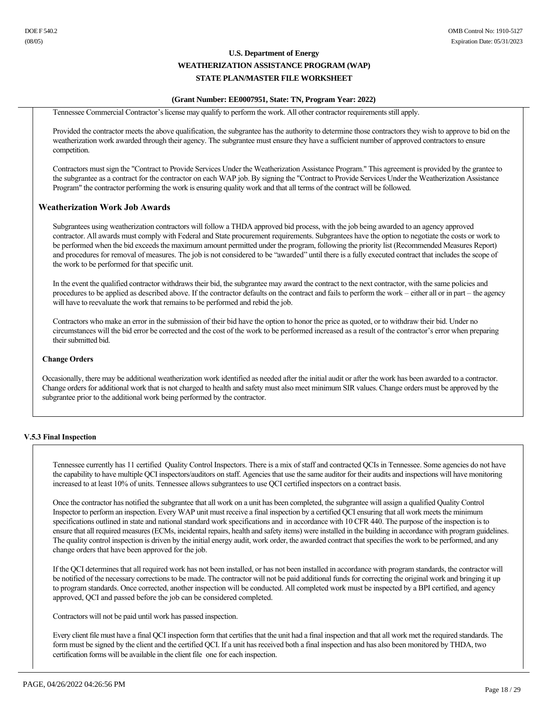#### **(Grant Number: EE0007951, State: TN, Program Year: 2022)**

Tennessee Commercial Contractor's license may qualify to perform the work. All other contractor requirements still apply.

Provided the contractor meets the above qualification, the subgrantee has the authority to determine those contractors they wish to approve to bid on the weatherization work awarded through their agency. The subgrantee must ensure they have a sufficient number of approved contractors to ensure competition.

Contractors must sign the "Contract to Provide Services Under the Weatherization Assistance Program." This agreement is provided by the grantee to the subgrantee as a contract for the contractor on each WAP job. By signing the "Contract to Provide Services Under the Weatherization Assistance Program" the contractor performing the work is ensuring quality work and that all terms of the contract will be followed.

### **Weatherization Work Job Awards**

Subgrantees using weatherization contractors will follow a THDA approved bid process, with the job being awarded to an agency approved contractor. All awards must comply with Federal and State procurement requirements. Subgrantees have the option to negotiate the costs or work to be performed when the bid exceeds the maximum amount permitted under the program, following the priority list (Recommended Measures Report) and procedures for removal of measures. The job is not considered to be "awarded" until there is a fully executed contract that includes the scope of the work to be performed for that specific unit.

In the event the qualified contractor withdraws their bid, the subgrantee may award the contract to the next contractor, with the same policies and procedures to be applied as described above. If the contractor defaults on the contract and fails to perform the work – either all or in part – the agency will have to reevaluate the work that remains to be performed and rebid the job.

Contractors who make an error in the submission of their bid have the option to honor the price as quoted, or to withdraw their bid. Under no circumstances will the bid error be corrected and the cost of the work to be performed increased as a result of the contractor's error when preparing their submitted bid.

#### **Change Orders**

Occasionally, there may be additional weatherization work identified as needed after the initial audit or after the work has been awarded to a contractor. Change orders for additional work that is not charged to health and safety must also meet minimum SIR values. Change orders must be approved by the subgrantee prior to the additional work being performed by the contractor.

### **V.5.3 Final Inspection**

Tennessee currently has 11 certified Quality Control Inspectors. There is a mix of staff and contracted QCIs in Tennessee. Some agencies do not have the capability to have multiple QCI inspectors/auditors on staff. Agencies that use the same auditor for their audits and inspections will have monitoring increased to at least 10% of units. Tennessee allows subgrantees to use QCI certified inspectors on a contract basis.

Once the contractor has notified the subgrantee that all work on a unit has been completed, the subgrantee will assign a qualified Quality Control Inspector to perform an inspection. Every WAP unit must receive a final inspection by a certified QCI ensuring that all work meets the minimum specifications outlined in state and national standard work specifications and in accordance with 10 CFR 440. The purpose of the inspection is to ensure that all required measures (ECMs, incidental repairs, health and safety items) were installed in the building in accordance with program guidelines. The quality control inspection is driven by the initial energy audit, work order, the awarded contract that specifies the work to be performed, and any change orders that have been approved for the job.

If the QCI determines that all required work has not been installed, or has not been installed in accordance with program standards, the contractor will be notified of the necessary corrections to be made. The contractor will not be paid additional funds for correcting the original work and bringing it up to program standards. Once corrected, another inspection will be conducted. All completed work must be inspected by a BPI certified, and agency approved, QCI and passed before the job can be considered completed.

Contractors will not be paid until work has passed inspection.

Every client file must have a final QCI inspection form that certifies that the unit had a final inspection and that all work met the required standards. The form must be signed by the client and the certified QCI. If a unit has received both a final inspection and has also been monitored by THDA, two certification forms will be available in the client file one for each inspection.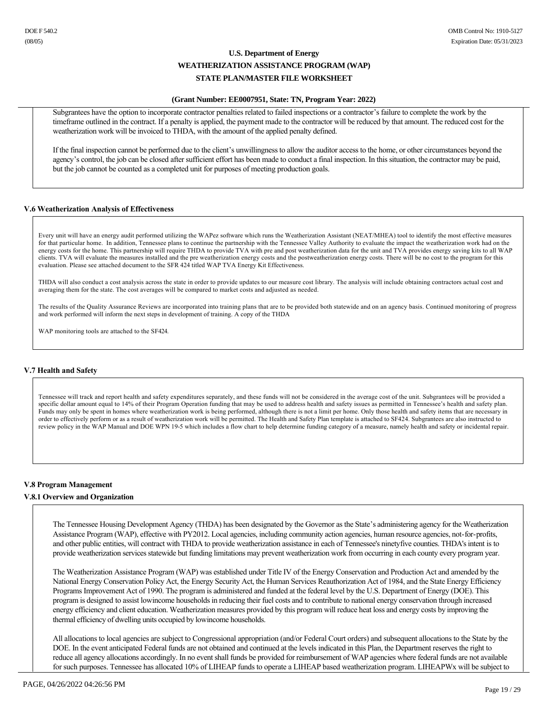#### **(Grant Number: EE0007951, State: TN, Program Year: 2022)**

Subgrantees have the option to incorporate contractor penalties related to failed inspections or a contractor's failure to complete the work by the timeframe outlined in the contract. If a penalty is applied, the payment made to the contractor will be reduced by that amount. The reduced cost for the weatherization work will be invoiced to THDA, with the amount of the applied penalty defined.

If the final inspection cannot be performed due to the client's unwillingness to allow the auditor access to the home, or other circumstances beyond the agency's control, the job can be closed after sufficient effort has been made to conduct a final inspection. In this situation, the contractor may be paid, but the job cannot be counted as a completed unit for purposes of meeting production goals.

#### **V.6 Weatherization Analysis of Effectiveness**

Every unit will have an energy audit performed utilizing the WAPez software which runs the Weatherization Assistant (NEAT/MHEA) tool to identify the most effective measures for that particular home. In addition, Tennessee plans to continue the partnership with the Tennessee Valley Authority to evaluate the impact the weatherization work had on the energy costs for the home. This partnership will require THDA to provide TVA with pre and post weatherization data for the unit and TVA provides energy saving kits to all WAP clients. TVA will evaluate the measures installed and the pre weatherization energy costs and the postweatherization energy costs. There will be no cost to the program for this evaluation. Please see attached document to the SFR 424 titled WAP TVA Energy Kit Effectiveness.

THDA will also conduct a cost analysis across the state in order to provide updates to our measure cost library. The analysis will include obtaining contractors actual cost and averaging them for the state. The cost averages will be compared to market costs and adjusted as needed.

The results of the Quality Assurance Reviews are incorporated into training plans that are to be provided both statewide and on an agency basis. Continued monitoring of progress and work performed will inform the next steps in development of training. A copy of the THDA

WAP monitoring tools are attached to the SF424.

### **V.7 Health and Safety**

Tennessee will track and report health and safety expenditures separately, and these funds will not be considered in the average cost of the unit. Subgrantees will be provided a specific dollar amount equal to 14% of their Program Operation funding that may be used to address health and safety issues as permitted in Tennessee's health and safety plan. Funds may only be spent in homes where weatherization work is being performed, although there is not a limit per home. Only those health and safety items that are necessary in order to effectively perform or as a result of weatherization work will be permitted. The Health and Safety Plan template is attached to SF424. Subgrantees are also instructed to review policy in the WAP Manual and DOE WPN 195 which includes a flow chart to help determine funding category of a measure, namely health and safety or incidental repair.

#### **V.8 Program Management**

#### **V.8.1 Overview and Organization**

The Tennessee Housing Development Agency (THDA) has been designated by the Governor as the State's administering agency for the Weatherization Assistance Program (WAP), effective with PY2012. Local agencies, including community action agencies, human resource agencies, not-for-profits, and other public entities, will contract with THDA to provide weatherization assistance in each of Tennessee's ninetyfive counties. THDA's intent is to provide weatherization services statewide but funding limitations may prevent weatherization work from occurring in each county every program year.

The Weatherization Assistance Program (WAP) was established under Title IV of the Energy Conservation and Production Act and amended by the National Energy Conservation Policy Act, the Energy Security Act, the Human Services Reauthorization Act of 1984, and the State Energy Efficiency Programs Improvement Act of 1990. The program is administered and funded at the federal level by the U.S. Department of Energy (DOE). This program is designed to assist lowincome households in reducing their fuel costs and to contribute to national energy conservation through increased energy efficiency and client education. Weatherization measures provided by this program will reduce heat loss and energy costs by improving the thermal efficiency of dwelling units occupied by lowincome households.

All allocations to local agencies are subject to Congressional appropriation (and/or Federal Court orders) and subsequent allocations to the State by the DOE. In the event anticipated Federal funds are not obtained and continued at the levels indicated in this Plan, the Department reserves the right to reduce all agency allocations accordingly. In no event shall funds be provided for reimbursement of WAP agencies where federal funds are not available for such purposes. Tennessee has allocated 10% of LIHEAP funds to operate a LIHEAP based weatherization program. LIHEAPWx will be subject to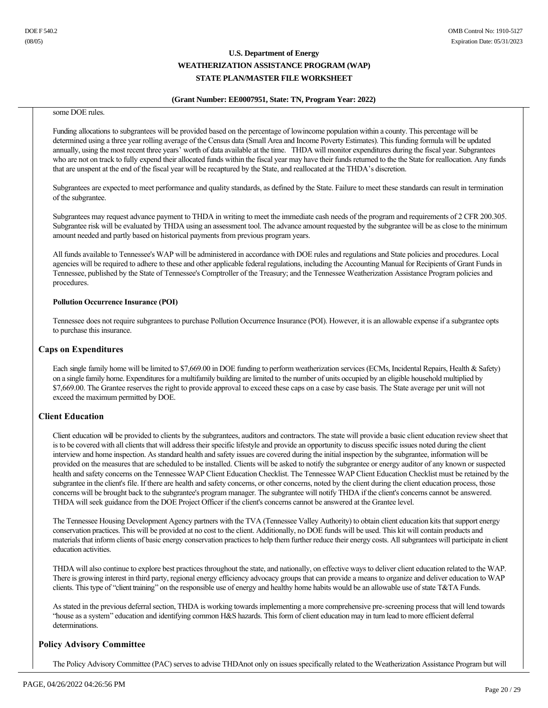#### **(Grant Number: EE0007951, State: TN, Program Year: 2022)**

#### some DOE rules.

Funding allocations to subgrantees will be provided based on the percentage of lowincome population within a county. This percentage will be determined using a three year rolling average of the Census data (Small Area and Income Poverty Estimates). This funding formula will be updated annually, using the most recent three years' worth of data available at the time. THDA will monitor expenditures during the fiscal year. Subgrantees who are not on track to fully expend their allocated funds within the fiscal year may have their funds returned to the the State for reallocation. Any funds that are unspent at the end of the fiscal year will be recaptured by the State, and reallocated at the THDA's discretion.

Subgrantees are expected to meet performance and quality standards, as defined by the State. Failure to meet these standards can result in termination of the subgrantee.

Subgrantees may request advance payment to THDA in writing to meet the immediate cash needs of the program and requirements of 2 CFR 200.305. Subgrantee risk will be evaluated by THDA using an assessment tool. The advance amount requested by the subgrantee will be as close to the minimum amount needed and partly based on historical payments from previous program years.

All funds available to Tennessee's WAP will be administered in accordance with DOE rules and regulations and State policies and procedures. Local agencies will be required to adhere to these and other applicable federal regulations, including the Accounting Manual for Recipients of Grant Funds in Tennessee, published by the State of Tennessee's Comptroller of the Treasury; and the Tennessee Weatherization Assistance Program policies and procedures.

#### **Pollution Occurrence Insurance (POI)**

Tennessee does not require subgrantees to purchase Pollution Occurrence Insurance (POI). However, it is an allowable expense if a subgrantee opts to purchase this insurance.

#### **Caps on Expenditures**

Each single family home will be limited to \$7,669.00 in DOE funding to perform weatherization services (ECMs, Incidental Repairs, Health & Safety) on a single family home. Expenditures for a multifamily building are limited to the number of units occupied by an eligible household multiplied by \$7,669.00. The Grantee reserves the right to provide approval to exceed these caps on a case by case basis. The State average per unit will not exceed the maximum permitted by DOE.

### **Client Education**

Client education will be provided to clients by the subgrantees, auditors and contractors. The state will provide a basic client education review sheet that is to be covered with all clients that will address their specific lifestyle and provide an opportunity to discuss specific issues noted during the client interview and home inspection. As standard health and safety issues are covered during the initial inspection by the subgrantee, information will be provided on the measures that are scheduled to be installed. Clients will be asked to notify the subgrantee or energy auditor of any known or suspected health and safety concerns on the Tennessee WAP Client Education Checklist. The Tennessee WAP Client Education Checklist must be retained by the subgrantee in the client's file. If there are health and safety concerns, or other concerns, noted by the client during the client education process, those concerns will be brought back to the subgrantee's program manager. The subgrantee will notify THDA if the client's concerns cannot be answered. THDA will seek guidance from the DOE Project Officer if the client's concerns cannot be answered at the Grantee level.

The Tennessee Housing Development Agency partners with the TVA (Tennessee Valley Authority) to obtain client education kits that support energy conservation practices. This will be provided at no cost to the client. Additionally, no DOE funds will be used. This kit will contain products and materials that inform clients of basic energy conservation practices to help them further reduce their energy costs. All subgrantees will participate in client education activities.

THDA will also continue to explore best practices throughout the state, and nationally, on effective ways to deliver client education related to the WAP. There is growing interest in third party, regional energy efficiency advocacy groups that can provide a means to organize and deliver education to WAP clients. This type of "client training" on the responsible use of energy and healthy home habits would be an allowable use of state T&TA Funds.

As stated in the previous deferral section, THDA is working towards implementing a more comprehensive prescreening process that will lend towards "house as a system" education and identifying common H&S hazards. This form of client education may in turn lead to more efficient deferral determinations.

### **Policy Advisory Committee**

The Policy Advisory Committee (PAC) serves to advise THDAnot only on issues specifically related to the Weatherization Assistance Program but will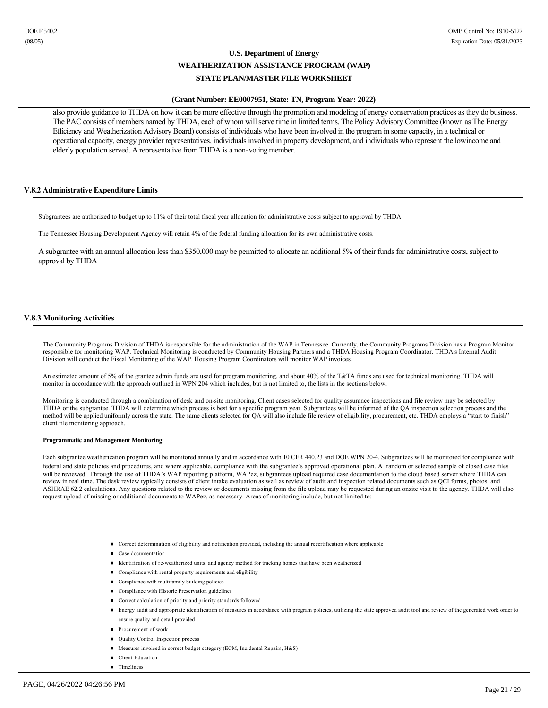#### **(Grant Number: EE0007951, State: TN, Program Year: 2022)**

also provide guidance to THDA on how it can be more effective through the promotion and modeling of energy conservation practices as they do business. The PAC consists of members named by THDA, each of whom will serve time in limited terms. The Policy Advisory Committee (known as The Energy Efficiency and Weatherization Advisory Board) consists of individuals who have been involved in the program in some capacity, in a technical or operational capacity, energy provider representatives, individuals involved in property development, and individuals who represent the lowincome and elderly population served. A representative from THDA is a non-voting member.

#### **V.8.2 Administrative Expenditure Limits**

Subgrantees are authorized to budget up to 11% of their total fiscal year allocation for administrative costs subject to approval by THDA.

The Tennessee Housing Development Agency will retain 4% of the federal funding allocation for its own administrative costs.

A subgrantee with an annual allocation less than \$350,000 may be permitted to allocate an additional 5% of their funds for administrative costs, subject to approval by THDA

#### **V.8.3 Monitoring Activities**

The Community Programs Division of THDA is responsible for the administration of the WAP in Tennessee. Currently, the Community Programs Division has a Program Monitor responsible for monitoring WAP. Technical Monitoring is conducted by Community Housing Partners and a THDA Housing Program Coordinator. THDA's Internal Audit Division will conduct the Fiscal Monitoring of the WAP. Housing Program Coordinators will monitor WAP invoices.

An estimated amount of 5% of the grantee admin funds are used for program monitoring, and about 40% of the T&TA funds are used for technical monitoring. THDA will monitor in accordance with the approach outlined in WPN 204 which includes, but is not limited to, the lists in the sections below.

Monitoring is conducted through a combination of desk and onsite monitoring. Client cases selected for quality assurance inspections and file review may be selected by THDA or the subgrantee. THDA will determine which process is best for a specific program year. Subgrantees will be informed of the QA inspection selection process and the method will be applied uniformly across the state. The same clients selected for QA will also include file review of eligibility, procurement, etc. THDA employs a "start to finish" client file monitoring approach.

#### **Programmatic and Management Monitoring**

Each subgrantee weatherization program will be monitored annually and in accordance with 10 CFR 440.23 and DOE WPN 204. Subgrantees will be monitored for compliance with federal and state policies and procedures, and where applicable, compliance with the subgrantee's approved operational plan. A random or selected sample of closed case files will be reviewed. Through the use of THDA's WAP reporting platform, WAPez, subgrantees upload required case documentation to the cloud based server where THDA can review in real time. The desk review typically consists of client intake evaluation as well as review of audit and inspection related documents such as QCI forms, photos, and ASHRAE 62.2 calculations. Any questions related to the review or documents missing from the file upload may be requested during an onsite visit to the agency. THDA will also request upload of missing or additional documents to WAPez, as necessary. Areas of monitoring include, but not limited to:

- n Correct determination of eligibility and notification provided, including the annual recertification where applicable
- Case documentation
- Identification of re-weatherized units, and agency method for tracking homes that have been weatherized
- $\Box$  Compliance with rental property requirements and eligibility
- Compliance with multifamily building policies
- Compliance with Historic Preservation guidelines
- Correct calculation of priority and priority standards followed
- Energy audit and appropriate identification of measures in accordance with program policies, utilizing the state approved audit tool and review of the generated work order to ensure quality and detail provided
- **n** Procurement of work
- Quality Control Inspection process
- Measures invoiced in correct budget category (ECM, Incidental Repairs, H&S)
- **n** Client Education
- n Timeliness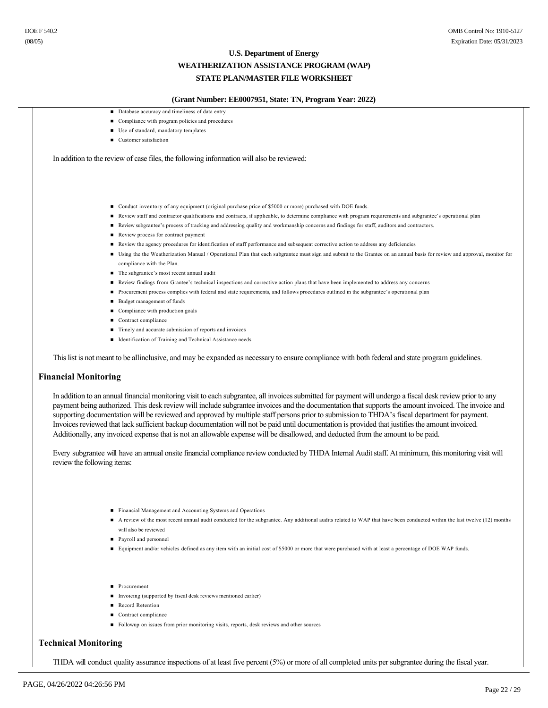#### **(Grant Number: EE0007951, State: TN, Program Year: 2022)**

- $\Box$  Database accuracy and timeliness of data entry
- $\quad \blacksquare$  Compliance with program policies and procedures
- Use of standard, mandatory templates
- Customer satisfaction

In addition to the review of case files, the following information will also be reviewed:

- Conduct inventory of any equipment (original purchase price of \$5000 or more) purchased with DOE funds.
- n Review staff and contractor qualifications and contracts, if applicable, to determine compliance with program requirements and subgrantee's operational plan
- n Review subgrantee's process of tracking and addressing quality and workmanship concerns and findings for staff, auditors and contractors.
- Review process for contract payment
- n Review the agency procedures for identification of staff performance and subsequent corrective action to address any deficiencies
- n Using the the Weatherization Manual / Operational Plan that each subgrantee must sign and submit to the Grantee on an annual basis for review and approval, monitor for compliance with the Plan.
- n The subgrantee's most recent annual audit
- n Review findings from Grantee's technical inspections and corrective action plans that have been implemented to address any concerns
- n Procurement process complies with federal and state requirements, and follows procedures outlined in the subgrantee's operational plan
- Budget management of funds
- Compliance with production goals
- Contract compliance
- Timely and accurate submission of reports and invoices
- Identification of Training and Technical Assistance needs

This list is not meant to be allinclusive, and may be expanded as necessary to ensure compliance with both federal and state program guidelines.

#### **Financial Monitoring**

In addition to an annual financial monitoring visit to each subgrantee, all invoices submitted for payment will undergo a fiscal desk review prior to any payment being authorized. This desk review will include subgrantee invoices and the documentation that supports the amount invoiced. The invoice and supporting documentation will be reviewed and approved by multiple staff persons prior to submission to THDA's fiscal department for payment. Invoices reviewed that lack sufficient backup documentation will not be paid until documentation is provided that justifies the amount invoiced. Additionally, any invoiced expense that is not an allowable expense will be disallowed, and deducted from the amount to be paid.

Every subgrantee will have an annual onsite financial compliance review conducted by THDA Internal Audit staff. At minimum, this monitoring visit will review the following items:

- n Financial Management and Accounting Systems and Operations
- A review of the most recent annual audit conducted for the subgrantee. Any additional audits related to WAP that have been conducted within the last twelve (12) months will also be reviewed
- **n** Payroll and personnel
- Equipment and/or vehicles defined as any item with an initial cost of \$5000 or more that were purchased with at least a percentage of DOE WAP funds.
- **n** Procurement
- n Invoicing (supported by fiscal desk reviews mentioned earlier)
- Record Retention
- Contract compliance
- n Followup on issues from prior monitoring visits, reports, desk reviews and other sources

#### **Technical Monitoring**

THDA will conduct quality assurance inspections of at least five percent (5%) or more of all completed units per subgrantee during the fiscal year.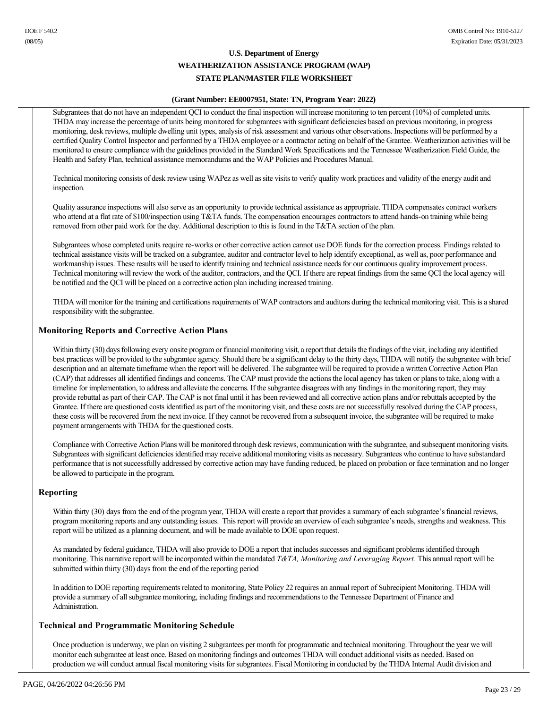# **(Grant Number: EE0007951, State: TN, Program Year: 2022)**

Subgrantees that do not have an independent QCI to conduct the final inspection will increase monitoring to ten percent (10%) of completed units. THDA may increase the percentage of units being monitored for subgrantees with significant deficiencies based on previous monitoring, in progress monitoring, desk reviews, multiple dwelling unit types, analysis of risk assessment and various other observations. Inspections will be performed by a certified Quality Control Inspector and performed by a THDA employee or a contractor acting on behalf of the Grantee. Weatherization activities will be monitored to ensure compliance with the guidelines provided in the Standard Work Specifications and the Tennessee Weatherization Field Guide, the Health and Safety Plan, technical assistance memorandums and the WAP Policies and Procedures Manual.

Technical monitoring consists of desk review using WAPez as well as site visits to verify quality work practices and validity of the energy audit and inspection.

Quality assurance inspections will also serve as an opportunity to provide technical assistance as appropriate. THDA compensates contract workers who attend at a flat rate of \$100/inspection using T&TA funds. The compensation encourages contractors to attend hands-on training while being removed from other paid work for the day. Additional description to this is found in the T&TA section of the plan.

Subgrantees whose completed units require re-works or other corrective action cannot use DOE funds for the correction process. Findings related to technical assistance visits will be tracked on a subgrantee, auditor and contractor level to help identify exceptional, as well as, poor performance and workmanship issues. These results will be used to identify training and technical assistance needs for our continuous quality improvement process. Technical monitoring will review the work of the auditor, contractors, and the QCI. If there are repeat findings from the same QCI the local agency will be notified and the QCI will be placed on a corrective action plan including increased training.

THDA will monitor for the training and certifications requirements of WAP contractors and auditors during the technical monitoring visit. This is a shared responsibility with the subgrantee.

# **Monitoring Reports and Corrective Action Plans**

Within thirty (30) days following every onsite program or financial monitoring visit, a report that details the findings of the visit, including any identified best practices will be provided to the subgrantee agency. Should there be a significant delay to the thirty days, THDA will notify the subgrantee with brief description and an alternate timeframe when the report will be delivered. The subgrantee will be required to provide a written Corrective Action Plan (CAP) that addresses all identified findings and concerns. The CAP must provide the actions the local agency has taken or plans to take, along with a timeline for implementation, to address and alleviate the concerns. If the subgrantee disagrees with any findings in the monitoring report, they may provide rebuttal as part of their CAP. The CAP is not final until it has been reviewed and all corrective action plans and/or rebuttals accepted by the Grantee. If there are questioned costs identified as part of the monitoring visit, and these costs are not successfully resolved during the CAP process, these costs will be recovered from the next invoice. If they cannot be recovered from a subsequent invoice, the subgrantee will be required to make payment arrangements with THDA for the questioned costs.

Compliance with Corrective Action Plans will be monitored through desk reviews, communication with the subgrantee, and subsequent monitoring visits. Subgrantees with significant deficiencies identified may receive additional monitoring visits as necessary. Subgrantees who continue to have substandard performance that is not successfully addressed by corrective action may have funding reduced, be placed on probation or face termination and no longer be allowed to participate in the program.

### **Reporting**

Within thirty (30) days from the end of the program year, THDA will create a report that provides a summary of each subgrantee's financial reviews, program monitoring reports and any outstanding issues. This report will provide an overview of each subgrantee's needs, strengths and weakness. This report will be utilized as a planning document, and will be made available to DOE upon request.

As mandated by federal guidance, THDA will also provide to DOE a report that includes successes and significant problems identified through monitoring. This narrative report will be incorporated within the mandated *T&TA, Monitoring and Leveraging Report.* This annual report will be submitted within thirty (30) days from the end of the reporting period

In addition to DOE reporting requirements related to monitoring, State Policy 22 requires an annual report of Subrecipient Monitoring. THDA will provide a summary of all subgrantee monitoring, including findings and recommendations to the Tennessee Department of Finance and Administration.

### **Technical and Programmatic Monitoring Schedule**

Once production is underway, we plan on visiting 2 subgrantees per month for programmatic and technical monitoring. Throughout the year we will monitor each subgrantee at least once. Based on monitoring findings and outcomes THDA will conduct additional visits as needed. Based on production we will conduct annual fiscal monitoring visits for subgrantees. Fiscal Monitoring in conducted by the THDA Internal Audit division and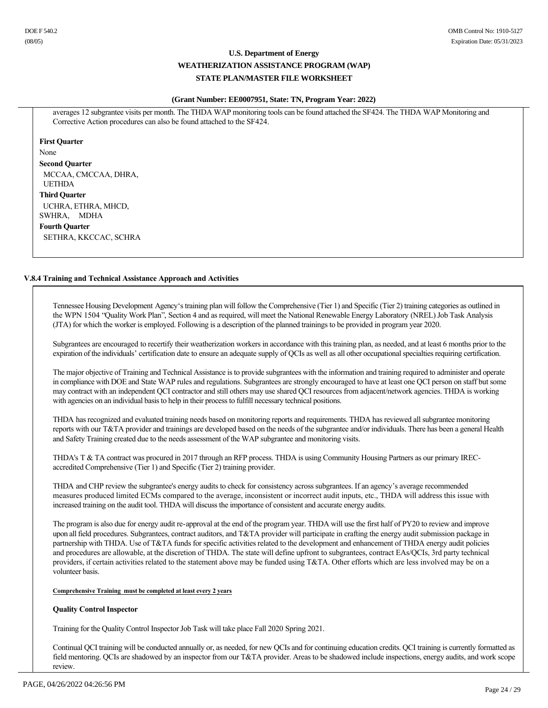#### **(Grant Number: EE0007951, State: TN, Program Year: 2022)**

averages 12 subgrantee visits per month. The THDA WAP monitoring tools can be found attached the SF424. The THDA WAP Monitoring and Corrective Action procedures can also be found attached to the SF424.

**First Quarter** None **Second Quarter** MCCAA, CMCCAA, DHRA, UETHDA **Third Quarter** UCHRA, ETHRA, MHCD, SWHRA, MDHA **Fourth Quarter**

SETHRA, KKCCAC, SCHRA

### **V.8.4 Training and Technical Assistance Approach and Activities**

Tennessee Housing Development Agency's training plan will follow the Comprehensive (Tier 1) and Specific (Tier 2) training categories as outlined in the WPN 1504 "Quality Work Plan", Section 4 and as required, will meet the National Renewable Energy Laboratory (NREL) Job Task Analysis (JTA) for which the worker is employed. Following is a description of the planned trainings to be provided in program year 2020.

Subgrantees are encouraged to recertify their weatherization workers in accordance with this training plan, as needed, and at least 6 months prior to the expiration of the individuals' certification date to ensure an adequate supply of QCIs as well as all other occupational specialties requiring certification.

The major objective of Training and Technical Assistance is to provide subgrantees with the information and training required to administer and operate in compliance with DOE and State WAP rules and regulations. Subgrantees are strongly encouraged to have at least one QCI person on staff but some may contract with an independent QCI contractor and still others may use shared QCI resources from adjacent/network agencies. THDA is working with agencies on an individual basis to help in their process to fulfill necessary technical positions.

THDA has recognized and evaluated training needs based on monitoring reports and requirements. THDA has reviewed all subgrantee monitoring reports with our T&TA provider and trainings are developed based on the needs of the subgrantee and/or individuals. There has been a general Health and Safety Training created due to the needs assessment of the WAP subgrantee and monitoring visits.

THDA's T & TA contract was procured in 2017 through an RFP process. THDA is using Community Housing Partners as our primary IRECaccredited Comprehensive (Tier 1) and Specific (Tier 2) training provider.

THDA and CHP review the subgrantee's energy audits to check for consistency across subgrantees. If an agency's average recommended measures produced limited ECMs compared to the average, inconsistent or incorrect audit inputs, etc., THDA will address this issue with increased training on the audit tool. THDA will discuss the importance of consistent and accurate energy audits.

The program is also due for energy audit re-approval at the end of the program year. THDA will use the first half of PY20 to review and improve upon all field procedures. Subgrantees, contract auditors, and T&TA provider will participate in crafting the energy audit submission package in partnership with THDA. Use of T&TA funds for specific activities related to the development and enhancement of THDA energy audit policies and procedures are allowable, at the discretion of THDA. The state will define upfront to subgrantees, contract EAs/QCIs, 3rd party technical providers, if certain activities related to the statement above may be funded using T&TA. Other efforts which are less involved may be on a volunteer basis.

#### **Comprehensive Training must be completed at least every 2 years**

#### **Quality Control Inspector**

Training for the Quality Control Inspector Job Task will take place Fall 2020 Spring 2021.

Continual QCI training will be conducted annually or, as needed, for new QCIs and for continuing education credits. QCI training is currently formatted as field mentoring. QCIs are shadowed by an inspector from our T&TA provider. Areas to be shadowed include inspections, energy audits, and work scope review.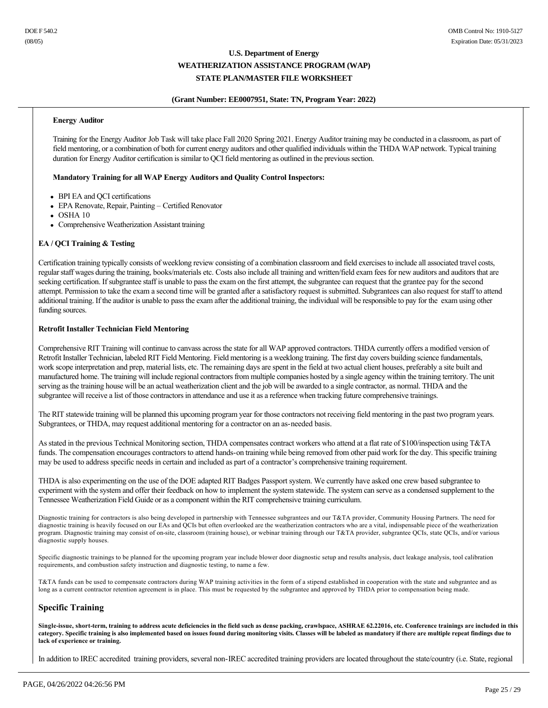#### **(Grant Number: EE0007951, State: TN, Program Year: 2022)**

#### **Energy Auditor**

Training for the Energy Auditor Job Task will take place Fall 2020 Spring 2021. Energy Auditor training may be conducted in a classroom, as part of field mentoring, or a combination of both for current energy auditors and other qualified individuals within the THDA WAP network. Typical training duration for Energy Auditor certification is similar to QCI field mentoring as outlined in the previous section.

#### **Mandatory Training for all WAP Energy Auditors and Quality Control Inspectors:**

- BPI EA and QCI certifications
- EPA Renovate, Repair, Painting Certified Renovator
- $\bullet$  OSHA 10
- Comprehensive Weatherization Assistant training

### **EA / QCI Training & Testing**

Certification training typically consists of weeklong review consisting of a combination classroom and field exercises to include all associated travel costs, regular staff wages during the training, books/materials etc. Costs also include all training and written/field exam fees for new auditors and auditors that are seeking certification. If subgrantee staff is unable to pass the exam on the first attempt, the subgrantee can request that the grantee pay for the second attempt. Permission to take the exam a second time will be granted after a satisfactory request is submitted. Subgrantees can also request for staff to attend additional training. If the auditor is unable to pass the exam after the additional training, the individual will be responsible to pay for the exam using other funding sources.

#### **Retrofit Installer Technician Field Mentoring**

Comprehensive RIT Training will continue to canvass across the state for all WAP approved contractors. THDA currently offers a modified version of Retrofit Installer Technician, labeled RIT Field Mentoring. Field mentoring is a weeklong training. The first day covers building science fundamentals, work scope interpretation and prep, material lists, etc. The remaining days are spent in the field at two actual client houses, preferably a site built and manufactured home. The training will include regional contractors from multiple companies hosted by a single agency within the training territory. The unit serving as the training house will be an actual weatherization client and the job will be awarded to a single contractor, as normal. THDA and the subgrantee will receive a list of those contractors in attendance and use it as a reference when tracking future comprehensive trainings.

The RIT statewide training will be planned this upcoming program year for those contractors not receiving field mentoring in the past two program years. Subgrantees, or THDA, may request additional mentoring for a contractor on an as-needed basis.

As stated in the previous Technical Monitoring section, THDA compensates contract workers who attend at a flat rate of \$100/inspection using T&TA funds. The compensation encourages contractors to attend hands-on training while being removed from other paid work for the day. This specific training may be used to address specific needs in certain and included as part of a contractor's comprehensive training requirement.

THDA is also experimenting on the use of the DOE adapted RIT Badges Passport system. We currently have asked one crew based subgrantee to experiment with the system and offer their feedback on how to implement the system statewide. The system can serve as a condensed supplement to the Tennessee Weatherization Field Guide or as a component within the RIT comprehensive training curriculum.

Diagnostic training for contractors is also being developed in partnership with Tennessee subgrantees and our T&TA provider, Community Housing Partners. The need for diagnostic training is heavily focused on our EAs and QCIs but often overlooked are the weatherization contractors who are a vital, indispensable piece of the weatherization program. Diagnostic training may consist of on-site, classroom (training house), or webinar training through our T&TA provider, subgrantee QCIs, state QCIs, and/or various diagnostic supply houses.

Specific diagnostic trainings to be planned for the upcoming program year include blower door diagnostic setup and results analysis, duct leakage analysis, tool calibration requirements, and combustion safety instruction and diagnostic testing, to name a few.

T&TA funds can be used to compensate contractors during WAP training activities in the form of a stipend established in cooperation with the state and subgrantee and as long as a current contractor retention agreement is in place. This must be requested by the subgrantee and approved by THDA prior to compensation being made.

# **Specific Training**

Single-issue, short-term, training to address acute deficiencies in the field such as dense packing, crawlspace, ASHRAE 62.22016, etc. Conference trainings are included in this **category. Specific training is also implemented based on issues found during monitoring visits. Classes will be labeled as mandatory if there are multiple repeat findings due to lack of experience or training.**

In addition to IREC accredited training providers, several non-IREC accredited training providers are located throughout the state/country (i.e. State, regional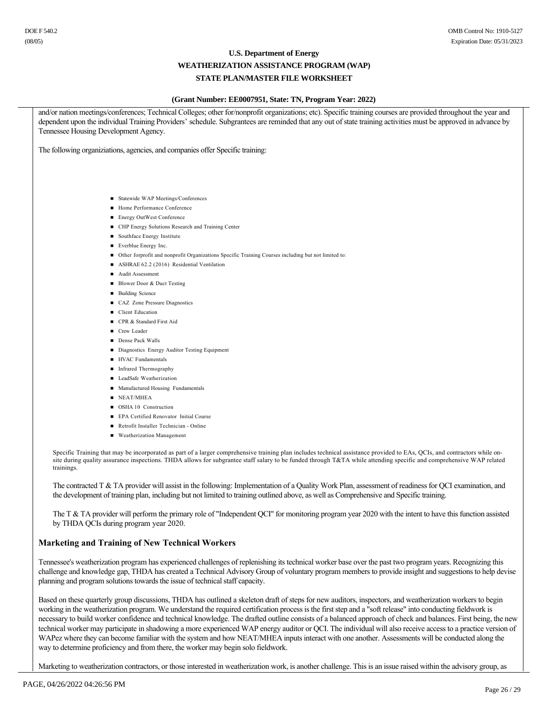# **U.S. Department of Energy WEATHERIZATION ASSISTANCE PROGRAM (WAP)**

# **STATE PLAN/MASTER FILE WORKSHEET**

#### **(Grant Number: EE0007951, State: TN, Program Year: 2022)**

and/or nation meetings/conferences; Technical Colleges; other for/nonprofit organizations; etc). Specific training courses are provided throughout the year and dependent upon the individual Training Providers' schedule. Subgrantees are reminded that any out of state training activities must be approved in advance by Tennessee Housing Development Agency. The following organiziations, agencies, and companies offer Specific training: ■ Statewide WAP Meetings/Conferences ■ Home Performance Conference ■ Energy OutWest Conference n CHP Energy Solutions Research and Training Center ■ Southface Energy Institute n Everblue Energy Inc. ■ Other forprofit and nonprofit Organizations Specific Training Courses including but not limited to: ■ ASHRAE 62.2 (2016) Residential Ventilation ■ Audit Assessment ■ Blower Door & Duct Testing ■ Building Science ■ CAZ Zone Pressure Diagnostics ■ Client Education ■ CPR & Standard First Aid **n** Crew Leader ■ Dense Pack Walls ■ Diagnostics Energy Auditor Testing Equipment ■ HVAC Fundamentals n Infrared Thermography ■ LeadSafe Weatherization ■ Manufactured Housing Fundamentals NEAT/MHEA OSHA 10 Construction n EPA Certified Renovator Initial Course ■ Retrofit Installer Technician - Online n Weatherization Management Specific Training that may be incorporated as part of a larger comprehensive training plan includes technical assistance provided to EAs, QCIs, and contractors while onsite during quality assurance inspections. THDA allows for subgrantee staff salary to be funded through T&TA while attending specific and comprehensive WAP related trainings.

The contracted T & TA provider will assist in the following: Implementation of a Quality Work Plan, assessment of readiness for QCI examination, and the development of training plan, including but not limited to training outlined above, as well as Comprehensive and Specific training.

The T & TA provider will perform the primary role of "Independent QCI" for monitoring program year 2020 with the intent to have this function assisted by THDA QCIs during program year 2020.

# **Marketing and Training of New Technical Workers**

Tennessee's weatherization program has experienced challenges of replenishing its technical worker base over the past two program years. Recognizing this challenge and knowledge gap, THDA has created a Technical Advisory Group of voluntary program members to provide insight and suggestions to help devise planning and program solutions towards the issue of technical staff capacity.

Based on these quarterly group discussions, THDA has outlined a skeleton draft of steps for new auditors, inspectors, and weatherization workers to begin working in the weatherization program. We understand the required certification process is the first step and a "soft release" into conducting fieldwork is necessary to build worker confidence and technical knowledge. The drafted outline consists of a balanced approach of check and balances. First being, the new technical worker may participate in shadowing a more experienced WAP energy auditor or QCI. The individual will also receive access to a practice version of WAPez where they can become familiar with the system and how NEAT/MHEA inputs interact with one another. Assessments will be conducted along the way to determine proficiency and from there, the worker may begin solo fieldwork.

Marketing to weatherization contractors, or those interested in weatherization work, is another challenge. This is an issue raised within the advisory group, as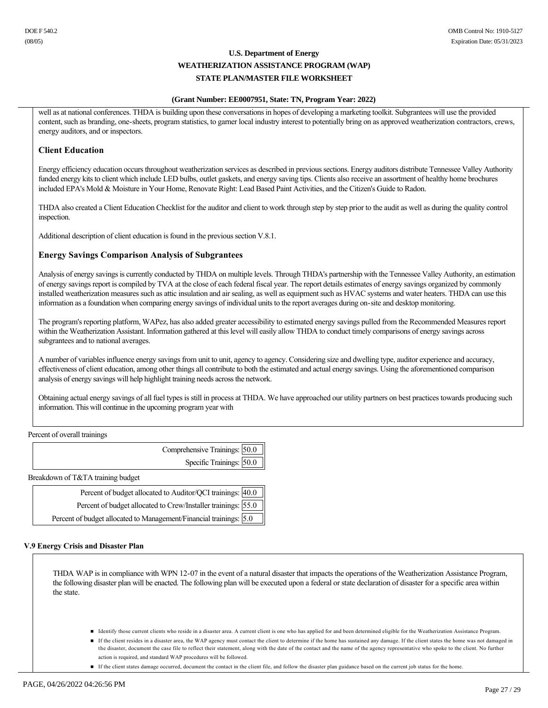#### **(Grant Number: EE0007951, State: TN, Program Year: 2022)**

well as at national conferences. THDA is building upon these conversations in hopes of developing a marketing toolkit. Subgrantees will use the provided content, such as branding, one-sheets, program statistics, to garner local industry interest to potentially bring on as approved weatherization contractors, crews, energy auditors, and or inspectors.

# **Client Education**

Energy efficiency education occurs throughout weatherization services as described in previous sections. Energy auditors distribute Tennessee Valley Authority funded energy kits to client which include LED bulbs, outlet gaskets, and energy saving tips. Clients also receive an assortment of healthy home brochures included EPA's Mold & Moisture in Your Home, Renovate Right: Lead Based Paint Activities, and the Citizen's Guide to Radon.

THDA also created a Client Education Checklist for the auditor and client to work through step by step prior to the audit as well as during the quality control inspection.

Additional description of client education is found in the previous section V.8.1.

### **Energy Savings Comparison Analysis of Subgrantees**

Analysis of energy savings is currently conducted by THDA on multiple levels. Through THDA's partnership with the Tennessee Valley Authority, an estimation of energy savings report is compiled by TVA at the close of each federal fiscal year. The report details estimates of energy savings organized by commonly installed weatherization measures such as attic insulation and air sealing, as well as equipment such as HVAC systems and water heaters. THDA can use this information as a foundation when comparing energy savings of individual units to the report averages during onsite and desktop monitoring.

The program's reporting platform, WAPez, has also added greater accessibility to estimated energy savings pulled from the Recommended Measures report within the Weatherization Assistant. Information gathered at this level will easily allow THDA to conduct timely comparisons of energy savings across subgrantees and to national averages.

A number of variables influence energy savings from unit to unit, agency to agency. Considering size and dwelling type, auditor experience and accuracy, effectiveness of client education, among other things all contribute to both the estimated and actual energy savings. Using the aforementioned comparison analysis of energy savings will help highlight training needs across the network.

Obtaining actual energy savings of all fuel types is still in process at THDA. We have approached our utility partners on best practices towards producing such information. This will continue in the upcoming program year with

Percent of overall trainings

| Comprehensive Trainings: 50.0 |
|-------------------------------|
| Specific Trainings: 50.0      |
|                               |

Breakdown of T&TA training budget

| Percent of budget allocated to Auditor/QCI trainings: 40.0                  |  |
|-----------------------------------------------------------------------------|--|
| Percent of budget allocated to Crew/Installer trainings: 55.0               |  |
| Percent of budget allocated to Management/Financial trainings: $\sqrt{5.0}$ |  |

#### **V.9 Energy Crisis and Disaster Plan**

THDA WAP is in compliance with WPN 12-07 in the event of a natural disaster that impacts the operations of the Weatherization Assistance Program, the following disaster plan will be enacted. The following plan will be executed upon a federal or state declaration of disaster for a specific area within the state.

- Identify those current clients who reside in a disaster area. A current client is one who has applied for and been determined eligible for the Weatherization Assistance Program.
- If the client resides in a disaster area, the WAP agency must contact the client to determine if the home has sustained any damage. If the client states the home was not damaged in the disaster, document the case file to reflect their statement, along with the date of the contact and the name of the agency representative who spoke to the client. No further action is required, and standard WAP procedures will be followed.
- n If the client states damage occurred, document the contact in the client file, and follow the disaster plan guidance based on the current job status for the home.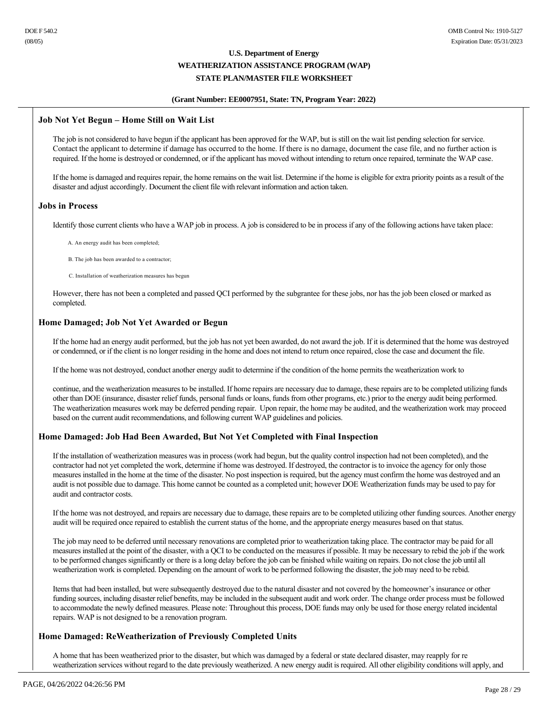### **(Grant Number: EE0007951, State: TN, Program Year: 2022)**

### **Job Not Yet Begun – Home Still on Wait List**

The job is not considered to have begun if the applicant has been approved for the WAP, but is still on the wait list pending selection for service. Contact the applicant to determine if damage has occurred to the home. If there is no damage, document the case file, and no further action is required. If the home is destroyed or condemned, or if the applicant has moved without intending to return once repaired, terminate the WAP case.

If the home is damaged and requires repair, the home remains on the wait list. Determine if the home is eligible for extra priority points as a result of the disaster and adjust accordingly. Document the client file with relevant information and action taken.

### **Jobs in Process**

Identify those current clients who have a WAP job in process. A job is considered to be in process if any of the following actions have taken place:

A. An energy audit has been completed;

B. The job has been awarded to a contractor;

C. Installation of weatherization measures has begun

However, there has not been a completed and passed QCI performed by the subgrantee for these jobs, nor has the job been closed or marked as completed.

# **Home Damaged; Job Not Yet Awarded or Begun**

If the home had an energy audit performed, but the job has not yet been awarded, do not award the job. If it is determined that the home was destroyed or condemned, or if the client is no longer residing in the home and does not intend to return once repaired, close the case and document the file.

If the home was not destroyed, conduct another energy audit to determine if the condition of the home permits the weatherization work to

continue, and the weatherization measures to be installed. If home repairs are necessary due to damage, these repairs are to be completed utilizing funds other than DOE (insurance, disaster relief funds, personal funds or loans, funds from other programs, etc.) prior to the energy audit being performed. The weatherization measures work may be deferred pending repair. Upon repair, the home may be audited, and the weatherization work may proceed based on the current audit recommendations, and following current WAP guidelines and policies.

# **Home Damaged: Job Had Been Awarded, But Not Yet Completed with Final Inspection**

If the installation of weatherization measures was in process (work had begun, but the quality control inspection had not been completed), and the contractor had not yet completed the work, determine if home was destroyed. If destroyed, the contractor is to invoice the agency for only those measures installed in the home at the time of the disaster. No post inspection is required, but the agency must confirm the home was destroyed and an audit is not possible due to damage. This home cannot be counted as a completed unit; however DOE Weatherization funds may be used to pay for audit and contractor costs.

If the home was not destroyed, and repairs are necessary due to damage, these repairs are to be completed utilizing other funding sources. Another energy audit will be required once repaired to establish the current status of the home, and the appropriate energy measures based on that status.

The job may need to be deferred until necessary renovations are completed prior to weatherization taking place. The contractor may be paid for all measures installed at the point of the disaster, with a QCI to be conducted on the measures if possible. It may be necessary to rebid the job if the work to be performed changes significantly or there is a long delay before the job can be finished while waiting on repairs. Do not close the job until all weatherization work is completed. Depending on the amount of work to be performed following the disaster, the job may need to be rebid.

Items that had been installed, but were subsequently destroyed due to the natural disaster and not covered by the homeowner's insurance or other funding sources, including disaster relief benefits, may be included in the subsequent audit and work order. The change order process must be followed to accommodate the newly defined measures. Please note: Throughout this process, DOE funds may only be used for those energy related incidental repairs. WAP is not designed to be a renovation program.

# **Home Damaged: ReWeatherization of Previously Completed Units**

A home that has been weatherized prior to the disaster, but which was damaged by a federal or state declared disaster, may reapply for re weatherization services without regard to the date previously weatherized. A new energy audit is required. All other eligibility conditions will apply, and